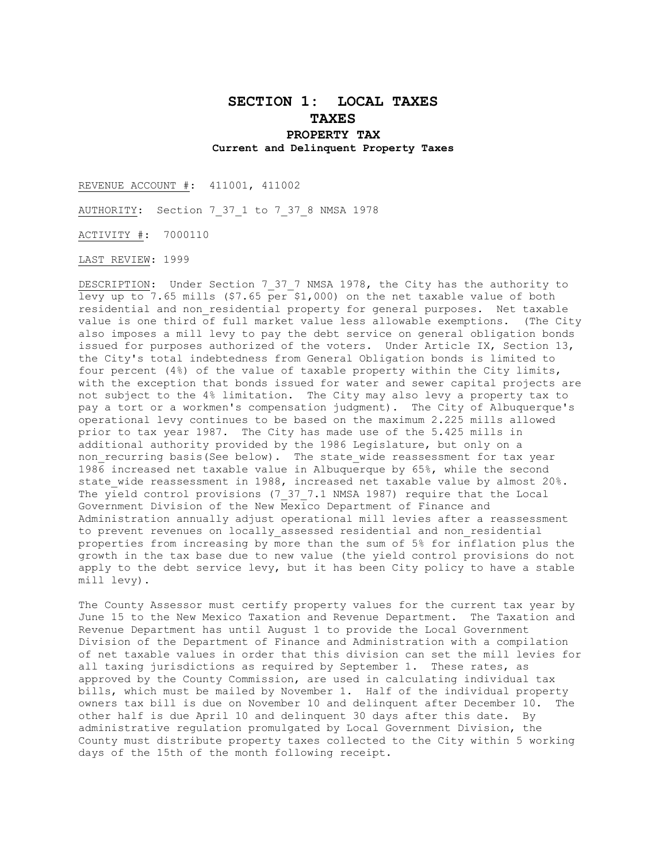# **SECTION 1: LOCAL TAXES TAXES PROPERTY TAX Current and Delinquent Property Taxes**

REVENUE ACCOUNT #: 411001, 411002

AUTHORITY: Section 7 37 1 to 7 37 8 NMSA 1978

ACTIVITY #: 7000110

LAST REVIEW: 1999

DESCRIPTION: Under Section 7\_37\_7 NMSA 1978, the City has the authority to levy up to 7.65 mills  $(57.65 \text{ per } 51,000)$  on the net taxable value of both residential and non residential property for general purposes. Net taxable value is one third of full market value less allowable exemptions. (The City also imposes a mill levy to pay the debt service on general obligation bonds issued for purposes authorized of the voters. Under Article IX, Section 13, the City's total indebtedness from General Obligation bonds is limited to four percent (4%) of the value of taxable property within the City limits, with the exception that bonds issued for water and sewer capital projects are not subject to the 4% limitation. The City may also levy a property tax to pay a tort or a workmen's compensation judgment). The City of Albuquerque's operational levy continues to be based on the maximum 2.225 mills allowed prior to tax year 1987. The City has made use of the 5.425 mills in additional authority provided by the 1986 Legislature, but only on a non recurring basis(See below). The state wide reassessment for tax year 1986 increased net taxable value in Albuquerque by 65%, while the second state wide reassessment in 1988, increased net taxable value by almost 20%. The yield control provisions (7\_37\_7.1 NMSA 1987) require that the Local Government Division of the New Mexico Department of Finance and Administration annually adjust operational mill levies after a reassessment to prevent revenues on locally assessed residential and non residential properties from increasing by more than the sum of 5% for inflation plus the growth in the tax base due to new value (the yield control provisions do not apply to the debt service levy, but it has been City policy to have a stable mill levy).

The County Assessor must certify property values for the current tax year by June 15 to the New Mexico Taxation and Revenue Department. The Taxation and Revenue Department has until August 1 to provide the Local Government Division of the Department of Finance and Administration with a compilation of net taxable values in order that this division can set the mill levies for all taxing jurisdictions as required by September 1. These rates, as approved by the County Commission, are used in calculating individual tax bills, which must be mailed by November 1. Half of the individual property owners tax bill is due on November 10 and delinquent after December 10. The other half is due April 10 and delinquent 30 days after this date. By administrative regulation promulgated by Local Government Division, the County must distribute property taxes collected to the City within 5 working days of the 15th of the month following receipt.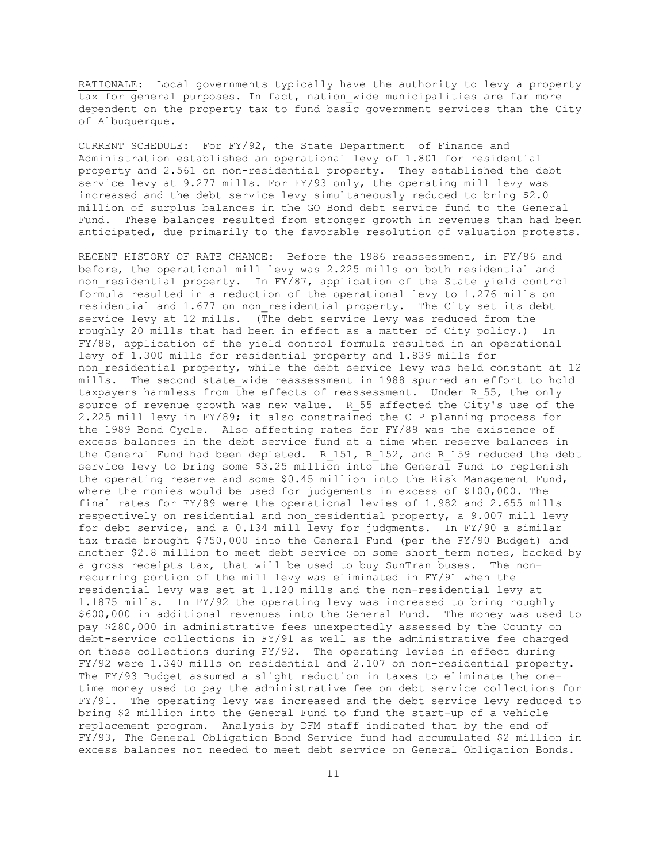RATIONALE: Local governments typically have the authority to levy a property tax for general purposes. In fact, nation wide municipalities are far more dependent on the property tax to fund basic government services than the City of Albuquerque.

CURRENT SCHEDULE: For FY/92, the State Department of Finance and Administration established an operational levy of 1.801 for residential property and 2.561 on non-residential property. They established the debt service levy at 9.277 mills. For FY/93 only, the operating mill levy was increased and the debt service levy simultaneously reduced to bring \$2.0 million of surplus balances in the GO Bond debt service fund to the General Fund. These balances resulted from stronger growth in revenues than had been anticipated, due primarily to the favorable resolution of valuation protests.

RECENT HISTORY OF RATE CHANGE: Before the 1986 reassessment, in FY/86 and before, the operational mill levy was 2.225 mills on both residential and non residential property. In FY/87, application of the State yield control formula resulted in a reduction of the operational levy to 1.276 mills on residential and 1.677 on non residential property. The City set its debt service levy at 12 mills. (The debt service levy was reduced from the roughly 20 mills that had been in effect as a matter of City policy.) In FY/88, application of the yield control formula resulted in an operational levy of 1.300 mills for residential property and 1.839 mills for non residential property, while the debt service levy was held constant at 12 mills. The second state wide reassessment in 1988 spurred an effort to hold taxpayers harmless from the effects of reassessment. Under R\_55, the only source of revenue growth was new value. R\_55 affected the City's use of the 2.225 mill levy in FY/89; it also constrained the CIP planning process for the 1989 Bond Cycle. Also affecting rates for FY/89 was the existence of excess balances in the debt service fund at a time when reserve balances in the General Fund had been depleted. R 151, R 152, and R 159 reduced the debt service levy to bring some \$3.25 million into the General Fund to replenish the operating reserve and some \$0.45 million into the Risk Management Fund, where the monies would be used for judgements in excess of \$100,000. The final rates for FY/89 were the operational levies of 1.982 and 2.655 mills respectively on residential and non residential property, a 9.007 mill levy for debt service, and a 0.134 mill levy for judgments. In FY/90 a similar tax trade brought \$750,000 into the General Fund (per the FY/90 Budget) and another \$2.8 million to meet debt service on some short term notes, backed by a gross receipts tax, that will be used to buy SunTran buses. The nonrecurring portion of the mill levy was eliminated in FY/91 when the residential levy was set at 1.120 mills and the non-residential levy at 1.1875 mills. In FY/92 the operating levy was increased to bring roughly \$600,000 in additional revenues into the General Fund. The money was used to pay \$280,000 in administrative fees unexpectedly assessed by the County on debt-service collections in FY/91 as well as the administrative fee charged on these collections during FY/92. The operating levies in effect during FY/92 were 1.340 mills on residential and 2.107 on non-residential property. The FY/93 Budget assumed a slight reduction in taxes to eliminate the onetime money used to pay the administrative fee on debt service collections for FY/91. The operating levy was increased and the debt service levy reduced to bring \$2 million into the General Fund to fund the start-up of a vehicle replacement program. Analysis by DFM staff indicated that by the end of FY/93, The General Obligation Bond Service fund had accumulated \$2 million in excess balances not needed to meet debt service on General Obligation Bonds.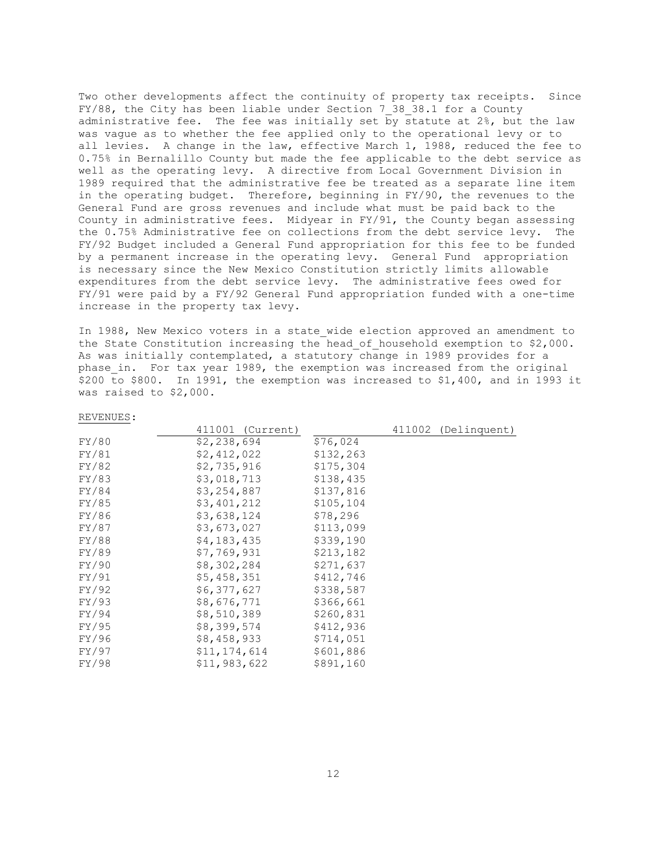Two other developments affect the continuity of property tax receipts. Since FY/88, the City has been liable under Section 7\_38\_38.1 for a County administrative fee. The fee was initially set by statute at 2%, but the law was vague as to whether the fee applied only to the operational levy or to all levies. A change in the law, effective March 1, 1988, reduced the fee to 0.75% in Bernalillo County but made the fee applicable to the debt service as well as the operating levy. A directive from Local Government Division in 1989 required that the administrative fee be treated as a separate line item in the operating budget. Therefore, beginning in FY/90, the revenues to the General Fund are gross revenues and include what must be paid back to the County in administrative fees. Midyear in FY/91, the County began assessing the 0.75% Administrative fee on collections from the debt service levy. The FY/92 Budget included a General Fund appropriation for this fee to be funded by a permanent increase in the operating levy. General Fund appropriation is necessary since the New Mexico Constitution strictly limits allowable expenditures from the debt service levy. The administrative fees owed for FY/91 were paid by a FY/92 General Fund appropriation funded with a one-time increase in the property tax levy.

In 1988, New Mexico voters in a state wide election approved an amendment to the State Constitution increasing the head\_of\_household exemption to \$2,000. As was initially contemplated, a statutory change in 1989 provides for a phase in. For tax year 1989, the exemption was increased from the original \$200 to \$800. In 1991, the exemption was increased to \$1,400, and in 1993 it was raised to \$2,000.

|       | 411001 (Current) |           | 411002 (Delinquent) |
|-------|------------------|-----------|---------------------|
| FY/80 | \$2,238,694      | \$76,024  |                     |
| FY/81 | \$2,412,022      | \$132,263 |                     |
| FY/82 | \$2,735,916      | \$175,304 |                     |
| FY/83 | \$3,018,713      | \$138,435 |                     |
| FY/84 | \$3,254,887      | \$137,816 |                     |
| FY/85 | \$3,401,212      | \$105,104 |                     |
| FY/86 | \$3,638,124      | \$78,296  |                     |
| FY/87 | \$3,673,027      | \$113,099 |                     |
| FY/88 | \$4,183,435      | \$339,190 |                     |
| FY/89 | \$7,769,931      | \$213,182 |                     |
| FY/90 | \$8,302,284      | \$271,637 |                     |
| FY/91 | \$5,458,351      | \$412,746 |                     |
| FY/92 | \$6,377,627      | \$338,587 |                     |
| FY/93 | \$8,676,771      | \$366,661 |                     |
| FY/94 | \$8,510,389      | \$260,831 |                     |
| FY/95 | \$8,399,574      | \$412,936 |                     |
| FY/96 | \$8,458,933      | \$714,051 |                     |
| FY/97 | \$11, 174, 614   | \$601,886 |                     |
| FY/98 | \$11,983,622     | \$891,160 |                     |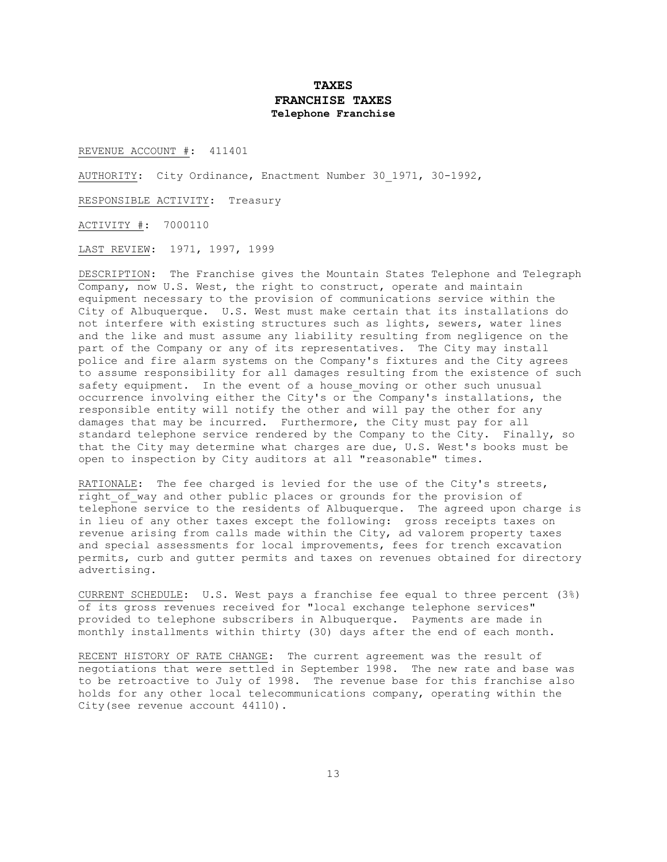# **TAXES FRANCHISE TAXES Telephone Franchise**

REVENUE ACCOUNT #: 411401

AUTHORITY: City Ordinance, Enactment Number 30\_1971, 30-1992,

RESPONSIBLE ACTIVITY: Treasury

ACTIVITY #: 7000110

LAST REVIEW: 1971, 1997, 1999

DESCRIPTION: The Franchise gives the Mountain States Telephone and Telegraph Company, now U.S. West, the right to construct, operate and maintain equipment necessary to the provision of communications service within the City of Albuquerque. U.S. West must make certain that its installations do not interfere with existing structures such as lights, sewers, water lines and the like and must assume any liability resulting from negligence on the part of the Company or any of its representatives. The City may install police and fire alarm systems on the Company's fixtures and the City agrees to assume responsibility for all damages resulting from the existence of such safety equipment. In the event of a house moving or other such unusual occurrence involving either the City's or the Company's installations, the responsible entity will notify the other and will pay the other for any damages that may be incurred. Furthermore, the City must pay for all standard telephone service rendered by the Company to the City. Finally, so that the City may determine what charges are due, U.S. West's books must be open to inspection by City auditors at all "reasonable" times.

RATIONALE: The fee charged is levied for the use of the City's streets, right of way and other public places or grounds for the provision of telephone service to the residents of Albuquerque. The agreed upon charge is in lieu of any other taxes except the following: gross receipts taxes on revenue arising from calls made within the City, ad valorem property taxes and special assessments for local improvements, fees for trench excavation permits, curb and gutter permits and taxes on revenues obtained for directory advertising.

CURRENT SCHEDULE: U.S. West pays a franchise fee equal to three percent (3%) of its gross revenues received for "local exchange telephone services" provided to telephone subscribers in Albuquerque. Payments are made in monthly installments within thirty (30) days after the end of each month.

RECENT HISTORY OF RATE CHANGE: The current agreement was the result of negotiations that were settled in September 1998. The new rate and base was to be retroactive to July of 1998. The revenue base for this franchise also holds for any other local telecommunications company, operating within the City(see revenue account 44110).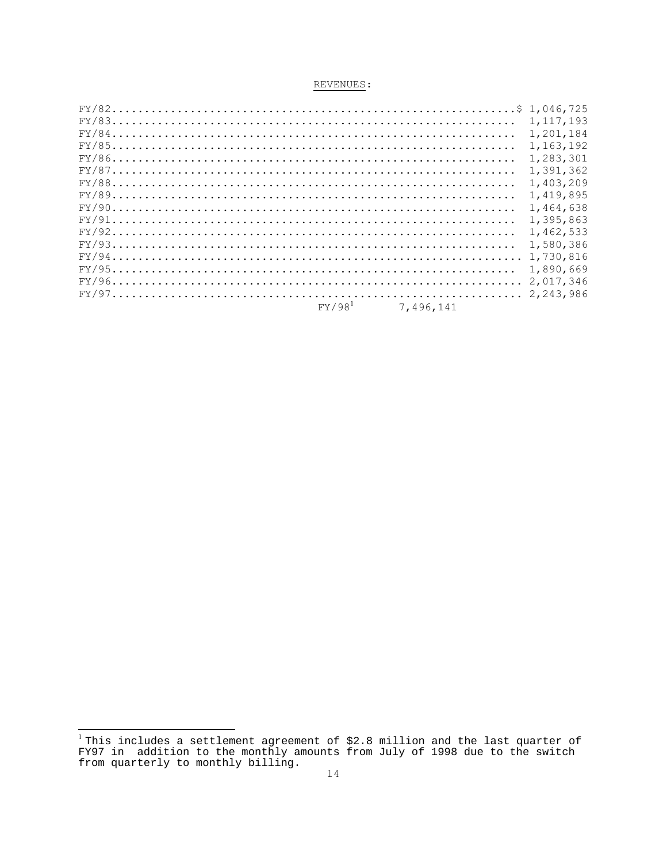|                    |           | 1, 117, 193 |
|--------------------|-----------|-------------|
|                    |           | 1,201,184   |
|                    |           | 1,163,192   |
|                    |           | 1,283,301   |
|                    |           | 1.391.362   |
|                    |           | 1,403,209   |
|                    |           | 1,419,895   |
|                    |           | 1.464.638   |
|                    |           | 1,395,863   |
|                    |           | 1,462,533   |
|                    |           | 1,580,386   |
|                    |           | 1,730,816   |
|                    |           | 1,890,669   |
|                    |           | 2.017.346   |
|                    |           | 2.243.986   |
| FY/98 <sup>1</sup> | 7,496,141 |             |

<sup>&</sup>lt;sup>1</sup>This includes a settlement agreement of \$2.8 million and the last quarter of FY97 in addition to the monthly amounts from July of 1998 due to the switch from quarterly to monthly billing.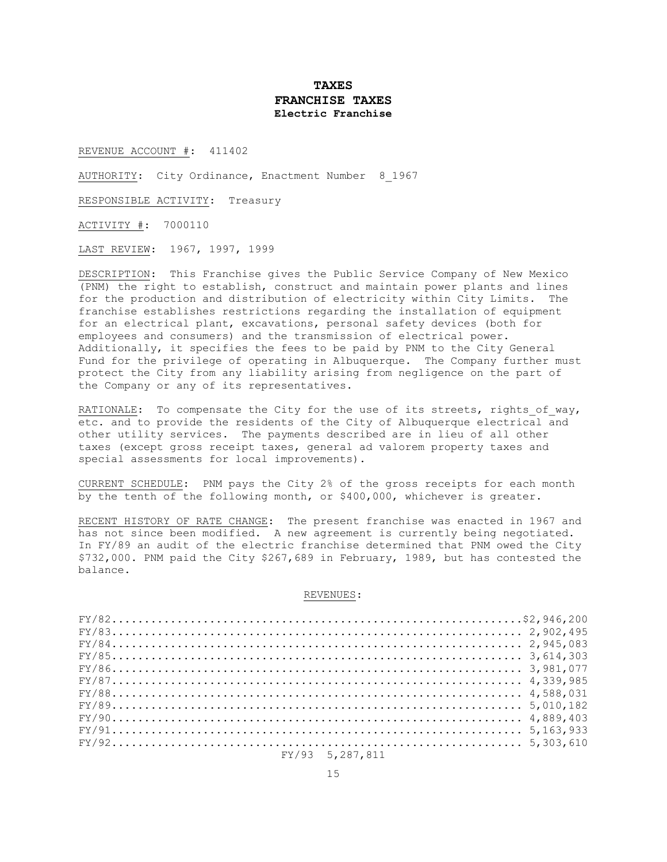## **TAXES FRANCHISE TAXES Electric Franchise**

REVENUE ACCOUNT #: 411402

AUTHORITY: City Ordinance, Enactment Number 8 1967

RESPONSIBLE ACTIVITY: Treasury

ACTIVITY #: 7000110

LAST REVIEW: 1967, 1997, 1999

DESCRIPTION: This Franchise gives the Public Service Company of New Mexico (PNM) the right to establish, construct and maintain power plants and lines for the production and distribution of electricity within City Limits. The franchise establishes restrictions regarding the installation of equipment for an electrical plant, excavations, personal safety devices (both for employees and consumers) and the transmission of electrical power. Additionally, it specifies the fees to be paid by PNM to the City General Fund for the privilege of operating in Albuquerque. The Company further must protect the City from any liability arising from negligence on the part of the Company or any of its representatives.

RATIONALE: To compensate the City for the use of its streets, rights of way, etc. and to provide the residents of the City of Albuquerque electrical and other utility services. The payments described are in lieu of all other taxes (except gross receipt taxes, general ad valorem property taxes and special assessments for local improvements).

CURRENT SCHEDULE: PNM pays the City 2% of the gross receipts for each month by the tenth of the following month, or \$400,000, whichever is greater.

RECENT HISTORY OF RATE CHANGE: The present franchise was enacted in 1967 and has not since been modified. A new agreement is currently being negotiated. In FY/89 an audit of the electric franchise determined that PNM owed the City \$732,000. PNM paid the City \$267,689 in February, 1989, but has contested the balance.

| $FY/832.902.495$  |  |
|-------------------|--|
|                   |  |
| $FY/853,614,303$  |  |
|                   |  |
| $FY/87 4,339,985$ |  |
| $FY/88 4,588,031$ |  |
| $FY/895,010,182$  |  |
| $FY/90 4,889,403$ |  |
| $FY/915,163,933$  |  |
| $FY/925,303,610$  |  |
| $FY/93$ 5,287,811 |  |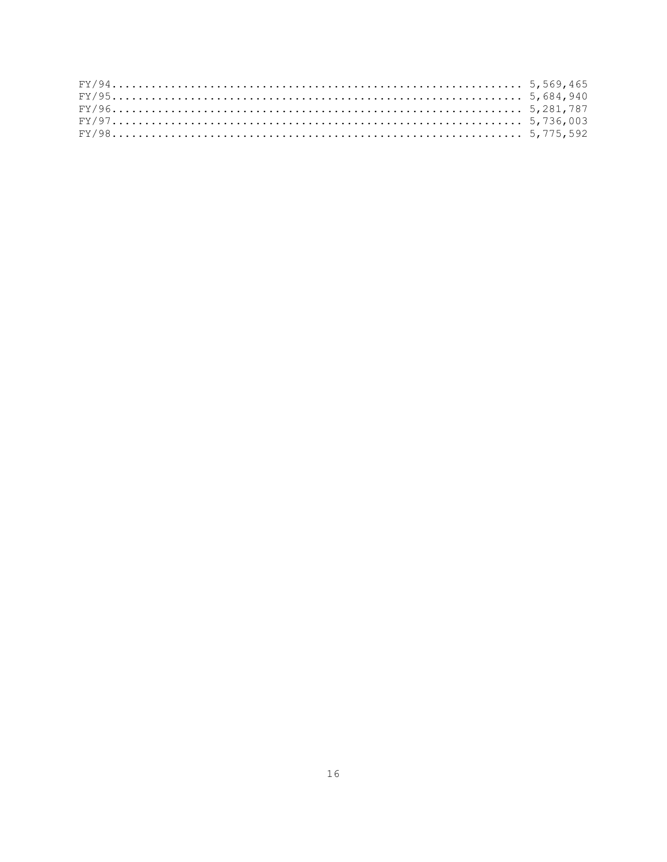|  |  |  |  |  |  |  |  |  |  |  |  |  |  |  |  |  |  |  |  |  |  | $FY/955,684,940$  |  |
|--|--|--|--|--|--|--|--|--|--|--|--|--|--|--|--|--|--|--|--|--|--|-------------------|--|
|  |  |  |  |  |  |  |  |  |  |  |  |  |  |  |  |  |  |  |  |  |  |                   |  |
|  |  |  |  |  |  |  |  |  |  |  |  |  |  |  |  |  |  |  |  |  |  |                   |  |
|  |  |  |  |  |  |  |  |  |  |  |  |  |  |  |  |  |  |  |  |  |  | $FY/98 5,775,592$ |  |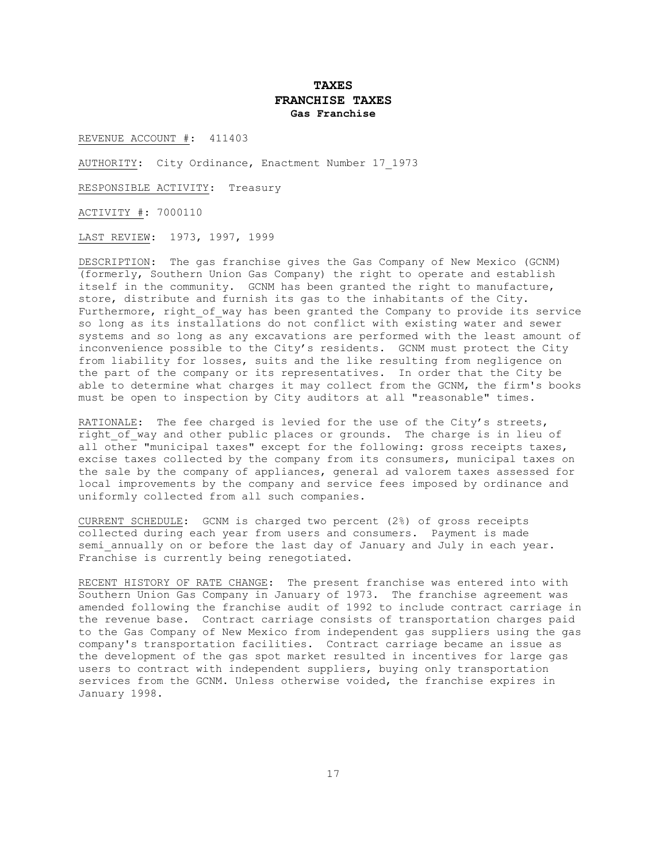## **TAXES FRANCHISE TAXES Gas Franchise**

REVENUE ACCOUNT #: 411403

AUTHORITY: City Ordinance, Enactment Number 17\_1973

RESPONSIBLE ACTIVITY: Treasury

ACTIVITY #: 7000110

LAST REVIEW: 1973, 1997, 1999

DESCRIPTION: The gas franchise gives the Gas Company of New Mexico (GCNM) (formerly, Southern Union Gas Company) the right to operate and establish itself in the community. GCNM has been granted the right to manufacture, store, distribute and furnish its gas to the inhabitants of the City. Furthermore, right of way has been granted the Company to provide its service so long as its installations do not conflict with existing water and sewer systems and so long as any excavations are performed with the least amount of inconvenience possible to the City's residents. GCNM must protect the City from liability for losses, suits and the like resulting from negligence on the part of the company or its representatives. In order that the City be able to determine what charges it may collect from the GCNM, the firm's books must be open to inspection by City auditors at all "reasonable" times.

RATIONALE: The fee charged is levied for the use of the City's streets, right of way and other public places or grounds. The charge is in lieu of all other "municipal taxes" except for the following: gross receipts taxes, excise taxes collected by the company from its consumers, municipal taxes on the sale by the company of appliances, general ad valorem taxes assessed for local improvements by the company and service fees imposed by ordinance and uniformly collected from all such companies.

CURRENT SCHEDULE: GCNM is charged two percent (2%) of gross receipts collected during each year from users and consumers. Payment is made semi annually on or before the last day of January and July in each year. Franchise is currently being renegotiated.

RECENT HISTORY OF RATE CHANGE: The present franchise was entered into with Southern Union Gas Company in January of 1973. The franchise agreement was amended following the franchise audit of 1992 to include contract carriage in the revenue base. Contract carriage consists of transportation charges paid to the Gas Company of New Mexico from independent gas suppliers using the gas company's transportation facilities. Contract carriage became an issue as the development of the gas spot market resulted in incentives for large gas users to contract with independent suppliers, buying only transportation services from the GCNM. Unless otherwise voided, the franchise expires in January 1998.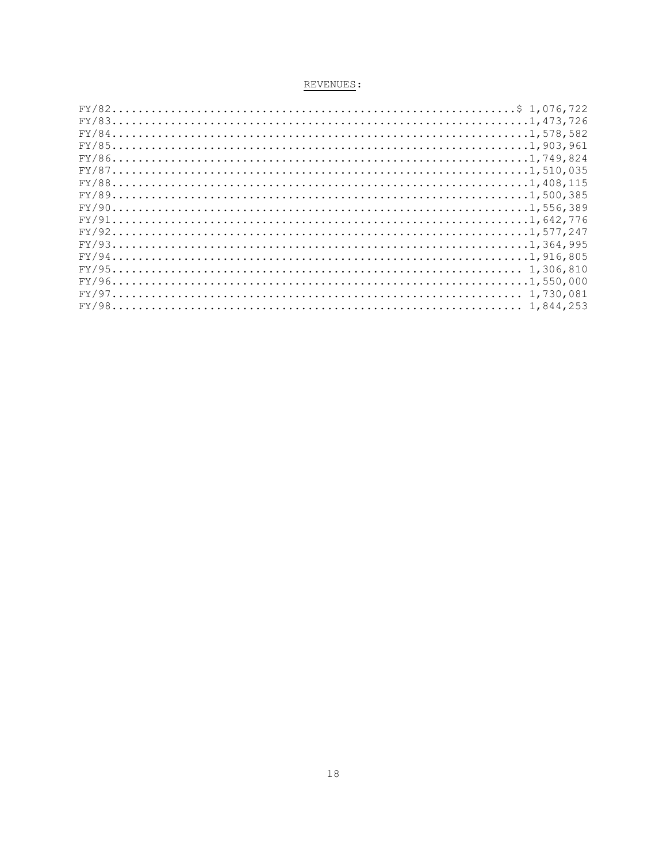| $FY/831,473,726$  |  |
|-------------------|--|
|                   |  |
|                   |  |
|                   |  |
|                   |  |
| $FY/881,408,115$  |  |
| $FY/891,500,385$  |  |
|                   |  |
| $FY/911,642,776$  |  |
|                   |  |
|                   |  |
|                   |  |
| $FY/95 1,306,810$ |  |
|                   |  |
| $FY/97$           |  |
|                   |  |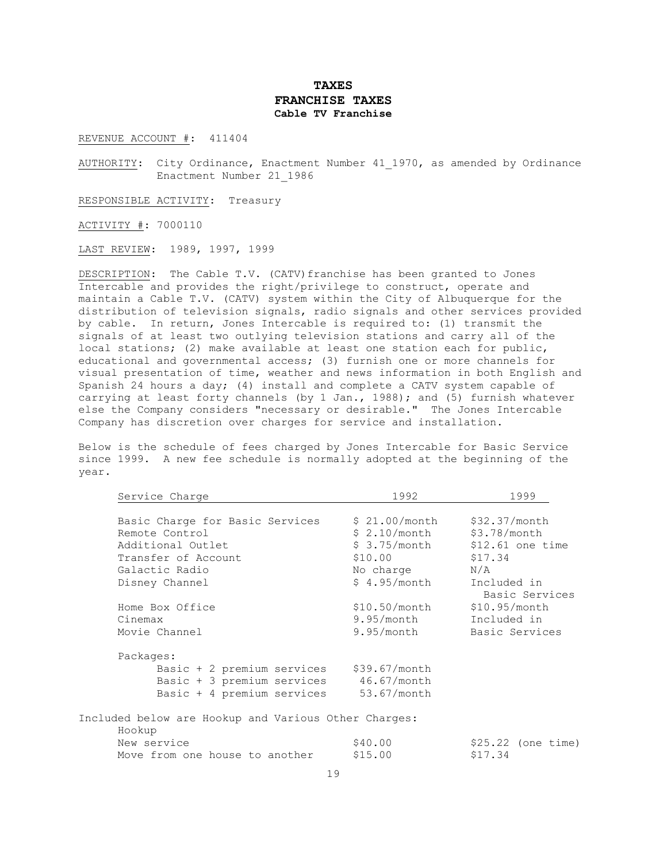## **TAXES FRANCHISE TAXES Cable TV Franchise**

REVENUE ACCOUNT #: 411404

AUTHORITY: City Ordinance, Enactment Number 41\_1970, as amended by Ordinance Enactment Number 21\_1986

RESPONSIBLE ACTIVITY: Treasury

ACTIVITY #: 7000110

LAST REVIEW: 1989, 1997, 1999

DESCRIPTION: The Cable T.V. (CATV) franchise has been granted to Jones Intercable and provides the right/privilege to construct, operate and maintain a Cable T.V. (CATV) system within the City of Albuquerque for the distribution of television signals, radio signals and other services provided by cable. In return, Jones Intercable is required to: (1) transmit the signals of at least two outlying television stations and carry all of the local stations; (2) make available at least one station each for public, educational and governmental access; (3) furnish one or more channels for visual presentation of time, weather and news information in both English and Spanish 24 hours a day; (4) install and complete a CATV system capable of carrying at least forty channels (by 1 Jan., 1988); and (5) furnish whatever else the Company considers "necessary or desirable." The Jones Intercable Company has discretion over charges for service and installation.

Below is the schedule of fees charged by Jones Intercable for Basic Service since 1999. A new fee schedule is normally adopted at the beginning of the year.

| $$21.00/m$ onth<br>\$32.37/month<br>Basic Charge for Basic Services |  |
|---------------------------------------------------------------------|--|
| $$2.10/m$ onth<br>\$3.78/month<br>Remote Control                    |  |
| \$ 3.75/month<br>Additional Outlet<br>$$12.61$ one time             |  |
| \$17.34<br>\$10.00<br>Transfer of Account                           |  |
| Galactic Radio<br>N/A<br>No charge                                  |  |
| \$4.95/month<br>Included in<br>Disney Channel                       |  |
| Basic Services                                                      |  |
| $$10.50/m$ onth<br>\$10.95/month<br>Home Box Office                 |  |
| $9.95/m$ onth<br>Included in<br>Cinemax                             |  |
| $9.95/m$ onth<br>Movie Channel<br>Basic Services                    |  |
| Packages:                                                           |  |
| Basic + 2 premium services<br>\$39.67/month                         |  |
| Basic + 3 premium services 46.67/month                              |  |
| Basic + 4 premium services<br>$53.67/m$ onth                        |  |
| Included below are Hookup and Various Other Charges:<br>Hookup      |  |
| New service<br>\$40.00<br>$$25.22$ (one time)                       |  |
| \$15.00<br>\$17.34<br>Move from one house to another                |  |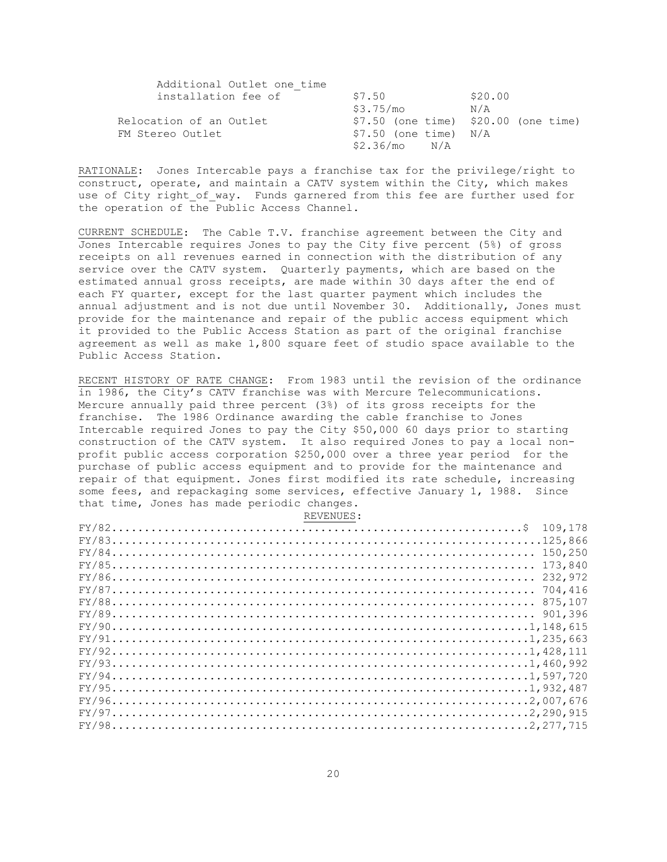| Additional Outlet one time |                          |                                        |
|----------------------------|--------------------------|----------------------------------------|
| installation fee of        | \$7.50                   | \$20.00                                |
|                            | \$3.75/mo                | N/A                                    |
| Relocation of an Outlet    |                          | $$7.50$ (one time) $$20.00$ (one time) |
| FM Stereo Outlet           | $$7.50$ (one time) $N/A$ |                                        |
|                            | \$2.36/mo N/A            |                                        |

RATIONALE: Jones Intercable pays a franchise tax for the privilege/right to construct, operate, and maintain a CATV system within the City, which makes use of City right of way. Funds garnered from this fee are further used for the operation of the Public Access Channel.

CURRENT SCHEDULE: The Cable T.V. franchise agreement between the City and Jones Intercable requires Jones to pay the City five percent (5%) of gross receipts on all revenues earned in connection with the distribution of any service over the CATV system. Quarterly payments, which are based on the estimated annual gross receipts, are made within 30 days after the end of each FY quarter, except for the last quarter payment which includes the annual adjustment and is not due until November 30. Additionally, Jones must provide for the maintenance and repair of the public access equipment which it provided to the Public Access Station as part of the original franchise agreement as well as make 1,800 square feet of studio space available to the Public Access Station.

RECENT HISTORY OF RATE CHANGE: From 1983 until the revision of the ordinance in 1986, the City's CATV franchise was with Mercure Telecommunications. Mercure annually paid three percent (3%) of its gross receipts for the franchise. The 1986 Ordinance awarding the cable franchise to Jones Intercable required Jones to pay the City \$50,000 60 days prior to starting construction of the CATV system. It also required Jones to pay a local nonprofit public access corporation \$250,000 over a three year period for the purchase of public access equipment and to provide for the maintenance and repair of that equipment. Jones first modified its rate schedule, increasing some fees, and repackaging some services, effective January 1, 1988. Since that time, Jones has made periodic changes.

| REVENUES: |  |
|-----------|--|
|-----------|--|

| $FY/82.\dots.\dots.\dots.\dots.\dots.\dots.\dots.\dots.\dots.\dots.\dots.\dots.\dots.\dots.\dots$ | 109,178 |
|---------------------------------------------------------------------------------------------------|---------|
|                                                                                                   |         |
|                                                                                                   |         |
|                                                                                                   | 173,840 |
|                                                                                                   | 232,972 |
| $FY/87$ 704,416                                                                                   |         |
|                                                                                                   |         |
|                                                                                                   |         |
|                                                                                                   |         |
|                                                                                                   |         |
|                                                                                                   |         |
|                                                                                                   |         |
|                                                                                                   |         |
|                                                                                                   |         |
|                                                                                                   |         |
| $FY/972,290,915$                                                                                  |         |
|                                                                                                   |         |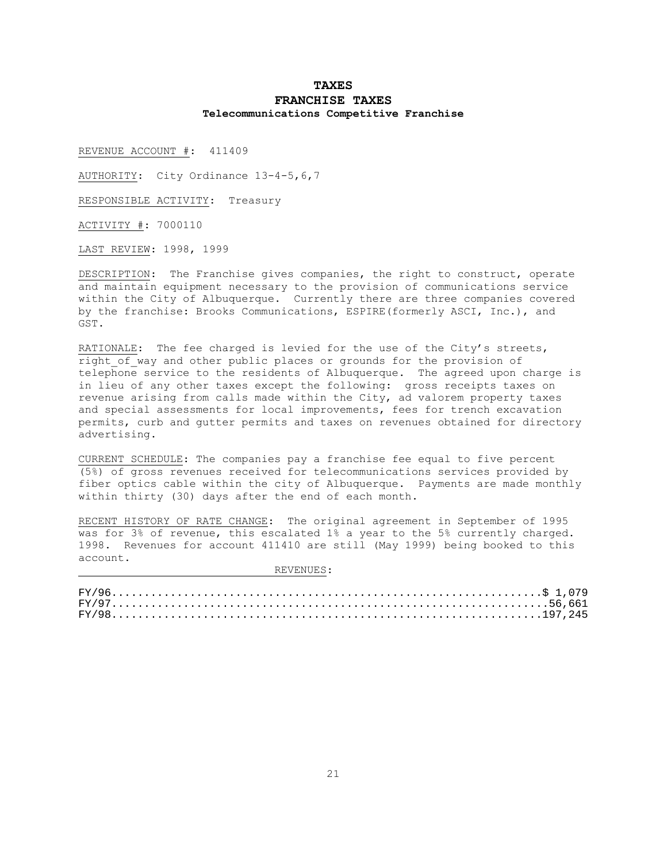# **TAXES FRANCHISE TAXES Telecommunications Competitive Franchise**

REVENUE ACCOUNT #: 411409

AUTHORITY: City Ordinance 13-4-5,6,7

RESPONSIBLE ACTIVITY: Treasury

ACTIVITY #: 7000110

LAST REVIEW: 1998, 1999

DESCRIPTION: The Franchise gives companies, the right to construct, operate and maintain equipment necessary to the provision of communications service within the City of Albuquerque. Currently there are three companies covered by the franchise: Brooks Communications, ESPIRE(formerly ASCI, Inc.), and GST.

RATIONALE: The fee charged is levied for the use of the City's streets, right of way and other public places or grounds for the provision of telephone service to the residents of Albuquerque. The agreed upon charge is in lieu of any other taxes except the following: gross receipts taxes on revenue arising from calls made within the City, ad valorem property taxes and special assessments for local improvements, fees for trench excavation permits, curb and gutter permits and taxes on revenues obtained for directory advertising.

CURRENT SCHEDULE: The companies pay a franchise fee equal to five percent (5%) of gross revenues received for telecommunications services provided by fiber optics cable within the city of Albuquerque. Payments are made monthly within thirty (30) days after the end of each month.

RECENT HISTORY OF RATE CHANGE: The original agreement in September of 1995 was for 3% of revenue, this escalated 1% a year to the 5% currently charged. 1998. Revenues for account 411410 are still (May 1999) being booked to this account.

| $FY/9756,661$ |  |
|---------------|--|
|               |  |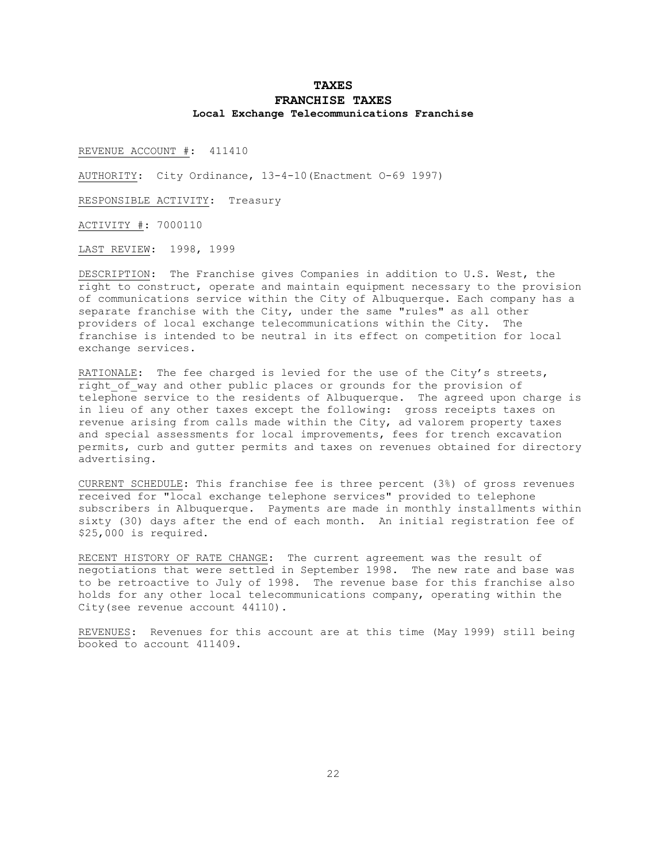# **TAXES FRANCHISE TAXES Local Exchange Telecommunications Franchise**

REVENUE ACCOUNT #: 411410

AUTHORITY: City Ordinance, 13-4-10(Enactment O-69 1997)

RESPONSIBLE ACTIVITY: Treasury

ACTIVITY #: 7000110

LAST REVIEW: 1998, 1999

DESCRIPTION: The Franchise gives Companies in addition to U.S. West, the right to construct, operate and maintain equipment necessary to the provision of communications service within the City of Albuquerque. Each company has a separate franchise with the City, under the same "rules" as all other providers of local exchange telecommunications within the City. The franchise is intended to be neutral in its effect on competition for local exchange services.

RATIONALE: The fee charged is levied for the use of the City's streets, right of way and other public places or grounds for the provision of telephone service to the residents of Albuquerque. The agreed upon charge is in lieu of any other taxes except the following: gross receipts taxes on revenue arising from calls made within the City, ad valorem property taxes and special assessments for local improvements, fees for trench excavation permits, curb and gutter permits and taxes on revenues obtained for directory advertising.

CURRENT SCHEDULE: This franchise fee is three percent (3%) of gross revenues received for "local exchange telephone services" provided to telephone subscribers in Albuquerque. Payments are made in monthly installments within sixty (30) days after the end of each month. An initial registration fee of \$25,000 is required.

RECENT HISTORY OF RATE CHANGE: The current agreement was the result of negotiations that were settled in September 1998. The new rate and base was to be retroactive to July of 1998. The revenue base for this franchise also holds for any other local telecommunications company, operating within the City(see revenue account 44110).

REVENUES: Revenues for this account are at this time (May 1999) still being booked to account 411409.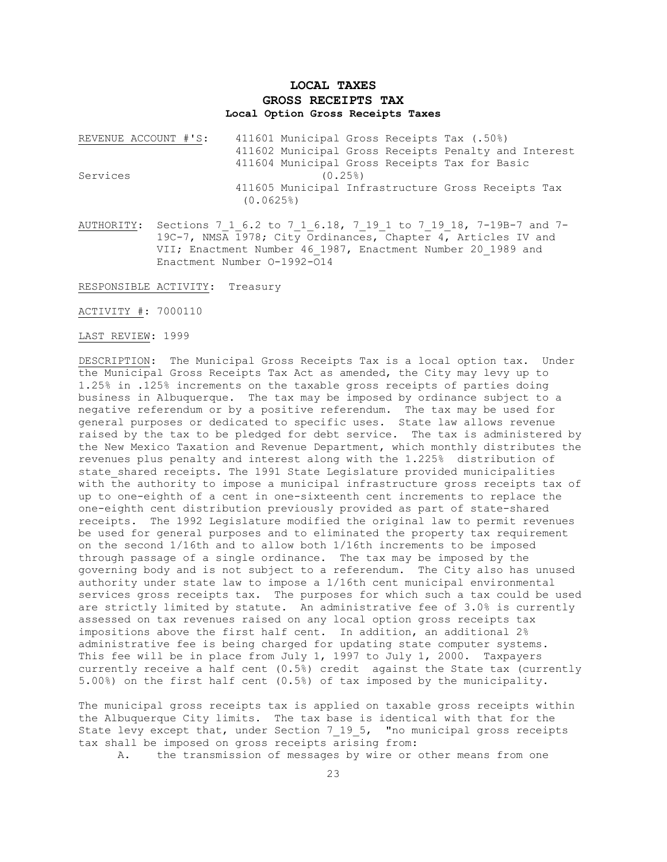# **LOCAL TAXES GROSS RECEIPTS TAX Local Option Gross Receipts Taxes**

| REVENUE ACCOUNT #'S: | 411601 Municipal Gross Receipts Tax (.50%)           |
|----------------------|------------------------------------------------------|
|                      | 411602 Municipal Gross Receipts Penalty and Interest |
|                      | 411604 Municipal Gross Receipts Tax for Basic        |
| Services             | (0.25)                                               |
|                      | 411605 Municipal Infrastructure Gross Receipts Tax   |
|                      | (0.0625)                                             |

AUTHORITY: Sections 7 1 6.2 to 7 1 6.18, 7 19 1 to 7 19 18, 7-19B-7 and 7-19C-7, NMSA 1978; City Ordinances, Chapter 4, Articles IV and VII; Enactment Number 46\_1987, Enactment Number 20\_1989 and Enactment Number O-1992-O14

RESPONSIBLE ACTIVITY: Treasury

ACTIVITY #: 7000110

LAST REVIEW: 1999

DESCRIPTION: The Municipal Gross Receipts Tax is a local option tax. Under the Municipal Gross Receipts Tax Act as amended, the City may levy up to 1.25% in .125% increments on the taxable gross receipts of parties doing business in Albuquerque. The tax may be imposed by ordinance subject to a negative referendum or by a positive referendum. The tax may be used for general purposes or dedicated to specific uses. State law allows revenue raised by the tax to be pledged for debt service. The tax is administered by the New Mexico Taxation and Revenue Department, which monthly distributes the revenues plus penalty and interest along with the 1.225% distribution of state shared receipts. The 1991 State Legislature provided municipalities with the authority to impose a municipal infrastructure gross receipts tax of up to one-eighth of a cent in one-sixteenth cent increments to replace the one-eighth cent distribution previously provided as part of state-shared receipts. The 1992 Legislature modified the original law to permit revenues be used for general purposes and to eliminated the property tax requirement on the second 1/16th and to allow both 1/16th increments to be imposed through passage of a single ordinance. The tax may be imposed by the governing body and is not subject to a referendum. The City also has unused authority under state law to impose a 1/16th cent municipal environmental services gross receipts tax. The purposes for which such a tax could be used are strictly limited by statute. An administrative fee of 3.0% is currently assessed on tax revenues raised on any local option gross receipts tax impositions above the first half cent. In addition, an additional 2% administrative fee is being charged for updating state computer systems. This fee will be in place from July 1, 1997 to July 1, 2000. Taxpayers currently receive a half cent (0.5%) credit against the State tax (currently 5.00%) on the first half cent (0.5%) of tax imposed by the municipality.

The municipal gross receipts tax is applied on taxable gross receipts within the Albuquerque City limits. The tax base is identical with that for the State levy except that, under Section 7 19 5, "no municipal gross receipts tax shall be imposed on gross receipts arising from:

A. the transmission of messages by wire or other means from one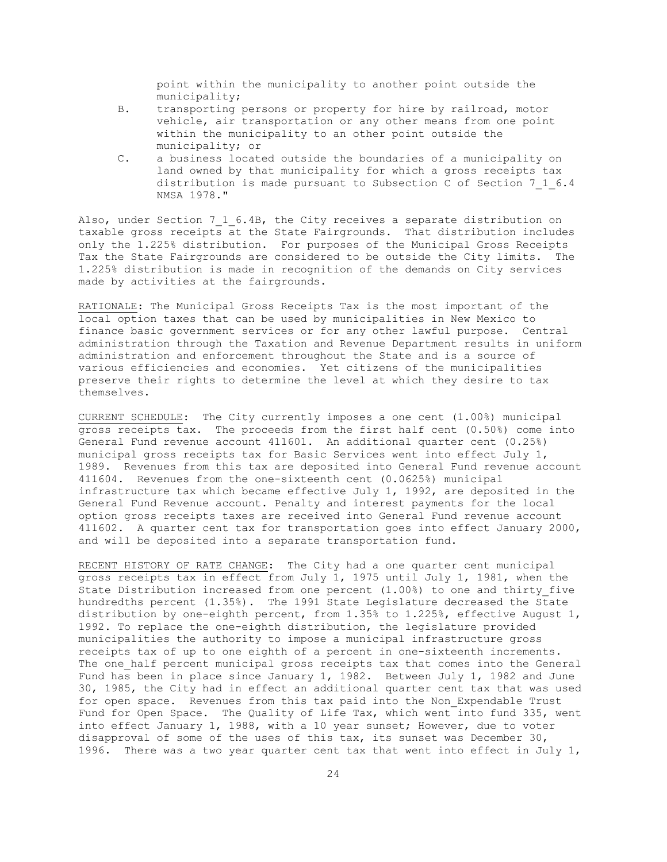point within the municipality to another point outside the municipality;

- B. transporting persons or property for hire by railroad, motor vehicle, air transportation or any other means from one point within the municipality to an other point outside the municipality; or
- C. a business located outside the boundaries of a municipality on land owned by that municipality for which a gross receipts tax distribution is made pursuant to Subsection C of Section 7\_1\_6.4 NMSA 1978."

Also, under Section 7 1 6.4B, the City receives a separate distribution on taxable gross receipts at the State Fairgrounds. That distribution includes only the 1.225% distribution. For purposes of the Municipal Gross Receipts Tax the State Fairgrounds are considered to be outside the City limits. The 1.225% distribution is made in recognition of the demands on City services made by activities at the fairgrounds.

RATIONALE: The Municipal Gross Receipts Tax is the most important of the local option taxes that can be used by municipalities in New Mexico to finance basic government services or for any other lawful purpose. Central administration through the Taxation and Revenue Department results in uniform administration and enforcement throughout the State and is a source of various efficiencies and economies. Yet citizens of the municipalities preserve their rights to determine the level at which they desire to tax themselves.

CURRENT SCHEDULE: The City currently imposes a one cent (1.00%) municipal gross receipts tax. The proceeds from the first half cent (0.50%) come into General Fund revenue account 411601. An additional quarter cent (0.25%) municipal gross receipts tax for Basic Services went into effect July 1, 1989. Revenues from this tax are deposited into General Fund revenue account 411604. Revenues from the one-sixteenth cent (0.0625%) municipal infrastructure tax which became effective July 1, 1992, are deposited in the General Fund Revenue account. Penalty and interest payments for the local option gross receipts taxes are received into General Fund revenue account 411602. A quarter cent tax for transportation goes into effect January 2000, and will be deposited into a separate transportation fund.

RECENT HISTORY OF RATE CHANGE: The City had a one quarter cent municipal gross receipts tax in effect from July 1, 1975 until July 1, 1981, when the State Distribution increased from one percent (1.00%) to one and thirty\_five hundredths percent (1.35%). The 1991 State Legislature decreased the State distribution by one-eighth percent, from 1.35% to 1.225%, effective August 1, 1992. To replace the one-eighth distribution, the legislature provided municipalities the authority to impose a municipal infrastructure gross receipts tax of up to one eighth of a percent in one-sixteenth increments. The one half percent municipal gross receipts tax that comes into the General Fund has been in place since January 1, 1982. Between July 1, 1982 and June 30, 1985, the City had in effect an additional quarter cent tax that was used for open space. Revenues from this tax paid into the Non\_Expendable Trust Fund for Open Space. The Quality of Life Tax, which went into fund 335, went into effect January 1, 1988, with a 10 year sunset; However, due to voter disapproval of some of the uses of this tax, its sunset was December 30, 1996. There was a two year quarter cent tax that went into effect in July 1,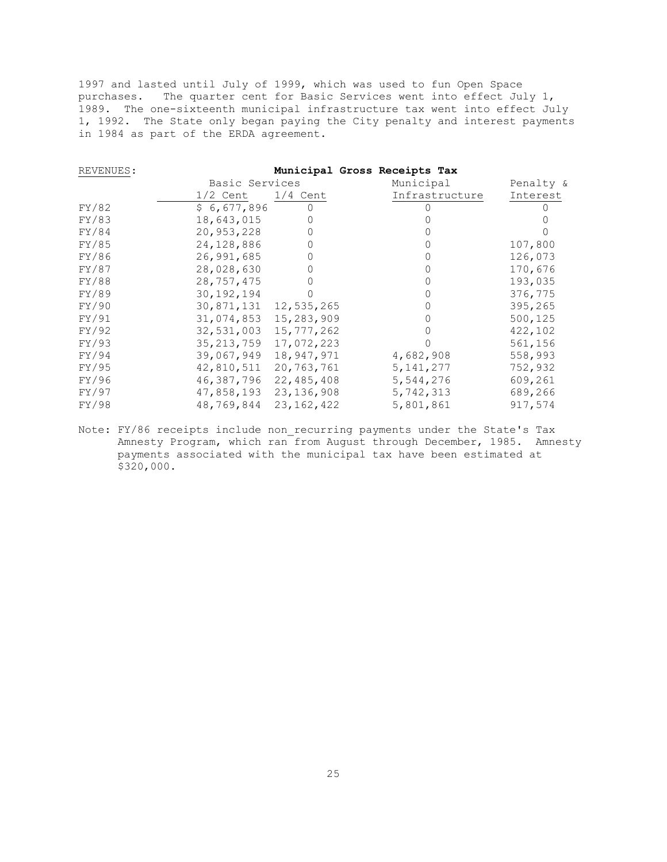1997 and lasted until July of 1999, which was used to fun Open Space purchases. The quarter cent for Basic Services went into effect July 1, 1989. The one-sixteenth municipal infrastructure tax went into effect July 1, 1992. The State only began paying the City penalty and interest payments in 1984 as part of the ERDA agreement.

| REVENUES: |                |              | Municipal Gross Receipts Tax |           |
|-----------|----------------|--------------|------------------------------|-----------|
|           | Basic Services |              | Municipal                    | Penalty & |
|           | $1/2$ Cent     | $1/4$ Cent   | Infrastructure               | Interest  |
| FY/82     | \$6,677,896    |              |                              |           |
| FY/83     | 18,643,015     | 0            |                              |           |
| FY/84     | 20,953,228     |              |                              |           |
| FY/85     | 24,128,886     | 0            |                              | 107,800   |
| FY/86     | 26,991,685     |              |                              | 126,073   |
| FY/87     | 28,028,630     | 0            |                              | 170,676   |
| FY/88     | 28,757,475     |              |                              | 193,035   |
| FY/89     | 30, 192, 194   |              |                              | 376,775   |
| FY/90     | 30,871,131     | 12,535,265   |                              | 395,265   |
| FY/91     | 31,074,853     | 15,283,909   |                              | 500,125   |
| FY/92     | 32,531,003     | 15,777,262   |                              | 422,102   |
| FY/93     | 35, 213, 759   | 17,072,223   |                              | 561,156   |
| FY/94     | 39,067,949     | 18,947,971   | 4,682,908                    | 558,993   |
| FY/95     | 42,810,511     | 20,763,761   | 5, 141, 277                  | 752,932   |
| FY/96     | 46,387,796     | 22,485,408   | 5,544,276                    | 609,261   |
| FY/97     | 47,858,193     | 23, 136, 908 | 5,742,313                    | 689,266   |
| FY/98     | 48,769,844     | 23, 162, 422 | 5,801,861                    | 917,574   |

Note: FY/86 receipts include non recurring payments under the State's Tax Amnesty Program, which ran from August through December, 1985. Amnesty payments associated with the municipal tax have been estimated at \$320,000.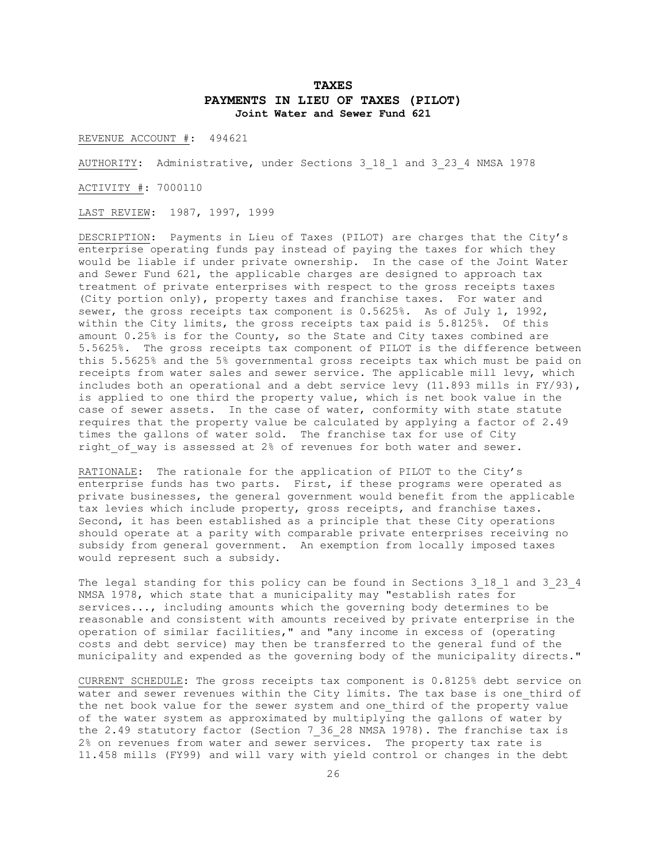## **TAXES PAYMENTS IN LIEU OF TAXES (PILOT) Joint Water and Sewer Fund 621**

REVENUE ACCOUNT #: 494621

AUTHORITY: Administrative, under Sections 3\_18\_1 and 3\_23\_4 NMSA 1978

ACTIVITY #: 7000110

LAST REVIEW: 1987, 1997, 1999

DESCRIPTION: Payments in Lieu of Taxes (PILOT) are charges that the City's enterprise operating funds pay instead of paying the taxes for which they would be liable if under private ownership. In the case of the Joint Water and Sewer Fund 621, the applicable charges are designed to approach tax treatment of private enterprises with respect to the gross receipts taxes (City portion only), property taxes and franchise taxes. For water and sewer, the gross receipts tax component is 0.5625%. As of July 1, 1992, within the City limits, the gross receipts tax paid is 5.8125%. Of this amount 0.25% is for the County, so the State and City taxes combined are 5.5625%. The gross receipts tax component of PILOT is the difference between this 5.5625% and the 5% governmental gross receipts tax which must be paid on receipts from water sales and sewer service. The applicable mill levy, which includes both an operational and a debt service levy (11.893 mills in FY/93), is applied to one third the property value, which is net book value in the case of sewer assets. In the case of water, conformity with state statute requires that the property value be calculated by applying a factor of 2.49 times the gallons of water sold. The franchise tax for use of City right of way is assessed at 2% of revenues for both water and sewer.

RATIONALE: The rationale for the application of PILOT to the City's enterprise funds has two parts. First, if these programs were operated as private businesses, the general government would benefit from the applicable tax levies which include property, gross receipts, and franchise taxes. Second, it has been established as a principle that these City operations should operate at a parity with comparable private enterprises receiving no subsidy from general government. An exemption from locally imposed taxes would represent such a subsidy.

The legal standing for this policy can be found in Sections 3 18 1 and 3 23 4 NMSA 1978, which state that a municipality may "establish rates for services..., including amounts which the governing body determines to be reasonable and consistent with amounts received by private enterprise in the operation of similar facilities," and "any income in excess of (operating costs and debt service) may then be transferred to the general fund of the municipality and expended as the governing body of the municipality directs."

CURRENT SCHEDULE: The gross receipts tax component is 0.8125% debt service on water and sewer revenues within the City limits. The tax base is one third of the net book value for the sewer system and one third of the property value of the water system as approximated by multiplying the gallons of water by the 2.49 statutory factor (Section 7\_36\_28 NMSA 1978). The franchise tax is 2% on revenues from water and sewer services. The property tax rate is 11.458 mills (FY99) and will vary with yield control or changes in the debt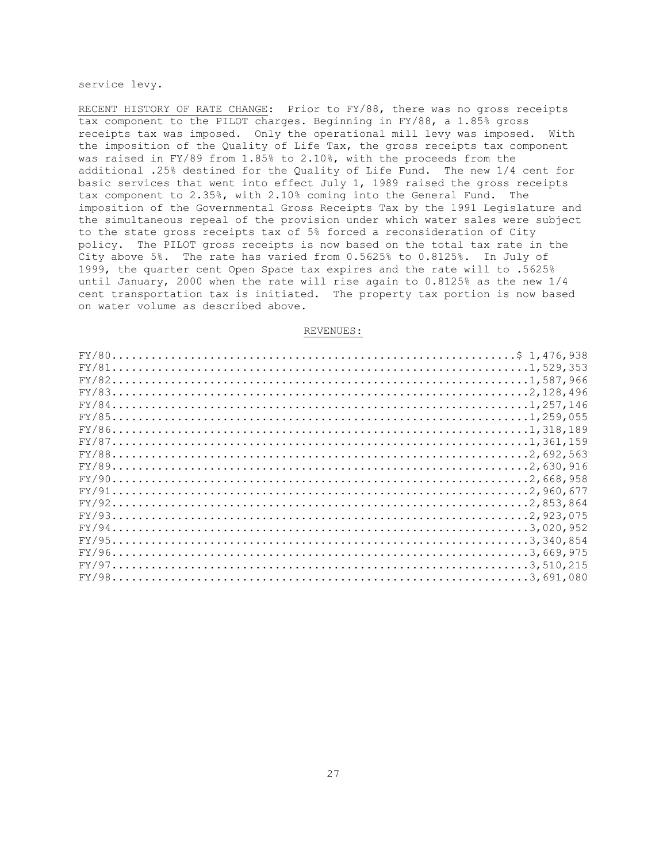service levy.

RECENT HISTORY OF RATE CHANGE: Prior to FY/88, there was no gross receipts tax component to the PILOT charges. Beginning in FY/88, a 1.85% gross receipts tax was imposed. Only the operational mill levy was imposed. With the imposition of the Quality of Life Tax, the gross receipts tax component was raised in FY/89 from 1.85% to 2.10%, with the proceeds from the additional .25% destined for the Quality of Life Fund. The new 1/4 cent for basic services that went into effect July 1, 1989 raised the gross receipts tax component to 2.35%, with 2.10% coming into the General Fund. The imposition of the Governmental Gross Receipts Tax by the 1991 Legislature and the simultaneous repeal of the provision under which water sales were subject to the state gross receipts tax of 5% forced a reconsideration of City policy. The PILOT gross receipts is now based on the total tax rate in the City above 5%. The rate has varied from 0.5625% to 0.8125%. In July of 1999, the quarter cent Open Space tax expires and the rate will to .5625% until January, 2000 when the rate will rise again to 0.8125% as the new 1/4 cent transportation tax is initiated. The property tax portion is now based on water volume as described above.

| $FY/851,259,055$ |  |
|------------------|--|
|                  |  |
| $FY/87$          |  |
| $FY/882,692,563$ |  |
|                  |  |
|                  |  |
| $FY/912,960,677$ |  |
|                  |  |
|                  |  |
|                  |  |
|                  |  |
|                  |  |
|                  |  |
|                  |  |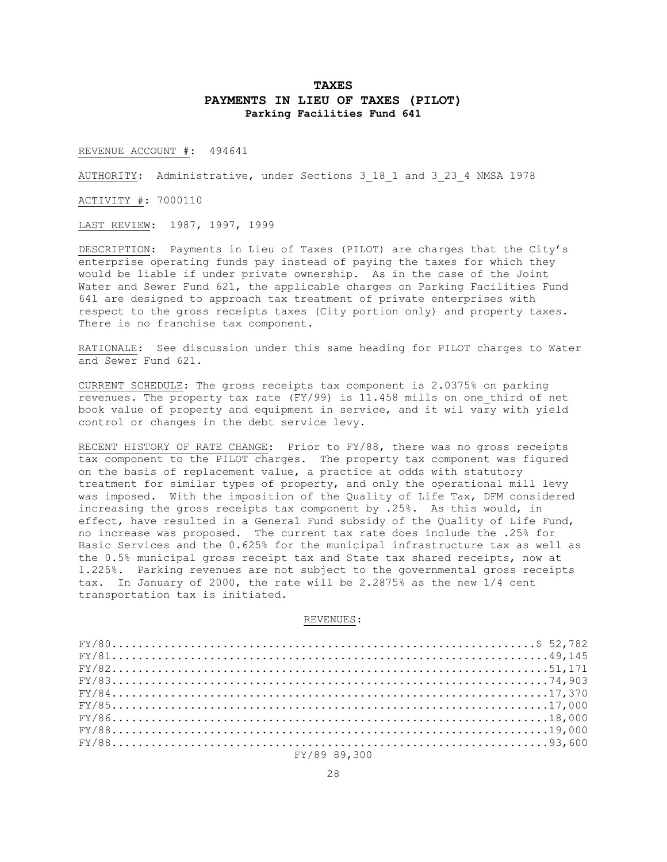# **TAXES PAYMENTS IN LIEU OF TAXES (PILOT) Parking Facilities Fund 641**

REVENUE ACCOUNT #: 494641

AUTHORITY: Administrative, under Sections 3\_18\_1 and 3\_23\_4 NMSA 1978

ACTIVITY #: 7000110

LAST REVIEW: 1987, 1997, 1999

DESCRIPTION: Payments in Lieu of Taxes (PILOT) are charges that the City's enterprise operating funds pay instead of paying the taxes for which they would be liable if under private ownership. As in the case of the Joint Water and Sewer Fund 621, the applicable charges on Parking Facilities Fund 641 are designed to approach tax treatment of private enterprises with respect to the gross receipts taxes (City portion only) and property taxes. There is no franchise tax component.

RATIONALE: See discussion under this same heading for PILOT charges to Water and Sewer Fund 621.

CURRENT SCHEDULE: The gross receipts tax component is 2.0375% on parking revenues. The property tax rate (FY/99) is 11.458 mills on one\_third of net book value of property and equipment in service, and it wil vary with yield control or changes in the debt service levy.

RECENT HISTORY OF RATE CHANGE: Prior to FY/88, there was no gross receipts tax component to the PILOT charges. The property tax component was figured on the basis of replacement value, a practice at odds with statutory treatment for similar types of property, and only the operational mill levy was imposed. With the imposition of the Quality of Life Tax, DFM considered increasing the gross receipts tax component by .25%. As this would, in effect, have resulted in a General Fund subsidy of the Quality of Life Fund, no increase was proposed. The current tax rate does include the .25% for Basic Services and the 0.625% for the municipal infrastructure tax as well as the 0.5% municipal gross receipt tax and State tax shared receipts, now at 1.225%. Parking revenues are not subject to the governmental gross receipts tax. In January of 2000, the rate will be 2.2875% as the new 1/4 cent transportation tax is initiated.

| $FY/8149,145$ |  |
|---------------|--|
|               |  |
| $FY/8374,903$ |  |
| $FY/8417,370$ |  |
| $FY/8517,000$ |  |
|               |  |
| $FY/880000$   |  |
| $FY/8893,600$ |  |
| FY/89 89.300  |  |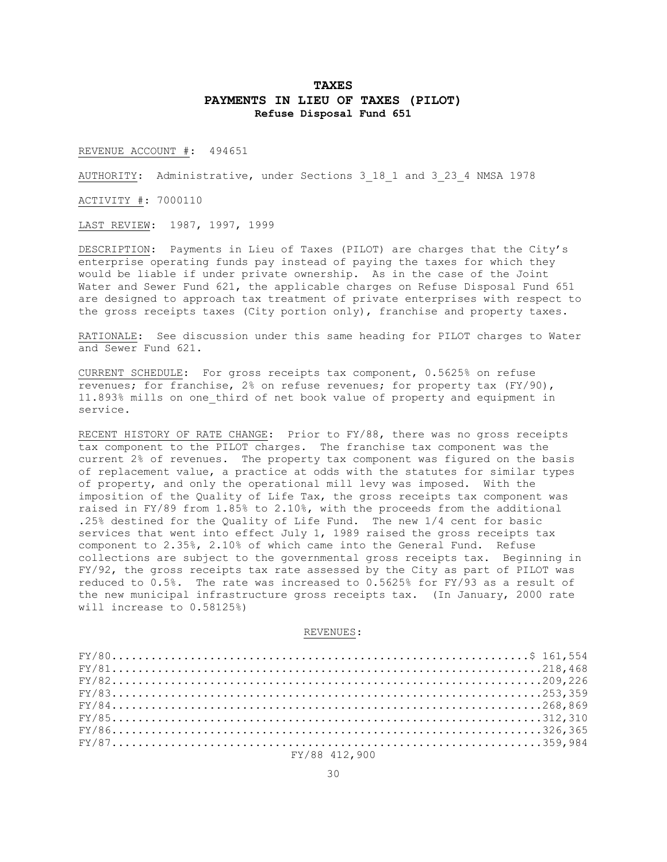## **TAXES PAYMENTS IN LIEU OF TAXES (PILOT) Refuse Disposal Fund 651**

REVENUE ACCOUNT #: 494651

AUTHORITY: Administrative, under Sections 3\_18\_1 and 3\_23\_4 NMSA 1978

ACTIVITY #: 7000110

LAST REVIEW: 1987, 1997, 1999

DESCRIPTION: Payments in Lieu of Taxes (PILOT) are charges that the City's enterprise operating funds pay instead of paying the taxes for which they would be liable if under private ownership. As in the case of the Joint Water and Sewer Fund 621, the applicable charges on Refuse Disposal Fund 651 are designed to approach tax treatment of private enterprises with respect to the gross receipts taxes (City portion only), franchise and property taxes.

RATIONALE: See discussion under this same heading for PILOT charges to Water and Sewer Fund 621.

CURRENT SCHEDULE: For gross receipts tax component, 0.5625% on refuse revenues; for franchise, 2% on refuse revenues; for property tax (FY/90), 11.893% mills on one\_third of net book value of property and equipment in service.

RECENT HISTORY OF RATE CHANGE: Prior to FY/88, there was no gross receipts tax component to the PILOT charges. The franchise tax component was the current 2% of revenues. The property tax component was figured on the basis of replacement value, a practice at odds with the statutes for similar types of property, and only the operational mill levy was imposed. With the imposition of the Quality of Life Tax, the gross receipts tax component was raised in FY/89 from 1.85% to 2.10%, with the proceeds from the additional .25% destined for the Quality of Life Fund. The new 1/4 cent for basic services that went into effect July 1, 1989 raised the gross receipts tax component to 2.35%, 2.10% of which came into the General Fund. Refuse collections are subject to the governmental gross receipts tax. Beginning in FY/92, the gross receipts tax rate assessed by the City as part of PILOT was reduced to 0.5%. The rate was increased to 0.5625% for FY/93 as a result of the new municipal infrastructure gross receipts tax. (In January, 2000 rate will increase to 0.58125%)

| $FY/81218,468$ |  |
|----------------|--|
| $FY/82209,226$ |  |
|                |  |
|                |  |
| $FY/85312,310$ |  |
|                |  |
| $FY/87359,984$ |  |
| FY/88 412.900  |  |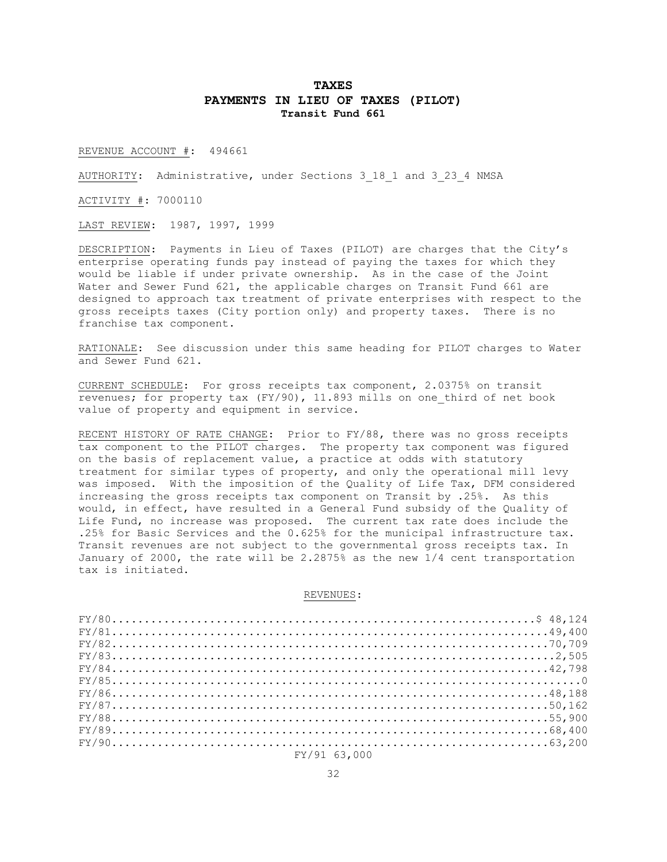## **TAXES PAYMENTS IN LIEU OF TAXES (PILOT) Transit Fund 661**

REVENUE ACCOUNT #: 494661

AUTHORITY: Administrative, under Sections 3\_18\_1 and 3\_23\_4 NMSA

ACTIVITY #: 7000110

LAST REVIEW: 1987, 1997, 1999

DESCRIPTION: Payments in Lieu of Taxes (PILOT) are charges that the City's enterprise operating funds pay instead of paying the taxes for which they would be liable if under private ownership. As in the case of the Joint Water and Sewer Fund 621, the applicable charges on Transit Fund 661 are designed to approach tax treatment of private enterprises with respect to the gross receipts taxes (City portion only) and property taxes. There is no franchise tax component.

RATIONALE: See discussion under this same heading for PILOT charges to Water and Sewer Fund 621.

CURRENT SCHEDULE: For gross receipts tax component, 2.0375% on transit revenues; for property tax (FY/90), 11.893 mills on one\_third of net book value of property and equipment in service.

RECENT HISTORY OF RATE CHANGE: Prior to FY/88, there was no gross receipts tax component to the PILOT charges. The property tax component was figured on the basis of replacement value, a practice at odds with statutory treatment for similar types of property, and only the operational mill levy was imposed. With the imposition of the Quality of Life Tax, DFM considered increasing the gross receipts tax component on Transit by .25%. As this would, in effect, have resulted in a General Fund subsidy of the Quality of Life Fund, no increase was proposed. The current tax rate does include the .25% for Basic Services and the 0.625% for the municipal infrastructure tax. Transit revenues are not subject to the governmental gross receipts tax. In January of 2000, the rate will be 2.2875% as the new 1/4 cent transportation tax is initiated.

| $FY/8149,400$ |
|---------------|
| $FY/82$       |
| $FY/832,505$  |
|               |
|               |
|               |
|               |
| $FY/8855,900$ |
|               |
|               |
| FY/91 63.000  |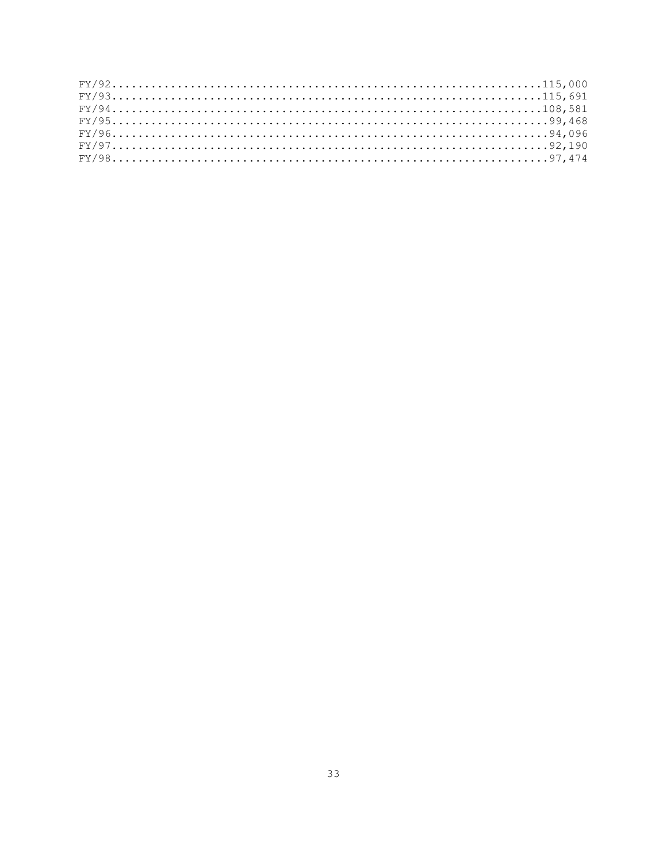| $FY/92115,000$ |  |  |  |  |  |  |  |  |  |  |  |  |  |  |  |  |  |  |  |  |  |  |  |  |  |  |  |  |  |
|----------------|--|--|--|--|--|--|--|--|--|--|--|--|--|--|--|--|--|--|--|--|--|--|--|--|--|--|--|--|--|
|                |  |  |  |  |  |  |  |  |  |  |  |  |  |  |  |  |  |  |  |  |  |  |  |  |  |  |  |  |  |
|                |  |  |  |  |  |  |  |  |  |  |  |  |  |  |  |  |  |  |  |  |  |  |  |  |  |  |  |  |  |
|                |  |  |  |  |  |  |  |  |  |  |  |  |  |  |  |  |  |  |  |  |  |  |  |  |  |  |  |  |  |
|                |  |  |  |  |  |  |  |  |  |  |  |  |  |  |  |  |  |  |  |  |  |  |  |  |  |  |  |  |  |
|                |  |  |  |  |  |  |  |  |  |  |  |  |  |  |  |  |  |  |  |  |  |  |  |  |  |  |  |  |  |
|                |  |  |  |  |  |  |  |  |  |  |  |  |  |  |  |  |  |  |  |  |  |  |  |  |  |  |  |  |  |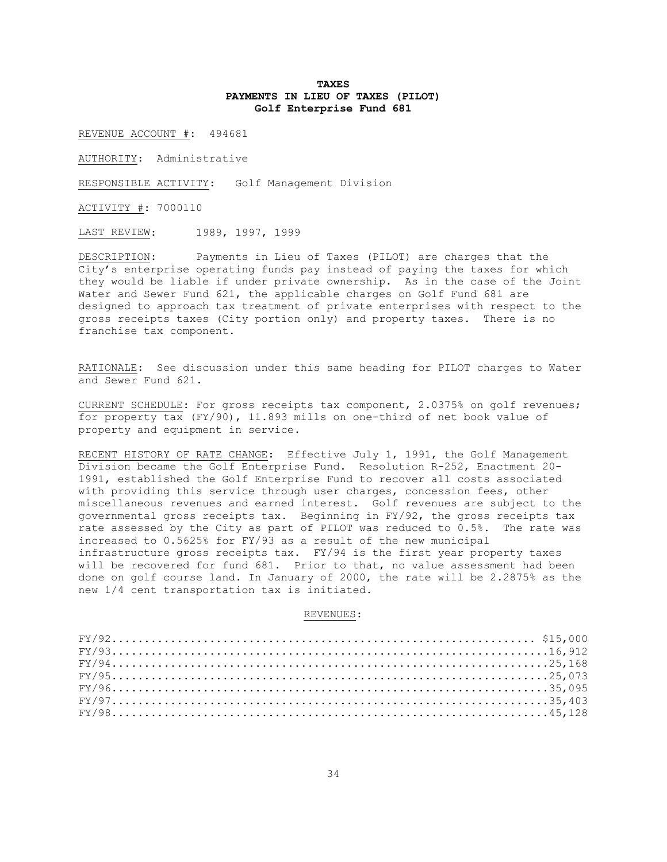### **TAXES PAYMENTS IN LIEU OF TAXES (PILOT) Golf Enterprise Fund 681**

REVENUE ACCOUNT #: 494681

AUTHORITY: Administrative

RESPONSIBLE ACTIVITY: Golf Management Division

ACTIVITY #: 7000110

LAST REVIEW: 1989, 1997, 1999

DESCRIPTION: Payments in Lieu of Taxes (PILOT) are charges that the City's enterprise operating funds pay instead of paying the taxes for which they would be liable if under private ownership. As in the case of the Joint Water and Sewer Fund 621, the applicable charges on Golf Fund 681 are designed to approach tax treatment of private enterprises with respect to the gross receipts taxes (City portion only) and property taxes. There is no franchise tax component.

RATIONALE: See discussion under this same heading for PILOT charges to Water and Sewer Fund 621.

CURRENT SCHEDULE: For gross receipts tax component, 2.0375% on golf revenues; for property tax (FY/90), 11.893 mills on one-third of net book value of property and equipment in service.

RECENT HISTORY OF RATE CHANGE: Effective July 1, 1991, the Golf Management Division became the Golf Enterprise Fund. Resolution R-252, Enactment 20- 1991, established the Golf Enterprise Fund to recover all costs associated with providing this service through user charges, concession fees, other miscellaneous revenues and earned interest. Golf revenues are subject to the governmental gross receipts tax. Beginning in FY/92, the gross receipts tax rate assessed by the City as part of PILOT was reduced to 0.5%. The rate was increased to 0.5625% for FY/93 as a result of the new municipal infrastructure gross receipts tax. FY/94 is the first year property taxes will be recovered for fund 681. Prior to that, no value assessment had been done on golf course land. In January of 2000, the rate will be 2.2875% as the new 1/4 cent transportation tax is initiated.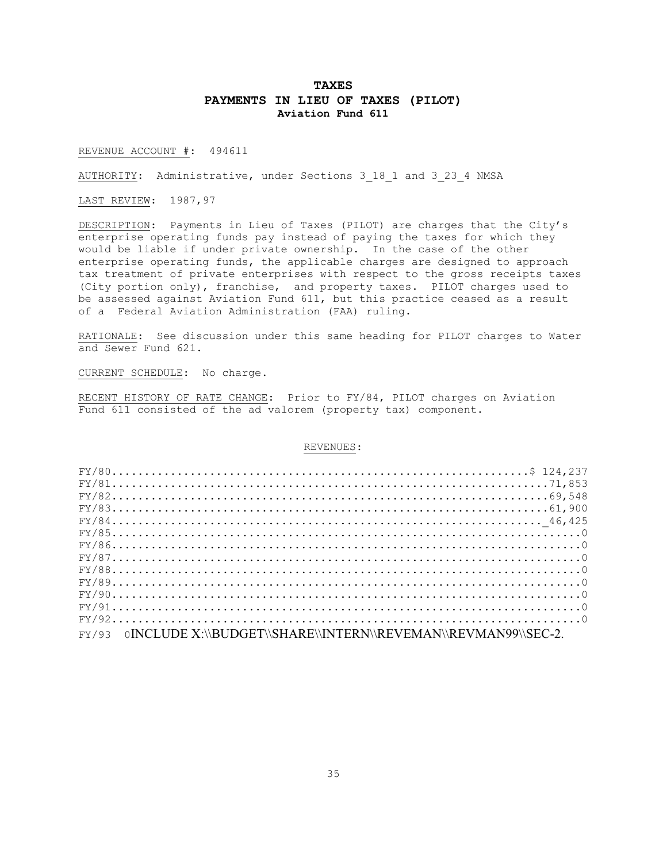## **TAXES PAYMENTS IN LIEU OF TAXES (PILOT) Aviation Fund 611**

REVENUE ACCOUNT #: 494611

AUTHORITY: Administrative, under Sections 3\_18\_1 and 3\_23\_4 NMSA

LAST REVIEW: 1987,97

DESCRIPTION: Payments in Lieu of Taxes (PILOT) are charges that the City's enterprise operating funds pay instead of paying the taxes for which they would be liable if under private ownership. In the case of the other enterprise operating funds, the applicable charges are designed to approach tax treatment of private enterprises with respect to the gross receipts taxes (City portion only), franchise, and property taxes. PILOT charges used to be assessed against Aviation Fund 611, but this practice ceased as a result of a Federal Aviation Administration (FAA) ruling.

RATIONALE: See discussion under this same heading for PILOT charges to Water and Sewer Fund 621.

CURRENT SCHEDULE: No charge.

RECENT HISTORY OF RATE CHANGE: Prior to FY/84, PILOT charges on Aviation Fund 611 consisted of the ad valorem (property tax) component.

| $FY/8171,853$                                                          |  |
|------------------------------------------------------------------------|--|
|                                                                        |  |
|                                                                        |  |
|                                                                        |  |
|                                                                        |  |
|                                                                        |  |
| $FY/87$                                                                |  |
|                                                                        |  |
|                                                                        |  |
|                                                                        |  |
|                                                                        |  |
|                                                                        |  |
| FY/93<br>0INCLUDE X:\\BUDGET\\SHARE\\INTERN\\REVEMAN\\REVMAN99\\SEC-2. |  |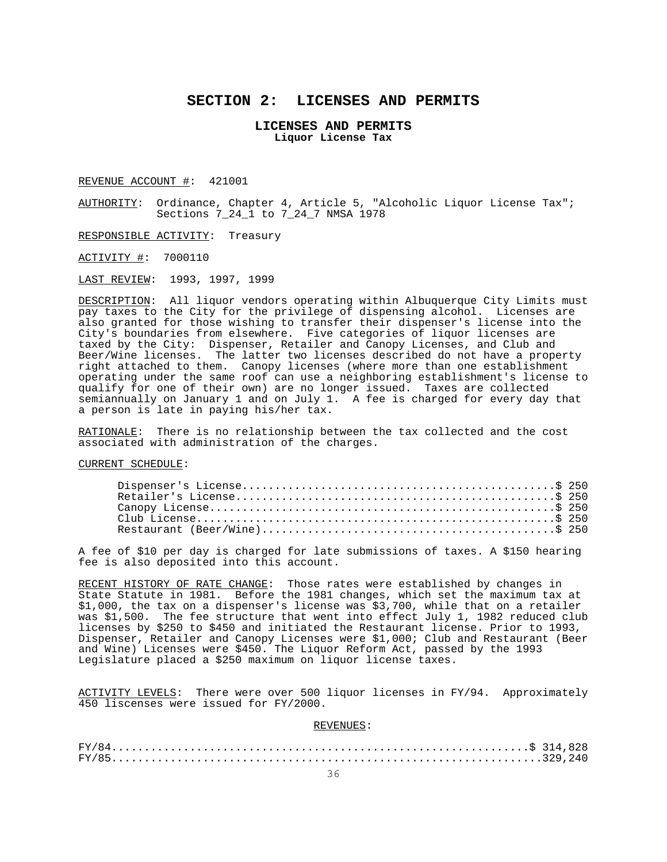# **SECTION 2: LICENSES AND PERMITS**

### **LICENSES AND PERMITS Liquor License Tax**

REVENUE ACCOUNT #: 421001

AUTHORITY: Ordinance, Chapter 4, Article 5, "Alcoholic Liquor License Tax"; Sections 7\_24\_1 to 7\_24\_7 NMSA 1978

RESPONSIBLE ACTIVITY: Treasury

ACTIVITY #: 7000110

LAST REVIEW: 1993, 1997, 1999

DESCRIPTION: All liquor vendors operating within Albuquerque City Limits must pay taxes to the City for the privilege of dispensing alcohol. Licenses are also granted for those wishing to transfer their dispenser's license into the City's boundaries from elsewhere. Five categories of liquor licenses are taxed by the City: Dispenser, Retailer and Canopy Licenses, and Club and Beer/Wine licenses. The latter two licenses described do not have a property right attached to them. Canopy licenses (where more than one establishment operating under the same roof can use a neighboring establishment's license to qualify for one of their own) are no longer issued. Taxes are collected semiannually on January 1 and on July 1. A fee is charged for every day that a person is late in paying his/her tax.

RATIONALE: There is no relationship between the tax collected and the cost associated with administration of the charges.

CURRENT SCHEDULE:

A fee of \$10 per day is charged for late submissions of taxes. A \$150 hearing fee is also deposited into this account.

RECENT HISTORY OF RATE CHANGE: Those rates were established by changes in State Statute in 1981. Before the 1981 changes, which set the maximum tax at \$1,000, the tax on a dispenser's license was \$3,700, while that on a retailer was \$1,500. The fee structure that went into effect July 1, 1982 reduced club licenses by \$250 to \$450 and initiated the Restaurant license. Prior to 1993, Dispenser, Retailer and Canopy Licenses were \$1,000; Club and Restaurant (Beer and Wine) Licenses were \$450. The Liquor Reform Act, passed by the 1993 Legislature placed a \$250 maximum on liquor license taxes.

ACTIVITY LEVELS: There were over 500 liquor licenses in FY/94. Approximately 450 liscenses were issued for FY/2000.

| $FY/85329,240$ |
|----------------|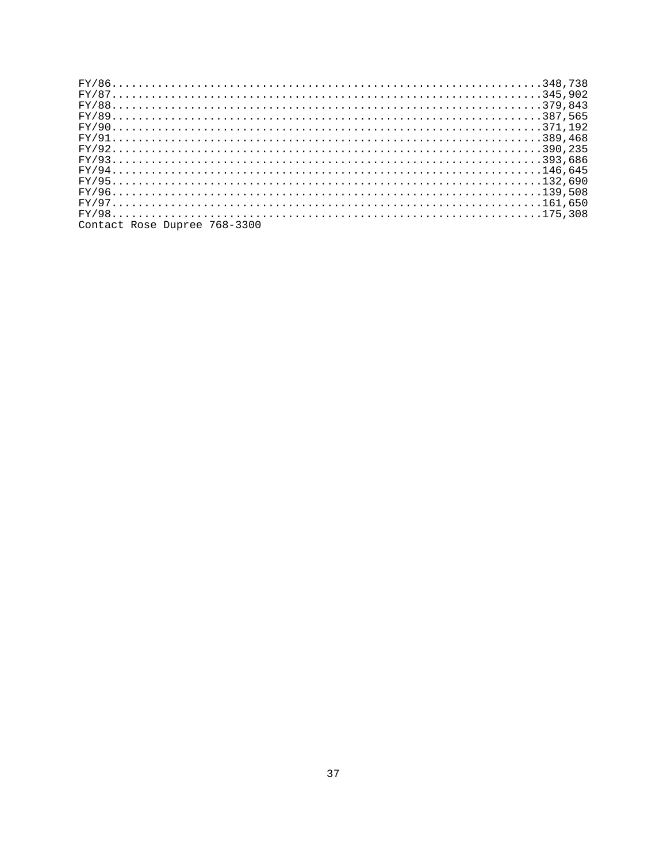| Contact Rose Dupree 768-3300 |  |  |  |  |  |  |  |  |  |  |  |  |  |  |  |  |  |  |  |  |  |  |  |  |  |  |
|------------------------------|--|--|--|--|--|--|--|--|--|--|--|--|--|--|--|--|--|--|--|--|--|--|--|--|--|--|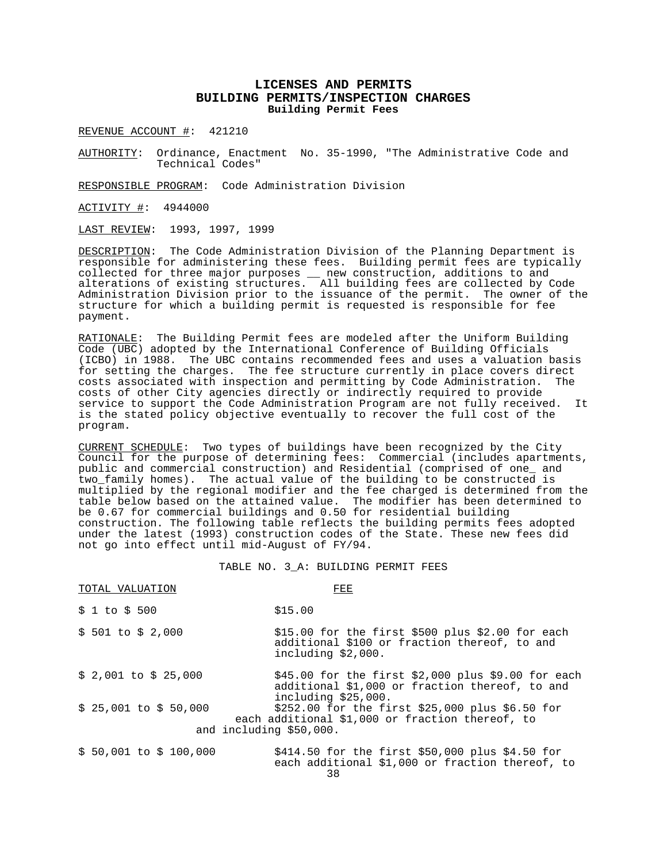### **LICENSES AND PERMITS BUILDING PERMITS/INSPECTION CHARGES Building Permit Fees**

REVENUE ACCOUNT #: 421210

AUTHORITY: Ordinance, Enactment No. 35-1990, "The Administrative Code and Technical Codes"

RESPONSIBLE PROGRAM: Code Administration Division

ACTIVITY #: 4944000

LAST REVIEW: 1993, 1997, 1999

DESCRIPTION: The Code Administration Division of the Planning Department is responsible for administering these fees. Building permit fees are typically collected for three major purposes \_\_ new construction, additions to and alterations of existing structures. All building fees are collected by Code Administration Division prior to the issuance of the permit. The owner of the structure for which a building permit is requested is responsible for fee payment.

RATIONALE: The Building Permit fees are modeled after the Uniform Building Code (UBC) adopted by the International Conference of Building Officials (ICBO) in 1988. The UBC contains recommended fees and uses a valuation basis for setting the charges. The fee structure currently in place covers direct costs associated with inspection and permitting by Code Administration. costs of other City agencies directly or indirectly required to provide service to support the Code Administration Program are not fully received. It is the stated policy objective eventually to recover the full cost of the program.

CURRENT SCHEDULE: Two types of buildings have been recognized by the City Council for the purpose of determining fees: Commercial (includes apartments, public and commercial construction) and Residential (comprised of one\_ and two family homes). The actual value of the building to be constructed is multiplied by the regional modifier and the fee charged is determined from the table below based on the attained value. The modifier has been determined to be 0.67 for commercial buildings and 0.50 for residential building construction. The following table reflects the building permits fees adopted under the latest (1993) construction codes of the State. These new fees did not go into effect until mid-August of FY/94.

#### TABLE NO. 3\_A: BUILDING PERMIT FEES

| TOTAL VALUATION                                   | FEE                                                                                                                         |
|---------------------------------------------------|-----------------------------------------------------------------------------------------------------------------------------|
| \$1 to \$500                                      | \$15.00                                                                                                                     |
| \$ 501 to \$ 2,000                                | \$15.00 for the first \$500 plus \$2.00 for each<br>additional \$100 or fraction thereof, to and<br>including \$2,000.      |
| $$2,001$ to $$25,000$                             | \$45.00 for the first \$2,000 plus \$9.00 for each<br>additional \$1,000 or fraction thereof, to and<br>including \$25,000. |
| $$25,001$ to $$50,000$<br>and including \$50,000. | $$252.00$ for the first $$25,000$ plus $$6.50$ for<br>each additional \$1,000 or fraction thereof, to                       |
| $$50,001$ to $$100,000$                           | \$414.50 for the first \$50,000 plus \$4.50 for<br>each additional \$1,000 or fraction thereof, to                          |

38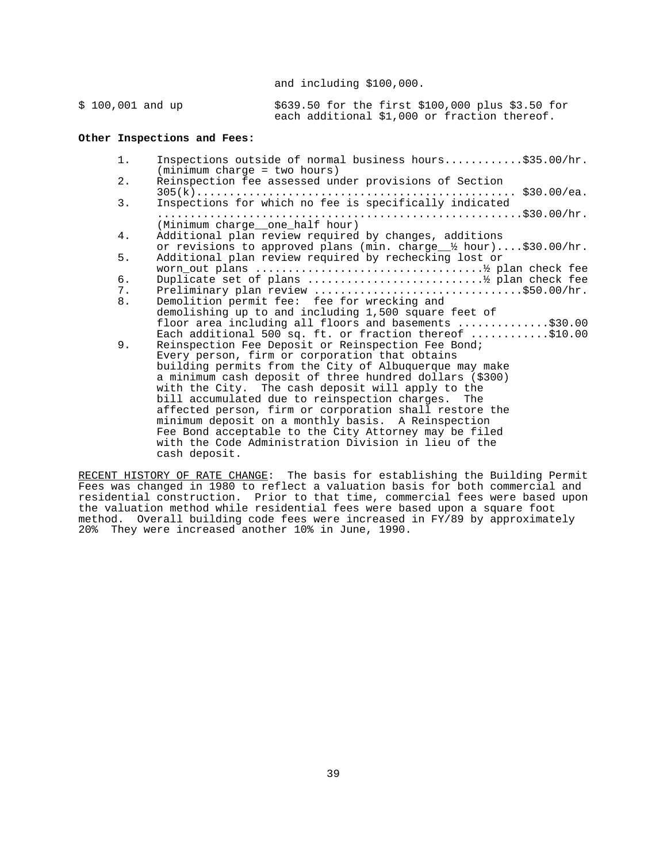and including \$100,000.

| $$100,001$ and up |  | \$639.50 for the first \$100,000 plus \$3.50 for |  |
|-------------------|--|--------------------------------------------------|--|
|                   |  | each additional \$1,000 or fraction thereof.     |  |

### **Other Inspections and Fees:**

| 1. | Inspections outside of normal business hours\$35.00/hr.<br>$(minimum \ charge = two \ hours)$                                       |
|----|-------------------------------------------------------------------------------------------------------------------------------------|
| 2. | Reinspection fee assessed under provisions of Section                                                                               |
| 3. | Inspections for which no fee is specifically indicated                                                                              |
|    | (Minimum charge__one_half hour)                                                                                                     |
| 4. | Additional plan review required by changes, additions<br>or revisions to approved plans (min. charge $\frac{1}{2}$ hour)\$30.00/hr. |
| 5. | Additional plan review required by rechecking lost or                                                                               |
| б. |                                                                                                                                     |
| 7. | Preliminary plan review \$50.00/hr.                                                                                                 |
| 8. | Demolition permit fee: fee for wrecking and                                                                                         |
|    | demolishing up to and including 1,500 square feet of                                                                                |
|    | floor area including all floors and basements \$30.00                                                                               |
|    | Each additional 500 sq. ft. or fraction thereof $\ldots \ldots \ldots$ \$10.00                                                      |
| 9. | Reinspection Fee Deposit or Reinspection Fee Bond;                                                                                  |
|    | Every person, firm or corporation that obtains                                                                                      |
|    | building permits from the City of Albuquerque may make                                                                              |
|    | a minimum cash deposit of three hundred dollars (\$300)                                                                             |
|    | with the City. The cash deposit will apply to the                                                                                   |
|    | bill accumulated due to reinspection charges. The                                                                                   |
|    | affected person, firm or corporation shall restore the                                                                              |
|    | minimum deposit on a monthly basis. A Reinspection                                                                                  |
|    | Fee Bond acceptable to the City Attorney may be filed<br>with the Code Administration Division in lieu of the                       |
|    | cash deposit.                                                                                                                       |
|    |                                                                                                                                     |

RECENT HISTORY OF RATE CHANGE: The basis for establishing the Building Permit Fees was changed in 1980 to reflect a valuation basis for both commercial and residential construction. Prior to that time, commercial fees were based upon the valuation method while residential fees were based upon a square foot method. Overall building code fees were increased in FY/89 by approximately 20% They were increased another 10% in June, 1990.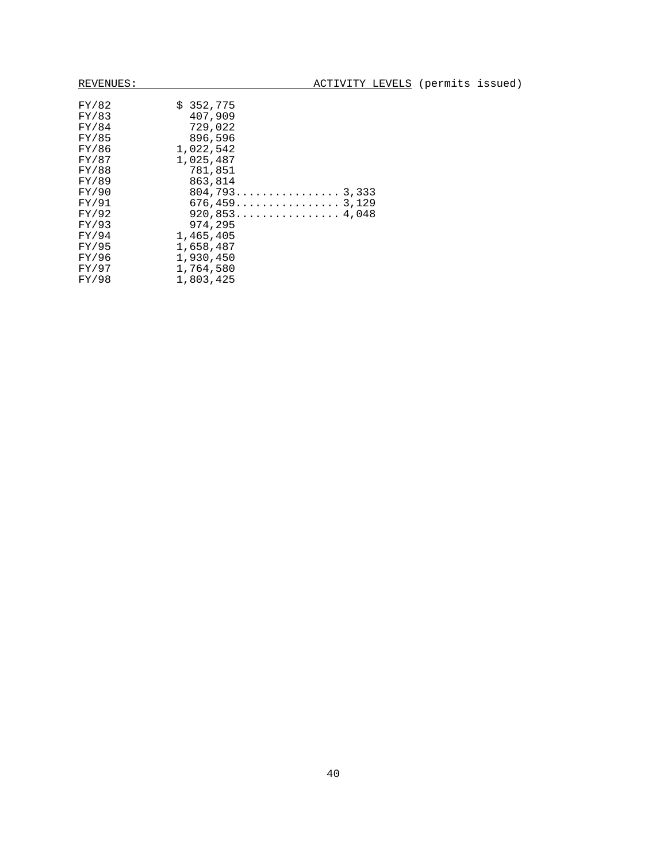| FY/82<br>FY/83<br>FY/84<br>FY/85<br>FY/86 | \$352,775<br>407,909<br>729,022<br>896,596<br>1,022,542 |
|-------------------------------------------|---------------------------------------------------------|
| FY/87<br>FY/88                            | 1,025,487<br>781,851                                    |
| FY/89                                     | 863,814                                                 |
|                                           |                                                         |
| FY/90                                     | $804, 793 \ldots \ldots \ldots 3, 333$                  |
| FY/91                                     | $676, 459 \dots \dots \dots \dots 3, 129$               |
| FY/92                                     | $920, 853 \ldots \ldots \ldots \ldots 4, 048$           |
| FY/93                                     | 974,295                                                 |
| FY/94                                     | 1,465,405                                               |
| FY/95                                     | 1,658,487                                               |
| FY/96                                     | 1,930,450                                               |
| FY/97                                     | 1,764,580                                               |
| FY/98                                     | 1,803,425                                               |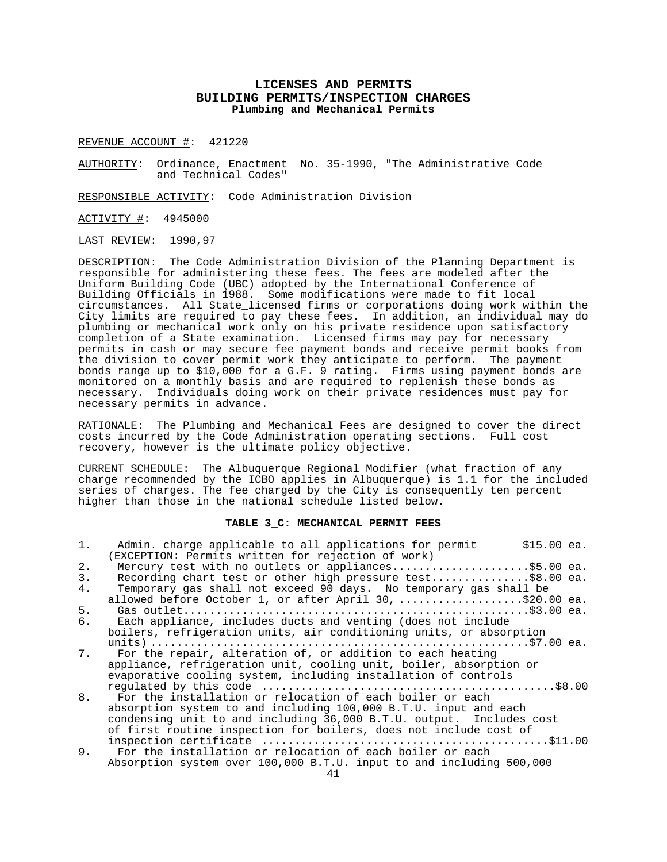### **LICENSES AND PERMITS BUILDING PERMITS/INSPECTION CHARGES Plumbing and Mechanical Permits**

REVENUE ACCOUNT #: 421220

AUTHORITY: Ordinance, Enactment No. 35-1990, "The Administrative Code and Technical Codes"

RESPONSIBLE ACTIVITY: Code Administration Division

ACTIVITY #: 4945000

LAST REVIEW: 1990,97

DESCRIPTION: The Code Administration Division of the Planning Department is responsible for administering these fees. The fees are modeled after the Uniform Building Code (UBC) adopted by the International Conference of Building Officials in 1988. Some modifications were made to fit local circumstances. All State\_licensed firms or corporations doing work within the City limits are required to pay these fees. In addition, an individual may do plumbing or mechanical work only on his private residence upon satisfactory completion of a State examination. Licensed firms may pay for necessary permits in cash or may secure fee payment bonds and receive permit books from the division to cover permit work they anticipate to perform. The payment bonds range up to \$10,000 for a G.F. 9 rating. Firms using payment bonds are monitored on a monthly basis and are required to replenish these bonds as necessary. Individuals doing work on their private residences must pay for necessary permits in advance.

RATIONALE: The Plumbing and Mechanical Fees are designed to cover the direct costs incurred by the Code Administration operating sections. Full cost recovery, however is the ultimate policy objective.

CURRENT SCHEDULE: The Albuquerque Regional Modifier (what fraction of any charge recommended by the ICBO applies in Albuquerque) is 1.1 for the included series of charges. The fee charged by the City is consequently ten percent higher than those in the national schedule listed below.

#### **TABLE 3\_C: MECHANICAL PERMIT FEES**

| $1$ . | Admin. charge applicable to all applications for permit<br>$$15.00$ ea. |
|-------|-------------------------------------------------------------------------|
|       | (EXCEPTION: Permits written for rejection of work)                      |
| 2.    | Mercury test with no outlets or appliances\$5.00 ea.                    |
| 3.    | Recording chart test or other high pressure test\$8.00 ea.              |
| 4.    | Temporary gas shall not exceed 90 days. No temporary gas shall be       |
|       | allowed before October 1, or after April 30, \$20.00 ea.                |
| 5.    |                                                                         |
| б.    | Each appliance, includes ducts and venting (does not include            |
|       | boilers, refrigeration units, air conditioning units, or absorption     |
|       |                                                                         |
| 7.    | For the repair, alteration of, or addition to each heating              |
|       | appliance, refrigeration unit, cooling unit, boiler, absorption or      |
|       | evaporative cooling system, including installation of controls          |
|       |                                                                         |
| 8.    | For the installation or relocation of each boiler or each               |
|       | absorption system to and including 100,000 B.T.U. input and each        |
|       | condensing unit to and including 36,000 B.T.U. output. Includes cost    |
|       | of first routine inspection for boilers, does not include cost of       |
|       |                                                                         |
| 9.    | For the installation or relocation of each boiler or each               |
|       | Absorption system over 100,000 B.T.U. input to and including 500,000    |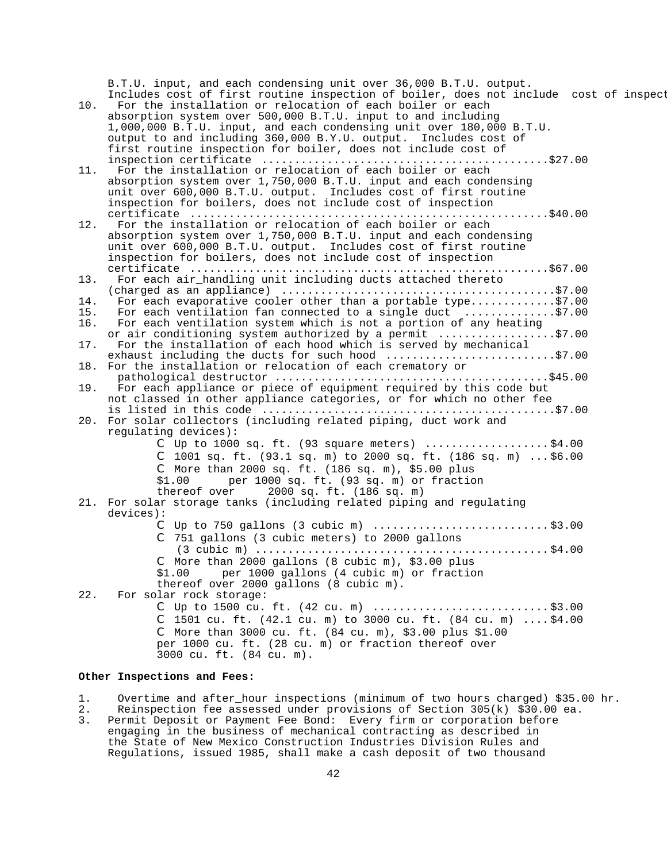B.T.U. input, and each condensing unit over 36,000 B.T.U. output. Includes cost of first routine inspection of boiler, does not include cost of inspect

10. For the installation or relocation of each boiler or each absorption system over 500,000 B.T.U. input to and including 1,000,000 B.T.U. input, and each condensing unit over 180,000 B.T.U. output to and including 360,000 B.Y.U. output. Includes cost of first routine inspection for boiler, does not include cost of inspection certificate ............................................\$27.00 11. For the installation or relocation of each boiler or each absorption system over 1,750,000 B.T.U. input and each condensing unit over 600,000 B.T.U. output. Includes cost of first routine inspection for boilers, does not include cost of inspection certificate .......................................................\$40.00 12. For the installation or relocation of each boiler or each absorption system over 1,750,000 B.T.U. input and each condensing unit over 600,000 B.T.U. output. Includes cost of first routine inspection for boilers, does not include cost of inspection certificate .......................................................\$67.00 13. For each air\_handling unit including ducts attached thereto (charged as an appliance) ..........................................\$7.00 14. For each evaporative cooler other than a portable type.............\$7.00 15. For each ventilation fan connected to a single duct ..............\$7.00 16. For each ventilation system which is not a portion of any heating or air conditioning system authorized by a permit ..................\$7.00 17. For the installation of each hood which is served by mechanical exhaust including the ducts for such hood .............................\$7.00 18. For the installation or relocation of each crematory or pathological destructor ..........................................\$45.00 For each appliance or piece of equipment required by this code but not classed in other appliance categories, or for which no other fee is listed in this code .............................................\$7.00 20. For solar collectors (including related piping, duct work and regulating devices): C Up to 1000 sq. ft.  $(93 \text{ square meters})$  ...................\$4.00 C 1001 sq. ft.  $(93.1 \text{ sq. m})$  to 2000 sq. ft.  $(186 \text{ sq. m})$  ... \$6.00 C More than 2000 sq. ft. (186 sq. m), \$5.00 plus  $$1.00$  per 1000 sq. ft. (93 sq. m) or fraction<br>thereof over 2000 sq. ft. (186 sq. m) 2000 sq. ft. (186 sq. m) 21. For solar storage tanks (including related piping and regulating devices): C Up to 750 gallons (3 cubic m) ........................... \$3.00 C 751 gallons (3 cubic meters) to 2000 gallons (3 cubic m) ............................................. \$4.00 C More than 2000 gallons (8 cubic m), \$3.00 plus \$1.00 per 1000 gallons (4 cubic m) or fraction thereof over 2000 gallons (8 cubic m). 22. For solar rock storage: C Up to 1500 cu. ft. (42 cu. m) ........................... \$3.00 C 1501 cu. ft. (42.1 cu. m) to 3000 cu. ft. (84 cu. m) .... \$4.00 C More than 3000 cu. ft. (84 cu. m), \$3.00 plus \$1.00 per 1000 cu. ft. (28 cu. m) or fraction thereof over 3000 cu. ft. (84 cu. m).

### **Other Inspections and Fees:**

1. Overtime and after hour inspections (minimum of two hours charged) \$35.00 hr.

- 2. Reinspection fee assessed under provisions of Section 305(k) \$30.00 ea.
- 3. Permit Deposit or Payment Fee Bond: Every firm or corporation before engaging in the business of mechanical contracting as described in the State of New Mexico Construction Industries Division Rules and Regulations, issued 1985, shall make a cash deposit of two thousand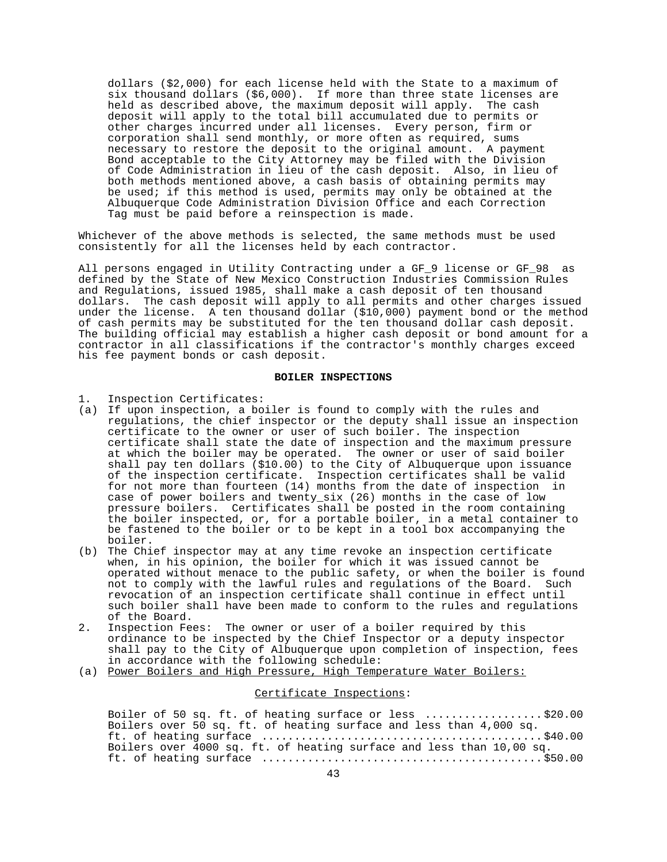dollars (\$2,000) for each license held with the State to a maximum of six thousand dollars (\$6,000). If more than three state licenses are held as described above, the maximum deposit will apply. The cash deposit will apply to the total bill accumulated due to permits or other charges incurred under all licenses. Every person, firm or corporation shall send monthly, or more often as required, sums necessary to restore the deposit to the original amount. A payment Bond acceptable to the City Attorney may be filed with the Division of Code Administration in lieu of the cash deposit. Also, in lieu of both methods mentioned above, a cash basis of obtaining permits may be used; if this method is used, permits may only be obtained at the Albuquerque Code Administration Division Office and each Correction Tag must be paid before a reinspection is made.

Whichever of the above methods is selected, the same methods must be used consistently for all the licenses held by each contractor.

All persons engaged in Utility Contracting under a GF\_9 license or GF\_98 as defined by the State of New Mexico Construction Industries Commission Rules and Regulations, issued 1985, shall make a cash deposit of ten thousand dollars. The cash deposit will apply to all permits and other charges issued under the license. A ten thousand dollar (\$10,000) payment bond or the method of cash permits may be substituted for the ten thousand dollar cash deposit. The building official may establish a higher cash deposit or bond amount for a contractor in all classifications if the contractor's monthly charges exceed his fee payment bonds or cash deposit.

### **BOILER INSPECTIONS**

- 1. Inspection Certificates:
- (a) If upon inspection, a boiler is found to comply with the rules and regulations, the chief inspector or the deputy shall issue an inspection certificate to the owner or user of such boiler. The inspection certificate shall state the date of inspection and the maximum pressure at which the boiler may be operated. The owner or user of said boiler shall pay ten dollars (\$10.00) to the City of Albuquerque upon issuance of the inspection certificate. Inspection certificates shall be valid for not more than fourteen (14) months from the date of inspection in case of power boilers and twenty\_six (26) months in the case of low pressure boilers. Certificates shall be posted in the room containing the boiler inspected, or, for a portable boiler, in a metal container to be fastened to the boiler or to be kept in a tool box accompanying the boiler.
- (b) The Chief inspector may at any time revoke an inspection certificate when, in his opinion, the boiler for which it was issued cannot be operated without menace to the public safety, or when the boiler is found not to comply with the lawful rules and regulations of the Board. Such revocation of an inspection certificate shall continue in effect until such boiler shall have been made to conform to the rules and regulations of the Board.
- 2. Inspection Fees: The owner or user of a boiler required by this ordinance to be inspected by the Chief Inspector or a deputy inspector shall pay to the City of Albuquerque upon completion of inspection, fees in accordance with the following schedule:
- (a) Power Boilers and High Pressure, High Temperature Water Boilers:

### Certificate Inspections:

Boiler of 50 sq. ft. of heating surface or less .................. \$20.00 Boilers over 50 sq. ft. of heating surface and less than 4,000 sq. ft. of heating surface ........................................... \$40.00 Boilers over 4000 sq. ft. of heating surface and less than 10,00 sq. ft. of heating surface ........................................... \$50.00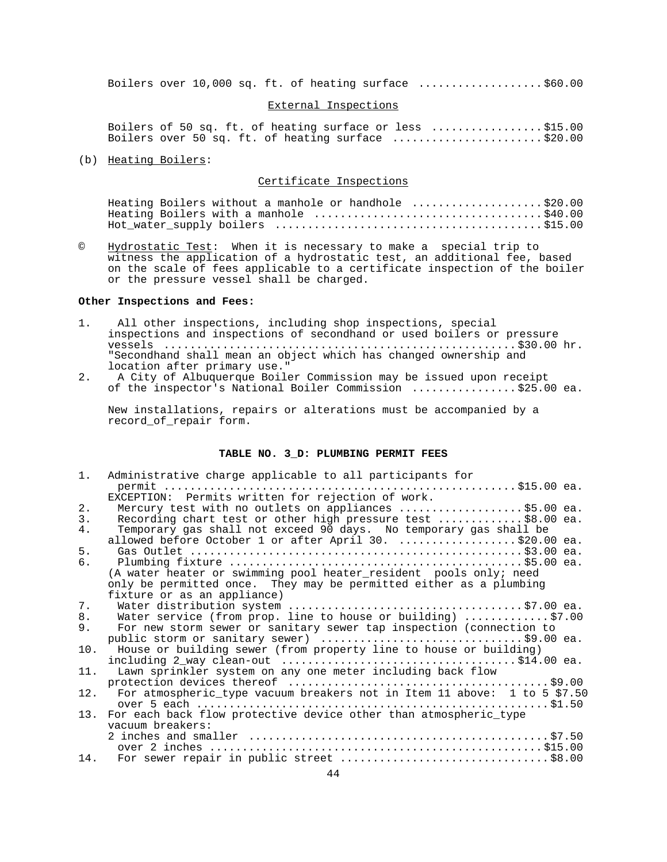Boilers over 10,000 sq. ft. of heating surface ................... \$60.00

#### External Inspections

Boilers of 50 sq. ft. of heating surface or less ................. \$15.00 Boilers over 50 sq. ft. of heating surface ....................... \$20.00

(b) Heating Boilers:

### Certificate Inspections

|  |  | Heating Boilers without a manhole or handhole \$20.00 |  |
|--|--|-------------------------------------------------------|--|
|  |  |                                                       |  |
|  |  |                                                       |  |

© Hydrostatic Test: When it is necessary to make a special trip to witness the application of a hydrostatic test, an additional fee, based on the scale of fees applicable to a certificate inspection of the boiler or the pressure vessel shall be charged.

#### **Other Inspections and Fees:**

- 1. All other inspections, including shop inspections, special inspections and inspections of secondhand or used boilers or pressure vessels ...................................................... \$30.00 hr. "Secondhand shall mean an object which has changed ownership and location after primary use."
- 2. A City of Albuquerque Boiler Commission may be issued upon receipt of the inspector's National Boiler Commission ................ \$25.00 ea.

New installations, repairs or alterations must be accompanied by a record\_of\_repair form.

#### **TABLE NO. 3\_D: PLUMBING PERMIT FEES**

| $1$ . | Administrative charge applicable to all participants for                 |
|-------|--------------------------------------------------------------------------|
|       |                                                                          |
|       | EXCEPTION: Permits written for rejection of work.                        |
| 2.    | Mercury test with no outlets on appliances \$5.00 ea.                    |
| 3.    | Recording chart test or other high pressure test \$8.00 ea.              |
| 4.    | Temporary gas shall not exceed 90 days. No temporary gas shall be        |
|       | allowed before October 1 or after April 30. \$20.00 ea.                  |
| 5.    |                                                                          |
| б.    |                                                                          |
|       | (A water heater or swimming pool heater_resident pools only; need        |
|       | only be permitted once. They may be permitted either as a plumbing       |
|       | fixture or as an appliance)                                              |
| 7.    |                                                                          |
| 8.    | Water service (from prop. line to house or building) \$7.00              |
| 9.    | For new storm sewer or sanitary sewer tap inspection (connection to      |
|       | public storm or sanitary sewer) \$9.00 ea.                               |
| 10.   | House or building sewer (from property line to house or building)        |
|       |                                                                          |
| 11.   | Lawn sprinkler system on any one meter including back flow               |
|       |                                                                          |
| 12.   | For atmospheric_type vacuum breakers not in Item 11 above: 1 to 5 \$7.50 |
|       |                                                                          |
| 13.   | For each back flow protective device other than atmospheric type         |
|       | vacuum breakers:                                                         |
|       |                                                                          |
|       |                                                                          |
|       | 14. For sewer repair in public street \$8.00                             |
|       |                                                                          |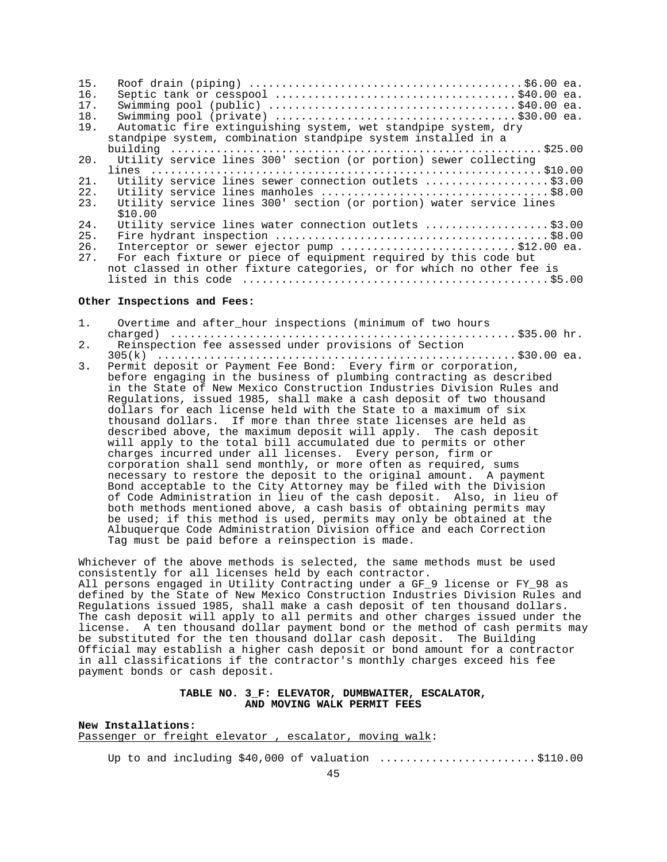| 15. |                                                                       |
|-----|-----------------------------------------------------------------------|
| 16. |                                                                       |
| 17. |                                                                       |
| 18. |                                                                       |
| 19. | Automatic fire extinguishing system, wet standpipe system, dry        |
|     | standpipe system, combination standpipe system installed in a         |
|     |                                                                       |
| 20. | Utility service lines 300' section (or portion) sewer collecting      |
|     |                                                                       |
| 21. | Utility service lines sewer connection outlets \$3.00                 |
| 22. |                                                                       |
| 23. | Utility service lines 300' section (or portion) water service lines   |
|     | \$10.00                                                               |
| 24. | Utility service lines water connection outlets \$3.00                 |
| 25. |                                                                       |
| 26. | Interceptor or sewer ejector pump \$12.00 ea.                         |
| 27. | For each fixture or piece of equipment required by this code but      |
|     | not classed in other fixture categories, or for which no other fee is |
|     |                                                                       |

#### **Other Inspections and Fees:**

1. Overtime and after\_hour inspections (minimum of two hours charged) ..................................................... \$35.00 hr. 2. Reinspection fee assessed under provisions of Section 305(k) ....................................................... \$30.00 ea. 3. Permit deposit or Payment Fee Bond: Every firm or corporation, before engaging in the business of plumbing contracting as described in the State of New Mexico Construction Industries Division Rules and Regulations, issued 1985, shall make a cash deposit of two thousand dollars for each license held with the State to a maximum of six thousand dollars. If more than three state licenses are held as described above, the maximum deposit will apply. The cash deposit will apply to the total bill accumulated due to permits or other charges incurred under all licenses. Every person, firm or corporation shall send monthly, or more often as required, sums necessary to restore the deposit to the original amount. A payment Bond acceptable to the City Attorney may be filed with the Division of Code Administration in lieu of the cash deposit. Also, in lieu of both methods mentioned above, a cash basis of obtaining permits may

Whichever of the above methods is selected, the same methods must be used consistently for all licenses held by each contractor. All persons engaged in Utility Contracting under a GF\_9 license or FY\_98 as defined by the State of New Mexico Construction Industries Division Rules and Regulations issued 1985, shall make a cash deposit of ten thousand dollars. The cash deposit will apply to all permits and other charges issued under the license. A ten thousand dollar payment bond or the method of cash permits may be substituted for the ten thousand dollar cash deposit. The Building Official may establish a higher cash deposit or bond amount for a contractor in all classifications if the contractor's monthly charges exceed his fee payment bonds or cash deposit.

be used; if this method is used, permits may only be obtained at the Albuquerque Code Administration Division office and each Correction

### **TABLE NO. 3\_F: ELEVATOR, DUMBWAITER, ESCALATOR, AND MOVING WALK PERMIT FEES**

**New Installations:** Passenger or freight elevator, escalator, moving walk:

Tag must be paid before a reinspection is made.

Up to and including  $$40,000$  of valuation  $\ldots$ .......................\$110.00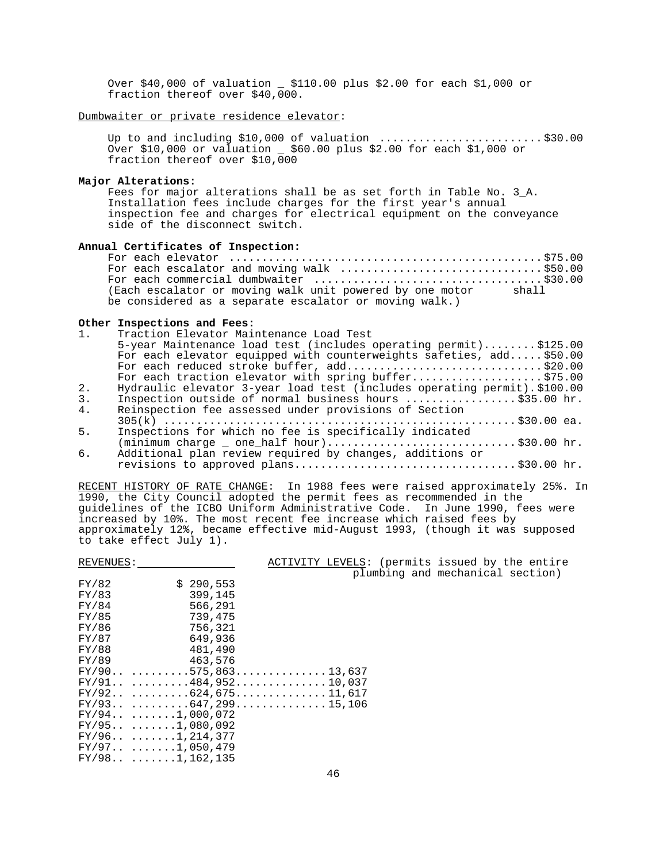Over \$40,000 of valuation \_ \$110.00 plus \$2.00 for each \$1,000 or fraction thereof over \$40,000.

Dumbwaiter or private residence elevator:

Up to and including \$10,000 of valuation ................................\$30.00 Over \$10,000 or valuation \_ \$60.00 plus \$2.00 for each \$1,000 or fraction thereof over \$10,000

#### **Major Alterations:**

Fees for major alterations shall be as set forth in Table No. 3\_A. Installation fees include charges for the first year's annual inspection fee and charges for electrical equipment on the conveyance side of the disconnect switch.

### **Annual Certificates of Inspection:**

|  | For each escalator and moving walk \$50.00                     |  |
|--|----------------------------------------------------------------|--|
|  |                                                                |  |
|  | (Each escalator or moving walk unit powered by one motor shall |  |
|  | be considered as a separate escalator or moving walk.)         |  |

### **Other Inspections and Fees:**

| 1. | Traction Elevator Maintenance Load Test                                   |
|----|---------------------------------------------------------------------------|
|    | 5-year Maintenance load test (includes operating permit)\$125.00          |
|    | For each elevator equipped with counterweights safeties, add \$50.00      |
|    | For each reduced stroke buffer, add\$20.00                                |
|    | For each traction elevator with spring buffer\$75.00                      |
| 2. | Hydraulic elevator 3-year load test (includes operating permit). \$100.00 |
| 3. | Inspection outside of normal business hours \$35.00 hr.                   |
| 4. | Reinspection fee assessed under provisions of Section                     |
|    |                                                                           |
| 5. | Inspections for which no fee is specifically indicated                    |
|    |                                                                           |
| б. | Additional plan review required by changes, additions or                  |
|    | revisions to approved plans\$30.00 hr.                                    |
|    |                                                                           |

RECENT HISTORY OF RATE CHANGE: In 1988 fees were raised approximately 25%. In 1990, the City Council adopted the permit fees as recommended in the guidelines of the ICBO Uniform Administrative Code. In June 1990, fees were increased by 10%. The most recent fee increase which raised fees by approximately 12%, became effective mid-August 1993, (though it was supposed to take effect July 1).

| REVENUES: |                                                        |  |  | ACTIVITY LEVELS: (permits issued by the entire |  |
|-----------|--------------------------------------------------------|--|--|------------------------------------------------|--|
|           |                                                        |  |  | plumbing and mechanical section)               |  |
| FY/82     | \$290.553                                              |  |  |                                                |  |
| FY/83     | 399,145                                                |  |  |                                                |  |
| FY/84     | 566,291                                                |  |  |                                                |  |
| FY/85     | 739,475                                                |  |  |                                                |  |
| FY/86     | 756,321                                                |  |  |                                                |  |
| FY/87     | 649,936                                                |  |  |                                                |  |
| FY/88     | 481,490                                                |  |  |                                                |  |
| FY/89     | 463,576                                                |  |  |                                                |  |
|           | $FY/90 \ldots  \ldots .575,863 \ldots  \ldots .13,637$ |  |  |                                                |  |
|           | $FY/91 \ldots  484,952 \ldots  10,037$                 |  |  |                                                |  |
|           | $FY/92 \ldots  \ldots 624,675 \ldots  \ldots 11,617$   |  |  |                                                |  |
|           | $FY/93 \ldots  \ldots .647,299 \ldots  \ldots 15,106$  |  |  |                                                |  |
|           | FY/94  1,000,072                                       |  |  |                                                |  |
|           | FY/95  1,080,092                                       |  |  |                                                |  |
|           | $FY/96$ 1, 214, 377                                    |  |  |                                                |  |
|           | $FY/97 \ldots 1,050,479$                               |  |  |                                                |  |
|           | $FY/98$ 1, 162, 135                                    |  |  |                                                |  |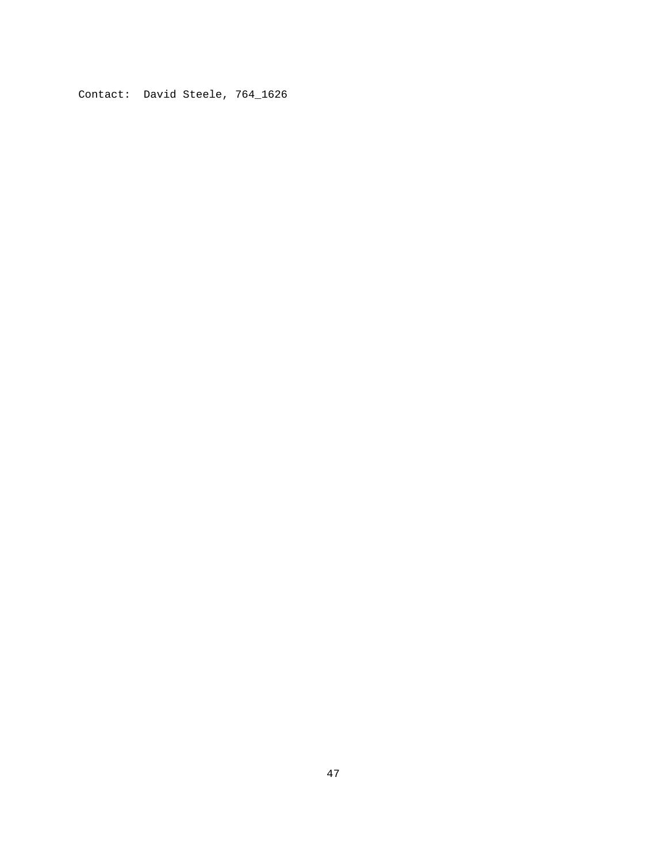Contact: David Steele, 764\_1626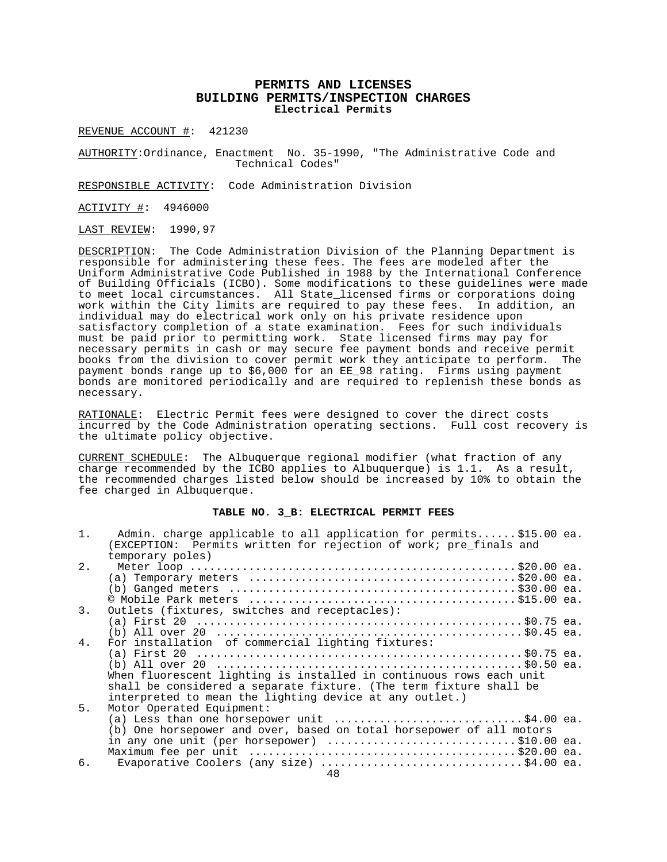## **PERMITS AND LICENSES BUILDING PERMITS/INSPECTION CHARGES Electrical Permits**

REVENUE ACCOUNT #: 421230

AUTHORITY:Ordinance, Enactment No. 35-1990, "The Administrative Code and Technical Codes"

RESPONSIBLE ACTIVITY: Code Administration Division

ACTIVITY #: 4946000

LAST REVIEW: 1990,97

DESCRIPTION: The Code Administration Division of the Planning Department is responsible for administering these fees. The fees are modeled after the Uniform Administrative Code Published in 1988 by the International Conference of Building Officials (ICBO). Some modifications to these guidelines were made to meet local circumstances. All State\_licensed firms or corporations doing work within the City limits are required to pay these fees. In addition, an individual may do electrical work only on his private residence upon satisfactory completion of a state examination. Fees for such individuals must be paid prior to permitting work. State licensed firms may pay for necessary permits in cash or may secure fee payment bonds and receive permit books from the division to cover permit work they anticipate to perform. The payment bonds range up to \$6,000 for an EE\_98 rating. Firms using payment bonds are monitored periodically and are required to replenish these bonds as necessary.

RATIONALE: Electric Permit fees were designed to cover the direct costs incurred by the Code Administration operating sections. Full cost recovery is the ultimate policy objective.

CURRENT SCHEDULE: The Albuquerque regional modifier (what fraction of any charge recommended by the ICBO applies to Albuquerque) is 1.1. As a result, the recommended charges listed below should be increased by 10% to obtain the fee charged in Albuquerque.

### **TABLE NO. 3\_B: ELECTRICAL PERMIT FEES**

| $1$ . | Admin. charge applicable to all application for permits\$15.00 ea.<br>(EXCEPTION: Permits written for rejection of work; pre finals and<br>temporary poles)                                                                                                       |  |
|-------|-------------------------------------------------------------------------------------------------------------------------------------------------------------------------------------------------------------------------------------------------------------------|--|
| 2.    | (a) Temporary meters $\ldots \ldots \ldots \ldots \ldots \ldots \ldots \ldots \ldots \ldots \ldots \ldots \ldots \$                                                                                                                                               |  |
| 3.    | Outlets (fixtures, switches and receptacles):                                                                                                                                                                                                                     |  |
|       |                                                                                                                                                                                                                                                                   |  |
| 4.    | For installation of commercial lighting fixtures:                                                                                                                                                                                                                 |  |
|       | When fluorescent lighting is installed in continuous rows each unit<br>shall be considered a separate fixture. (The term fixture shall be<br>interpreted to mean the lighting device at any outlet.)                                                              |  |
| 5.    | Motor Operated Equipment:<br>(a) Less than one horsepower unit $\,\ldots\ldots\ldots\ldots\ldots\ldots\ldots\ldots\,$ \$4.00 ea.<br>(b) One horsepower and over, based on total horsepower of all motors<br>in any one unit (per horsepower) $\ldots$ \$10.00 ea. |  |
| б.    | Evaporative Coolers (any size) \$4.00 ea.                                                                                                                                                                                                                         |  |
|       | $\overline{A}$ $\overline{O}$                                                                                                                                                                                                                                     |  |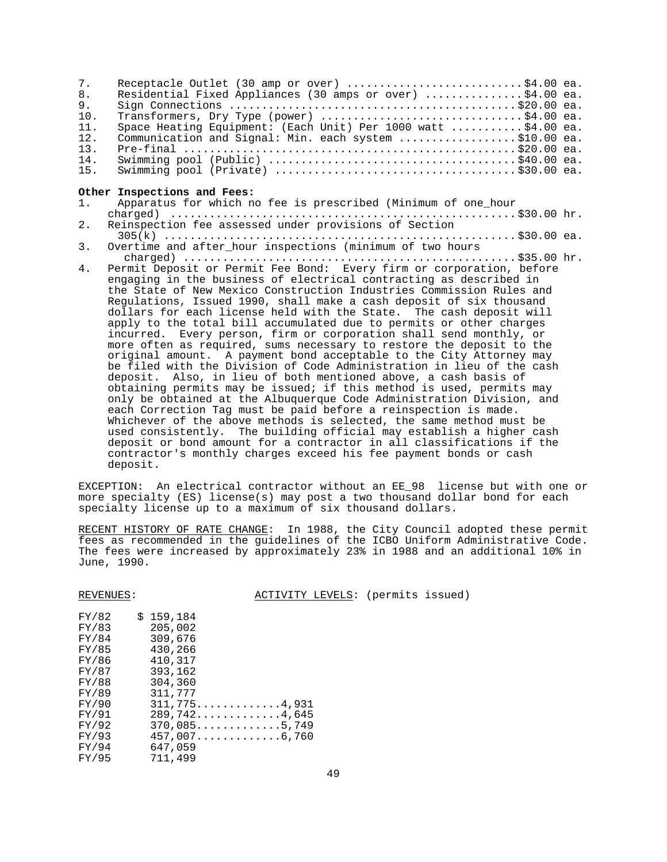| 7 <sub>1</sub> | Receptacle Outlet (30 amp or over) \$4.00 ea.                 |  |
|----------------|---------------------------------------------------------------|--|
| 8.             | Residential Fixed Appliances (30 amps or over) \$4.00 ea.     |  |
| 9.             |                                                               |  |
| 10.            | Transformers, Dry Type (power) \$4.00 ea.                     |  |
| 11.            | Space Heating Equipment: (Each Unit) Per 1000 watt \$4.00 ea. |  |
| 12.            | Communication and Signal: Min. each system \$10.00 ea.        |  |
| 13.            |                                                               |  |
| 14.            |                                                               |  |
|                |                                                               |  |

#### **Other Inspections and Fees:**

- 1. Apparatus for which no fee is prescribed (Minimum of one\_hour charged) ..................................................... \$30.00 hr. 2. Reinspection fee assessed under provisions of Section
- 305(k) ...................................................... \$30.00 ea. 3. Overtime and after\_hour inspections (minimum of two hours
- charged) ................................................... \$35.00 hr. Permit Deposit or Permit Fee Bond: Every firm or corporation, before engaging in the business of electrical contracting as described in the State of New Mexico Construction Industries Commission Rules and Regulations, Issued 1990, shall make a cash deposit of six thousand dollars for each license held with the State. The cash deposit will apply to the total bill accumulated due to permits or other charges incurred. Every person, firm or corporation shall send monthly, or more often as required, sums necessary to restore the deposit to the original amount. A payment bond acceptable to the City Attorney may be filed with the Division of Code Administration in lieu of the cash deposit. Also, in lieu of both mentioned above, a cash basis of obtaining permits may be issued; if this method is used, permits may only be obtained at the Albuquerque Code Administration Division, and each Correction Tag must be paid before a reinspection is made. Whichever of the above methods is selected, the same method must be used consistently. The building official may establish a higher cash deposit or bond amount for a contractor in all classifications if the contractor's monthly charges exceed his fee payment bonds or cash deposit.

EXCEPTION: An electrical contractor without an EE\_98 license but with one or more specialty (ES) license(s) may post a two thousand dollar bond for each specialty license up to a maximum of six thousand dollars.

RECENT HISTORY OF RATE CHANGE: In 1988, the City Council adopted these permit fees as recommended in the guidelines of the ICBO Uniform Administrative Code. The fees were increased by approximately 23% in 1988 and an additional 10% in June, 1990.

REVENUES: ACTIVITY LEVELS: (permits issued)

| FY/82 | 159,184<br>\$                                             |
|-------|-----------------------------------------------------------|
| FY/83 | 205,002                                                   |
| FY/84 | 309,676                                                   |
| FY/85 | 430,266                                                   |
| FY/86 | 410,317                                                   |
| FY/87 | 393,162                                                   |
| FY/88 | 304,360                                                   |
| FY/89 | 311,777                                                   |
| FY/90 | $311,775 \ldots \ldots \ldots 4,931$                      |
| FY/91 | 289,7424,645                                              |
| FY/92 | $370,085 \ldots \ldots \ldots 5,749$                      |
| FY/93 | $457,007\ldots\ldots\ldots\ldots\ldots\ldots\ldots\ldots$ |
| FY/94 | 647,059                                                   |
| FY/95 | 711,499                                                   |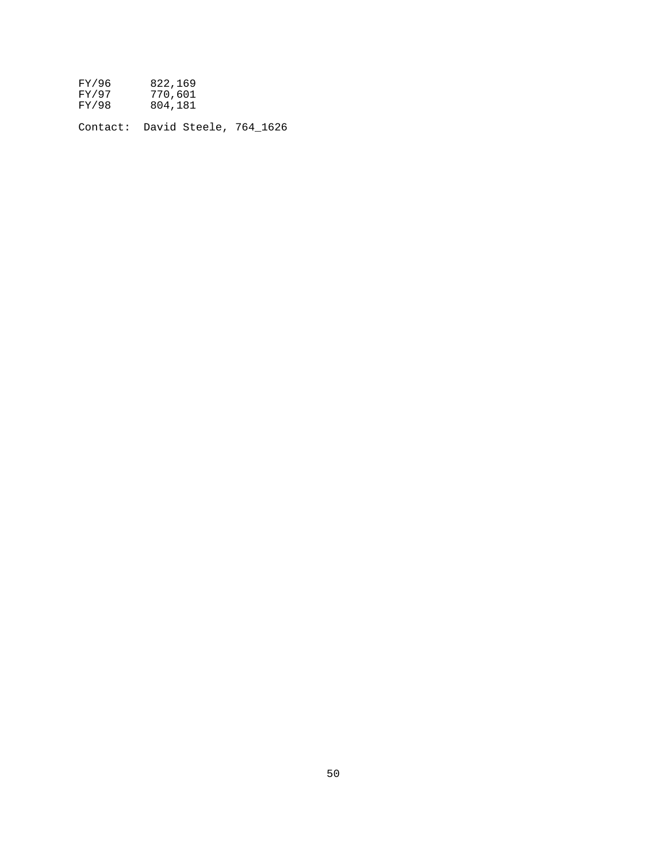| FY/96                           | 822,169            |  |  |
|---------------------------------|--------------------|--|--|
| FY/97<br>FY/98                  | 770,601<br>804,181 |  |  |
| Contact: David Steele, 764 1626 |                    |  |  |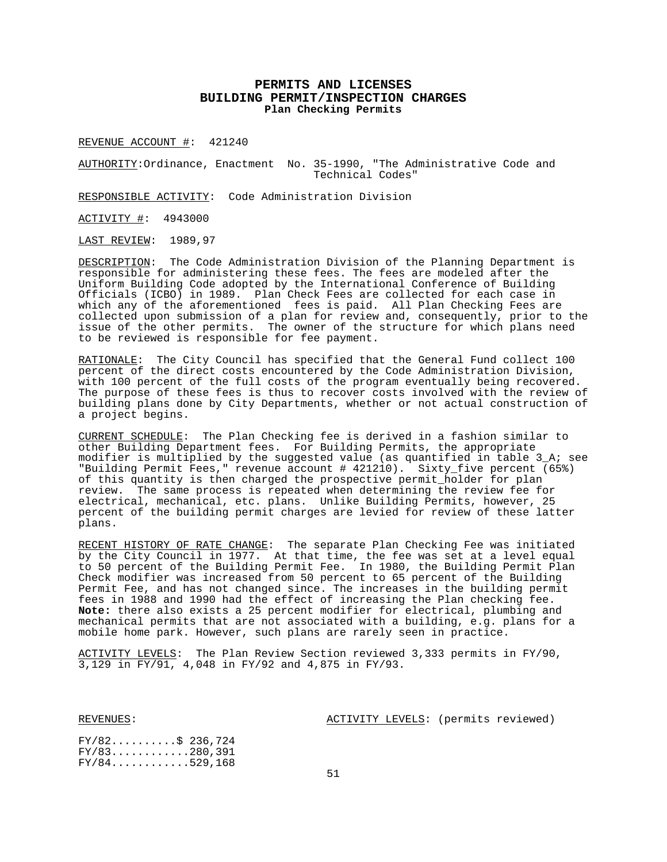## **PERMITS AND LICENSES BUILDING PERMIT/INSPECTION CHARGES Plan Checking Permits**

REVENUE ACCOUNT #: 421240

AUTHORITY:Ordinance, Enactment No. 35-1990, "The Administrative Code and Technical Codes"

RESPONSIBLE ACTIVITY: Code Administration Division

ACTIVITY #: 4943000

LAST REVIEW: 1989,97

DESCRIPTION: The Code Administration Division of the Planning Department is responsible for administering these fees. The fees are modeled after the Uniform Building Code adopted by the International Conference of Building Officials (ICBO) in 1989. Plan Check Fees are collected for each case in which any of the aforementioned fees is paid. All Plan Checking Fees are collected upon submission of a plan for review and, consequently, prior to the issue of the other permits. The owner of the structure for which plans need to be reviewed is responsible for fee payment.

RATIONALE: The City Council has specified that the General Fund collect 100 percent of the direct costs encountered by the Code Administration Division, with 100 percent of the full costs of the program eventually being recovered. The purpose of these fees is thus to recover costs involved with the review of building plans done by City Departments, whether or not actual construction of a project begins.

CURRENT SCHEDULE: The Plan Checking fee is derived in a fashion similar to other Building Department fees. For Building Permits, the appropriate modifier is multiplied by the suggested value (as quantified in table 3\_A; see "Building Permit Fees," revenue account # 421210). Sixty\_five percent (65%) of this quantity is then charged the prospective permit\_holder for plan review. The same process is repeated when determining the review fee for electrical, mechanical, etc. plans. Unlike Building Permits, however, 25 percent of the building permit charges are levied for review of these latter plans.

RECENT HISTORY OF RATE CHANGE: The separate Plan Checking Fee was initiated by the City Council in 1977. At that time, the fee was set at a level equal to 50 percent of the Building Permit Fee. In 1980, the Building Permit Plan Check modifier was increased from 50 percent to 65 percent of the Building Permit Fee, and has not changed since. The increases in the building permit fees in 1988 and 1990 had the effect of increasing the Plan checking fee. **Note:** there also exists a 25 percent modifier for electrical, plumbing and mechanical permits that are not associated with a building, e.g. plans for a mobile home park. However, such plans are rarely seen in practice.

ACTIVITY LEVELS: The Plan Review Section reviewed 3,333 permits in FY/90, 3,129 in FY/91, 4,048 in FY/92 and 4,875 in FY/93.

REVENUES:  $\overline{ACTIVITY LEVELS}$ : (permits reviewed)

 $FY/82.........$ ; 236,724  $FY/83...$ .........280,391  $FY/84...$ .........529,168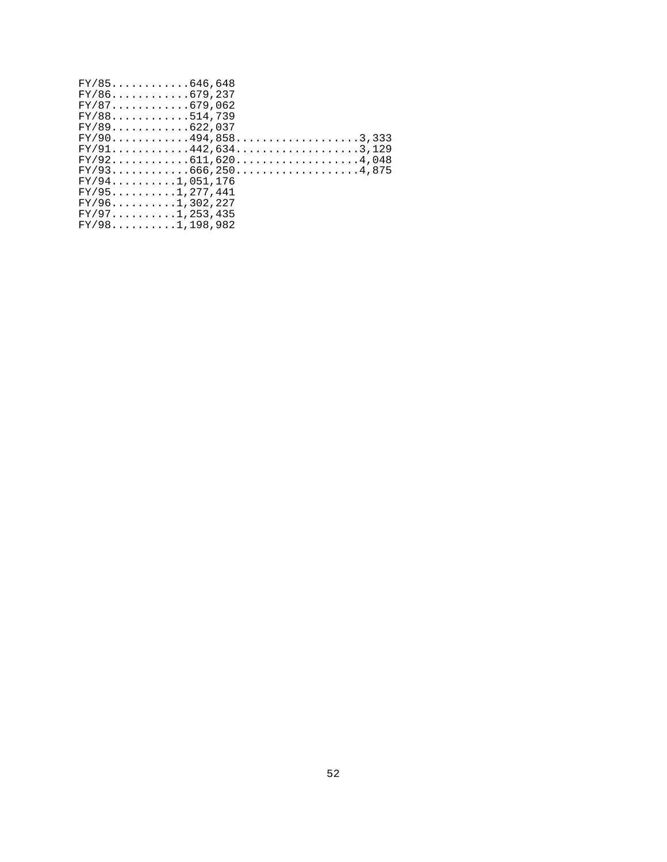| $FY/85$ 646,648     |                      |
|---------------------|----------------------|
| $FY/86$ 679,237     |                      |
| FY/87679,062        |                      |
| $FY/88$ 514,739     |                      |
| $FY/89$ 622,037     |                      |
|                     | $FY/90$ 494,8583,333 |
|                     | $FY/91442,6343,129$  |
|                     |                      |
|                     | $FY/93666,2504,875$  |
| $FY/94$ 1,051,176   |                      |
| $FY/95$ 1, 277, 441 |                      |
| $FY/96$ 1,302,227   |                      |
| $FY/97$ 1,253,435   |                      |
| $FY/98$ 1, 198, 982 |                      |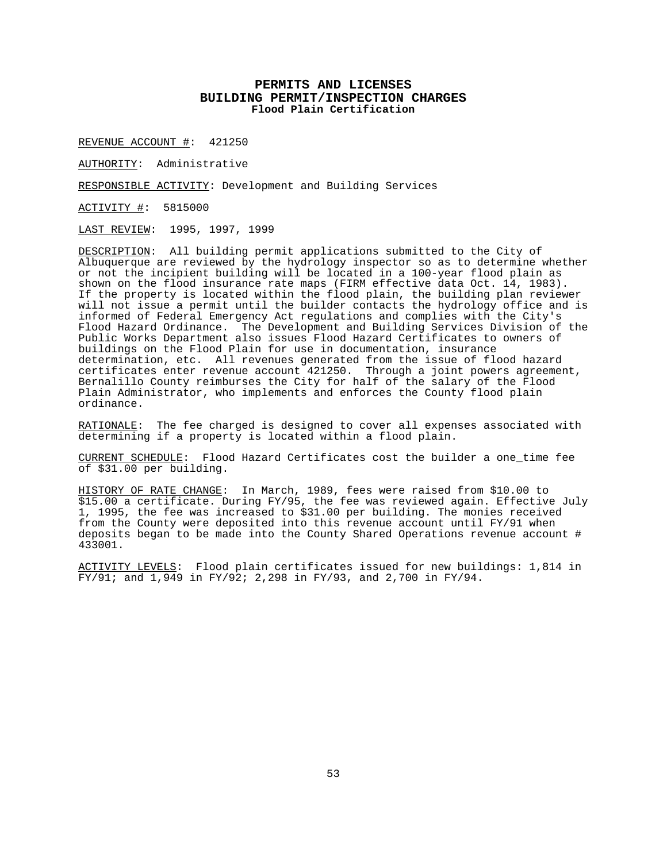## **PERMITS AND LICENSES BUILDING PERMIT/INSPECTION CHARGES Flood Plain Certification**

REVENUE ACCOUNT #: 421250

AUTHORITY: Administrative

RESPONSIBLE ACTIVITY: Development and Building Services

ACTIVITY #: 5815000

LAST REVIEW: 1995, 1997, 1999

DESCRIPTION: All building permit applications submitted to the City of Albuquerque are reviewed by the hydrology inspector so as to determine whether or not the incipient building will be located in a 100-year flood plain as shown on the flood insurance rate maps (FIRM effective data Oct. 14, 1983). If the property is located within the flood plain, the building plan reviewer will not issue a permit until the builder contacts the hydrology office and is informed of Federal Emergency Act regulations and complies with the City's Flood Hazard Ordinance. The Development and Building Services Division of the Public Works Department also issues Flood Hazard Certificates to owners of buildings on the Flood Plain for use in documentation, insurance determination, etc. All revenues generated from the issue of flood hazard certificates enter revenue account 421250. Through a joint powers agreement, Bernalillo County reimburses the City for half of the salary of the Flood Plain Administrator, who implements and enforces the County flood plain ordinance.

RATIONALE: The fee charged is designed to cover all expenses associated with determining if a property is located within a flood plain.

CURRENT SCHEDULE: Flood Hazard Certificates cost the builder a one\_time fee of \$31.00 per building.

HISTORY OF RATE CHANGE: In March, 1989, fees were raised from \$10.00 to \$15.00 a certificate. During FY/95, the fee was reviewed again. Effective July 1, 1995, the fee was increased to \$31.00 per building. The monies received from the County were deposited into this revenue account until FY/91 when deposits began to be made into the County Shared Operations revenue account # 433001.

ACTIVITY LEVELS: Flood plain certificates issued for new buildings: 1,814 in FY/91; and 1,949 in FY/92; 2,298 in FY/93, and 2,700 in FY/94.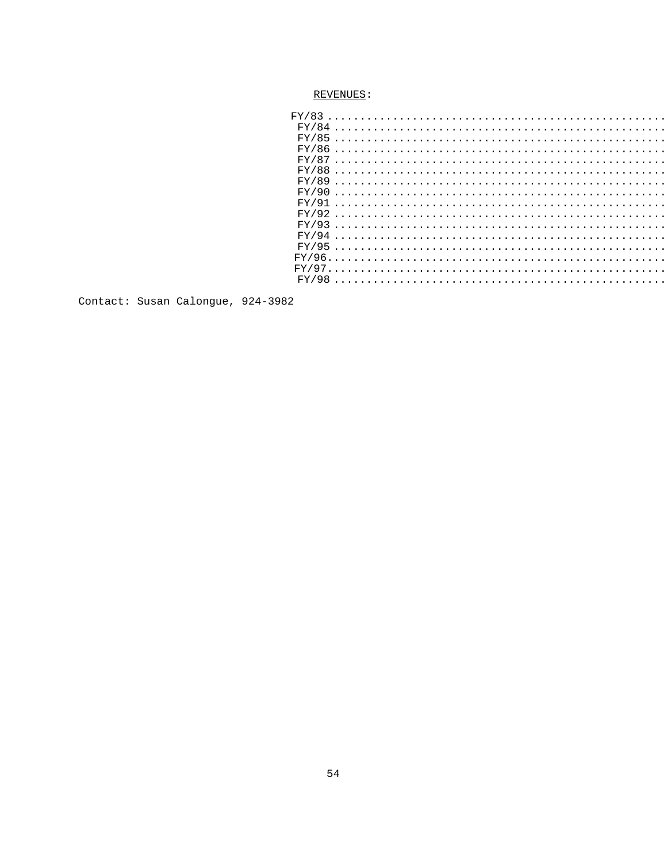```
Contact: Susan Calongue, 924-3982
```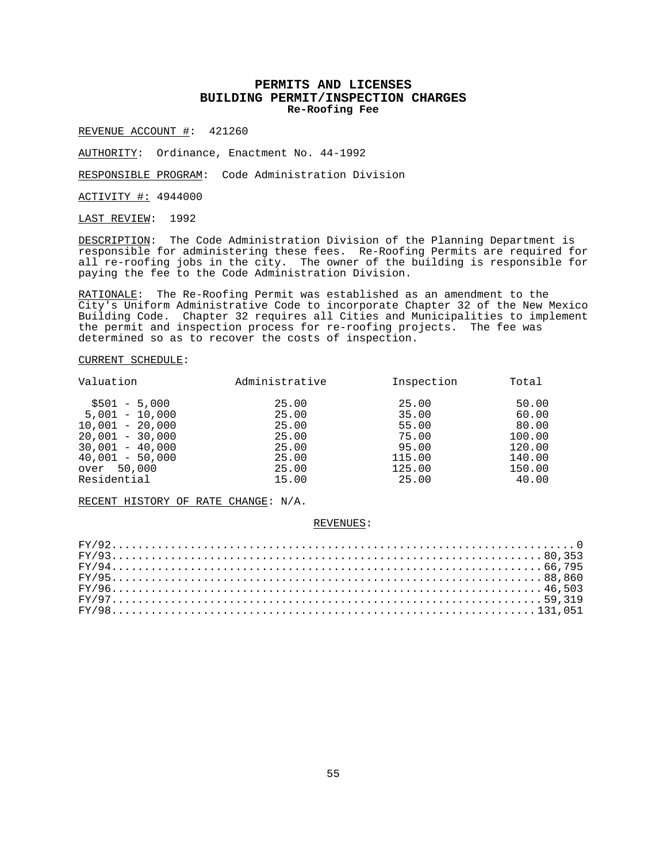## **PERMITS AND LICENSES BUILDING PERMIT/INSPECTION CHARGES Re-Roofing Fee**

REVENUE ACCOUNT #: 421260

AUTHORITY: Ordinance, Enactment No. 44-1992

RESPONSIBLE PROGRAM: Code Administration Division

ACTIVITY #: 4944000

LAST REVIEW: 1992

DESCRIPTION: The Code Administration Division of the Planning Department is responsible for administering these fees. Re-Roofing Permits are required for all re-roofing jobs in the city. The owner of the building is responsible for paying the fee to the Code Administration Division.

RATIONALE: The Re-Roofing Permit was established as an amendment to the City's Uniform Administrative Code to incorporate Chapter 32 of the New Mexico Building Code. Chapter 32 requires all Cities and Municipalities to implement the permit and inspection process for re-roofing projects. The fee was determined so as to recover the costs of inspection.

### CURRENT SCHEDULE:

| Valuation         | Administrative | Inspection | Total  |
|-------------------|----------------|------------|--------|
| $$501 - 5,000$    | 25.00          | 25.00      | 50.00  |
| $5.001 - 10.000$  | 25.00          | 35.00      | 60.00  |
| $10.001 - 20.000$ | 25.00          | 55.00      | 80.00  |
| $20,001 - 30,000$ | 25.00          | 75.00      | 100.00 |
| $30.001 - 40.000$ | 25.00          | 95.00      | 120.00 |
| $40,001 - 50,000$ | 25.00          | 115.00     | 140.00 |
| over 50,000       | 25.00          | 125.00     | 150.00 |
| Residential       | 15.00          | 25.00      | 40.00  |

RECENT HISTORY OF RATE CHANGE: N/A.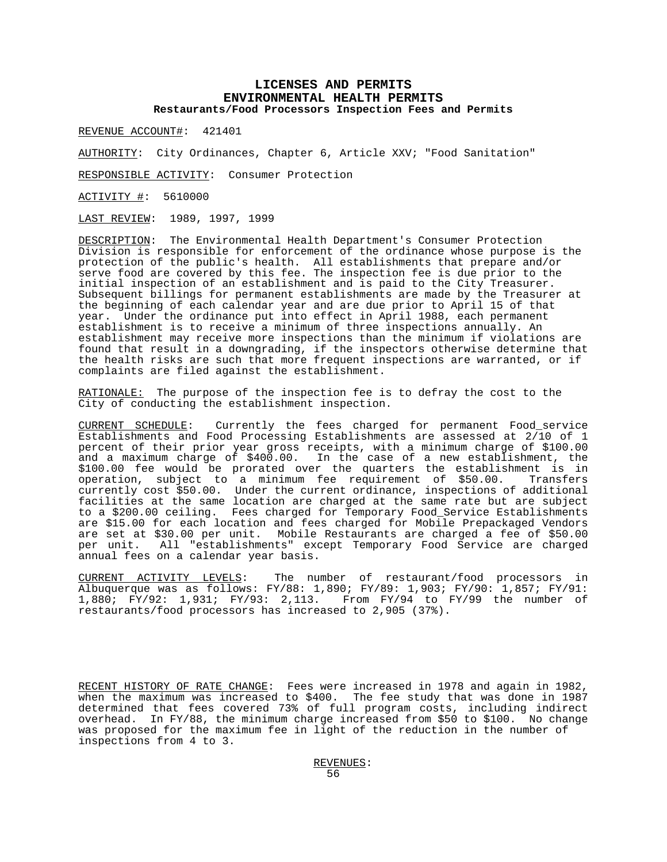## **LICENSES AND PERMITS ENVIRONMENTAL HEALTH PERMITS Restaurants/Food Processors Inspection Fees and Permits**

REVENUE ACCOUNT#: 421401

AUTHORITY: City Ordinances, Chapter 6, Article XXV; "Food Sanitation"

RESPONSIBLE ACTIVITY: Consumer Protection

ACTIVITY #: 5610000

LAST REVIEW: 1989, 1997, 1999

DESCRIPTION: The Environmental Health Department's Consumer Protection Division is responsible for enforcement of the ordinance whose purpose is the protection of the public's health. All establishments that prepare and/or serve food are covered by this fee. The inspection fee is due prior to the initial inspection of an establishment and is paid to the City Treasurer. Subsequent billings for permanent establishments are made by the Treasurer at the beginning of each calendar year and are due prior to April 15 of that year. Under the ordinance put into effect in April 1988, each permanent establishment is to receive a minimum of three inspections annually. An establishment may receive more inspections than the minimum if violations are found that result in a downgrading, if the inspectors otherwise determine that the health risks are such that more frequent inspections are warranted, or if complaints are filed against the establishment.

RATIONALE: The purpose of the inspection fee is to defray the cost to the City of conducting the establishment inspection.

CURRENT SCHEDULE: Currently the fees charged for permanent Food\_service Establishments and Food Processing Establishments are assessed at 2/10 of 1 percent of their prior year gross receipts, with a minimum charge of \$100.00 and a maximum charge of \$400.00. In the case of a new establishment, the \$100.00 fee would be prorated over the quarters the establishment is in operation, subject to a minimum fee requirement of \$50.00. Transfers currently cost \$50.00. Under the current ordinance, inspections of additional facilities at the same location are charged at the same rate but are subject to a \$200.00 ceiling. Fees charged for Temporary Food\_Service Establishments are \$15.00 for each location and fees charged for Mobile Prepackaged Vendors are set at \$30.00 per unit. Mobile Restaurants are charged a fee of \$50.00 per unit. All "establishments" except Temporary Food Service are charged annual fees on a calendar year basis.

CURRENT ACTIVITY LEVELS: The number of restaurant/food processors in Albuquerque was as follows: FY/88: 1,890; FY/89: 1,903; FY/90: 1,857; FY/91: 1,880; FY/92: 1,931; FY/93: 2,113. From FY/94 to FY/99 the number of restaurants/food processors has increased to 2,905 (37%).

RECENT HISTORY OF RATE CHANGE: Fees were increased in 1978 and again in 1982, when the maximum was increased to \$400. The fee study that was done in 1987 determined that fees covered 73% of full program costs, including indirect overhead. In FY/88, the minimum charge increased from \$50 to \$100. No change was proposed for the maximum fee in light of the reduction in the number of inspections from 4 to 3.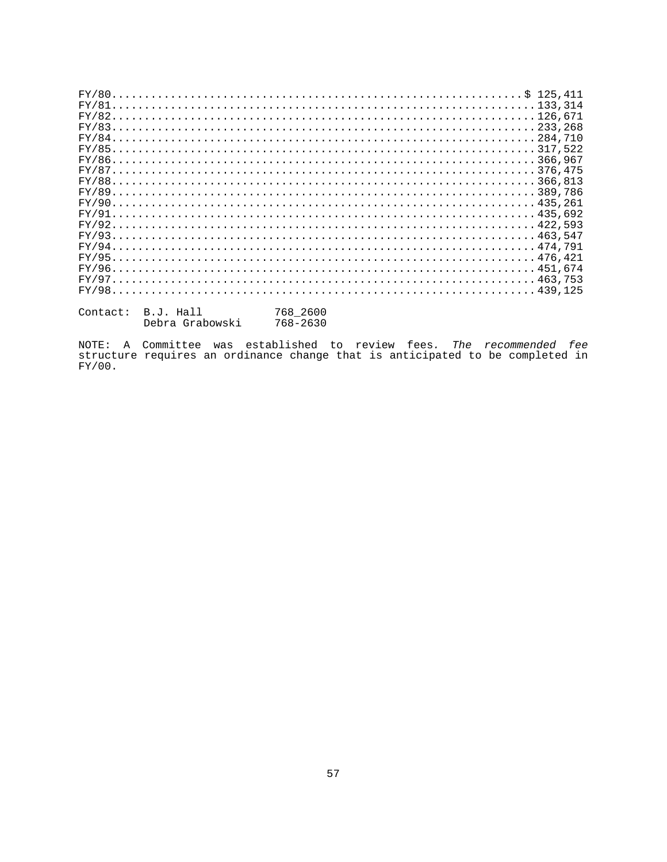| Contact: B.J. Hall | 768 2600 |
|--------------------|----------|

| ontact: | B.J. Hall       | 768 2600 |
|---------|-----------------|----------|
|         | Debra Grabowski | 768-2630 |

NOTE: A Committee was established to review fees. The recommended fee<br>structure requires an ordinance change that is anticipated to be completed in  $FY/00.$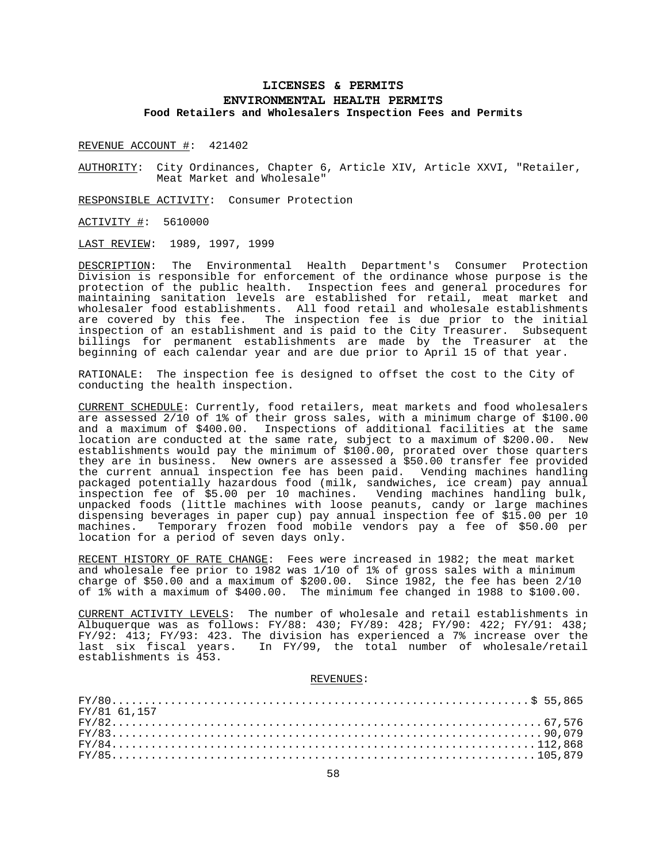# **LICENSES & PERMITS ENVIRONMENTAL HEALTH PERMITS Food Retailers and Wholesalers Inspection Fees and Permits**

REVENUE ACCOUNT #: 421402

AUTHORITY: City Ordinances, Chapter 6, Article XIV, Article XXVI, "Retailer, Meat Market and Wholesale"

RESPONSIBLE ACTIVITY: Consumer Protection

ACTIVITY #: 5610000

LAST REVIEW: 1989, 1997, 1999

DESCRIPTION: The Environmental Health Department's Consumer Protection Division is responsible for enforcement of the ordinance whose purpose is the protection of the public health. Inspection fees and general procedures for maintaining sanitation levels are established for retail, meat market and wholesaler food establishments. All food retail and wholesale establishments are covered by this fee. The inspection fee is due prior to the initial inspection of an establishment and is paid to the City Treasurer. Subsequent billings for permanent establishments are made by the Treasurer at the beginning of each calendar year and are due prior to April 15 of that year.

RATIONALE: The inspection fee is designed to offset the cost to the City of conducting the health inspection.

CURRENT SCHEDULE: Currently, food retailers, meat markets and food wholesalers are assessed 2/10 of 1% of their gross sales, with a minimum charge of \$100.00 and a maximum of \$400.00. Inspections of additional facilities at the same location are conducted at the same rate, subject to a maximum of \$200.00. New establishments would pay the minimum of \$100.00, prorated over those quarters they are in business. New owners are assessed a \$50.00 transfer fee provided the current annual inspection fee has been paid. Vending machines handling packaged potentially hazardous food (milk, sandwiches, ice cream) pay annual inspection fee of \$5.00 per 10 machines. Vending machines handling bulk, unpacked foods (little machines with loose peanuts, candy or large machines dispensing beverages in paper cup) pay annual inspection fee of \$15.00 per 10 machines. Temporary frozen food mobile vendors pay a fee of \$50.00 per location for a period of seven days only.

RECENT HISTORY OF RATE CHANGE: Fees were increased in 1982; the meat market and wholesale fee prior to 1982 was 1/10 of 1% of gross sales with a minimum charge of \$50.00 and a maximum of \$200.00. Since  $1982$ , the fee has been  $2/10$ of 1% with a maximum of \$400.00. The minimum fee changed in 1988 to \$100.00.

CURRENT ACTIVITY LEVELS: The number of wholesale and retail establishments in Albuquerque was as follows: FY/88: 430; FY/89: 428; FY/90: 422; FY/91: 438; FY/92: 413; FY/93: 423. The division has experienced a 7% increase over the last six fiscal years. In FY/99, the total number of wholesale/retail establishments is 453.

| FY/81 61.157  |  |
|---------------|--|
| $FY/8267,576$ |  |
|               |  |
|               |  |
|               |  |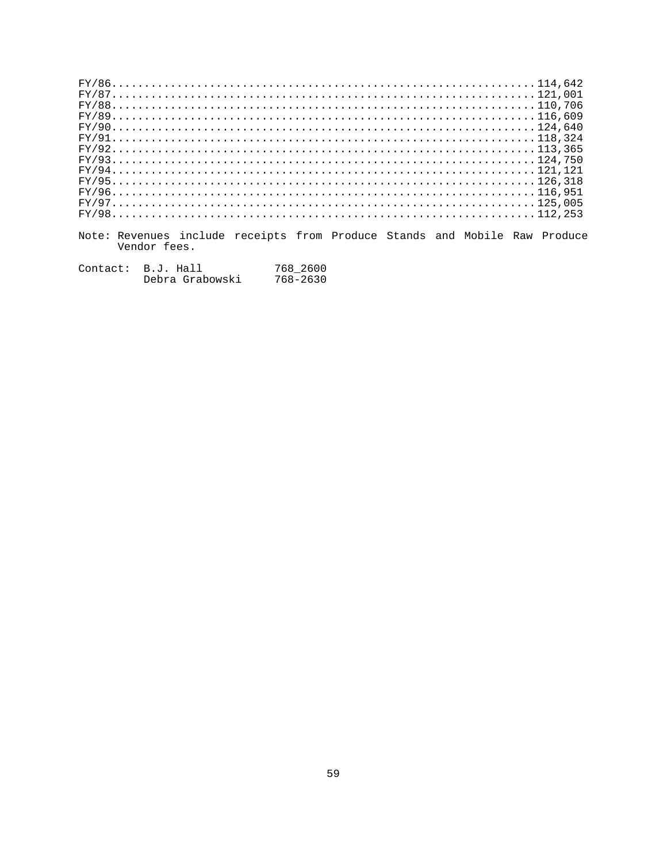| $FY/86114.642$ |  |  |  |  |  |  |  |  |  |  |  |  |  |  |  |  |  |  |  |  |  |  |  |  |  |  |  |  |  |  |  |  |  |  |
|----------------|--|--|--|--|--|--|--|--|--|--|--|--|--|--|--|--|--|--|--|--|--|--|--|--|--|--|--|--|--|--|--|--|--|--|
|                |  |  |  |  |  |  |  |  |  |  |  |  |  |  |  |  |  |  |  |  |  |  |  |  |  |  |  |  |  |  |  |  |  |  |
|                |  |  |  |  |  |  |  |  |  |  |  |  |  |  |  |  |  |  |  |  |  |  |  |  |  |  |  |  |  |  |  |  |  |  |
|                |  |  |  |  |  |  |  |  |  |  |  |  |  |  |  |  |  |  |  |  |  |  |  |  |  |  |  |  |  |  |  |  |  |  |
|                |  |  |  |  |  |  |  |  |  |  |  |  |  |  |  |  |  |  |  |  |  |  |  |  |  |  |  |  |  |  |  |  |  |  |
|                |  |  |  |  |  |  |  |  |  |  |  |  |  |  |  |  |  |  |  |  |  |  |  |  |  |  |  |  |  |  |  |  |  |  |
|                |  |  |  |  |  |  |  |  |  |  |  |  |  |  |  |  |  |  |  |  |  |  |  |  |  |  |  |  |  |  |  |  |  |  |
| $FY/93124,750$ |  |  |  |  |  |  |  |  |  |  |  |  |  |  |  |  |  |  |  |  |  |  |  |  |  |  |  |  |  |  |  |  |  |  |
|                |  |  |  |  |  |  |  |  |  |  |  |  |  |  |  |  |  |  |  |  |  |  |  |  |  |  |  |  |  |  |  |  |  |  |
|                |  |  |  |  |  |  |  |  |  |  |  |  |  |  |  |  |  |  |  |  |  |  |  |  |  |  |  |  |  |  |  |  |  |  |
|                |  |  |  |  |  |  |  |  |  |  |  |  |  |  |  |  |  |  |  |  |  |  |  |  |  |  |  |  |  |  |  |  |  |  |
|                |  |  |  |  |  |  |  |  |  |  |  |  |  |  |  |  |  |  |  |  |  |  |  |  |  |  |  |  |  |  |  |  |  |  |
| $FY/98112,253$ |  |  |  |  |  |  |  |  |  |  |  |  |  |  |  |  |  |  |  |  |  |  |  |  |  |  |  |  |  |  |  |  |  |  |
|                |  |  |  |  |  |  |  |  |  |  |  |  |  |  |  |  |  |  |  |  |  |  |  |  |  |  |  |  |  |  |  |  |  |  |

Note: Revenues include receipts from Produce Stands and Mobile Raw Produce<br>Vendor fees.

| Contact: | B.J. Hall       | 768 2600 |
|----------|-----------------|----------|
|          | Debra Grabowski | 768-2630 |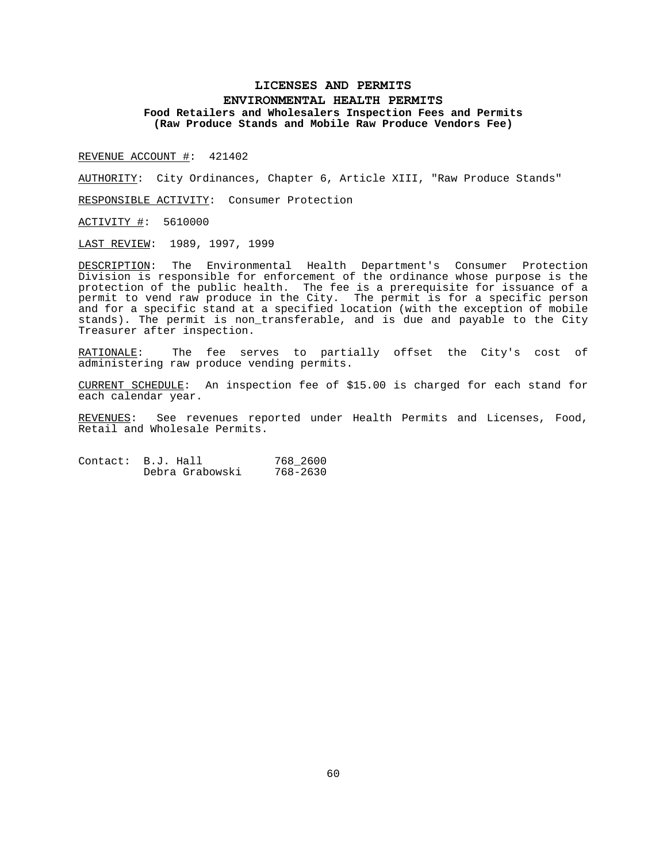## **LICENSES AND PERMITS ENVIRONMENTAL HEALTH PERMITS Food Retailers and Wholesalers Inspection Fees and Permits (Raw Produce Stands and Mobile Raw Produce Vendors Fee)**

REVENUE ACCOUNT #: 421402

AUTHORITY: City Ordinances, Chapter 6, Article XIII, "Raw Produce Stands"

RESPONSIBLE ACTIVITY: Consumer Protection

ACTIVITY #: 5610000

LAST REVIEW: 1989, 1997, 1999

DESCRIPTION: The Environmental Health Department's Consumer Protection Division is responsible for enforcement of the ordinance whose purpose is the protection of the public health. The fee is a prerequisite for issuance of a permit to vend raw produce in the City. The permit is for a specific person and for a specific stand at a specified location (with the exception of mobile stands). The permit is non\_transferable, and is due and payable to the City Treasurer after inspection.

RATIONALE: The fee serves to partially offset the City's cost of administering raw produce vending permits.

CURRENT SCHEDULE: An inspection fee of \$15.00 is charged for each stand for each calendar year.

REVENUES: See revenues reported under Health Permits and Licenses, Food, Retail and Wholesale Permits.

Contact: B.J. Hall 768\_2600 Debra Grabowski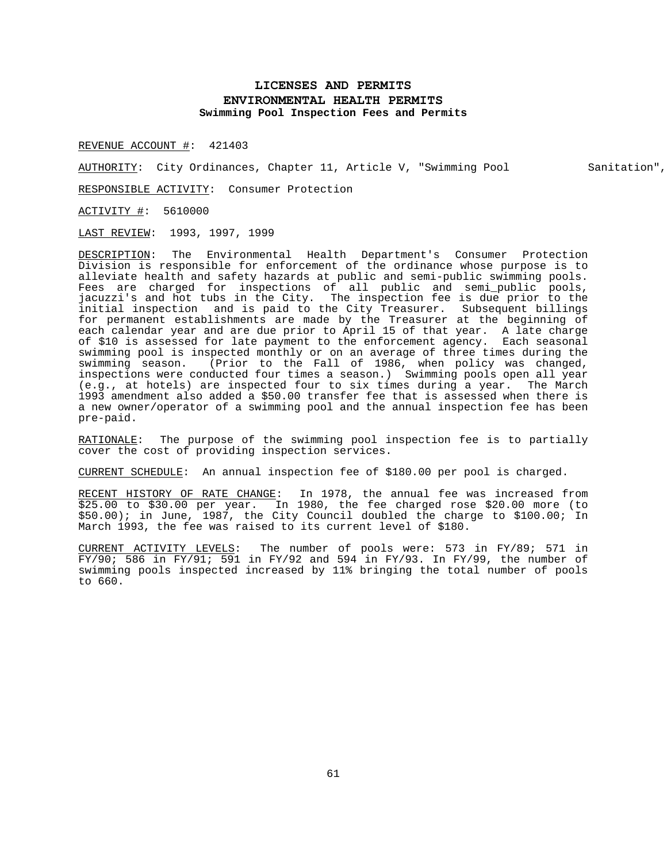# **LICENSES AND PERMITS ENVIRONMENTAL HEALTH PERMITS Swimming Pool Inspection Fees and Permits**

REVENUE ACCOUNT #: 421403

AUTHORITY: City Ordinances, Chapter 11, Article V, "Swimming Pool Sanitation",

RESPONSIBLE ACTIVITY: Consumer Protection

ACTIVITY #: 5610000

LAST REVIEW: 1993, 1997, 1999

DESCRIPTION: The Environmental Health Department's Consumer Protection Division is responsible for enforcement of the ordinance whose purpose is to alleviate health and safety hazards at public and semi-public swimming pools. Fees are charged for inspections of all public and semi\_public pools, jacuzzi's and hot tubs in the City. The inspection fee is due prior to the initial inspection and is paid to the City Treasurer. Subsequent billings for permanent establishments are made by the Treasurer at the beginning of each calendar year and are due prior to April 15 of that year. A late charge of \$10 is assessed for late payment to the enforcement agency. Each seasonal swimming pool is inspected monthly or on an average of three times during the swimming season. (Prior to the Fall of 1986, when policy was changed, inspections were conducted four times a season.) Swimming pools open all year (e.g., at hotels) are inspected four to six times during a year. The March 1993 amendment also added a \$50.00 transfer fee that is assessed when there is a new owner/operator of a swimming pool and the annual inspection fee has been pre-paid.

RATIONALE: The purpose of the swimming pool inspection fee is to partially cover the cost of providing inspection services.

CURRENT SCHEDULE: An annual inspection fee of \$180.00 per pool is charged.

RECENT HISTORY OF RATE CHANGE: In 1978, the annual fee was increased from \$25.00 to \$30.00 per year. In 1980, the fee charged rose \$20.00 more (to \$50.00); in June, 1987, the City Council doubled the charge to \$100.00; In March 1993, the fee was raised to its current level of \$180.

CURRENT ACTIVITY LEVELS: The number of pools were: 573 in FY/89; 571 in  $FY/90$ ; 586 in FY/91; 591 in FY/92 and 594 in FY/93. In FY/99, the number of swimming pools inspected increased by 11% bringing the total number of pools to 660.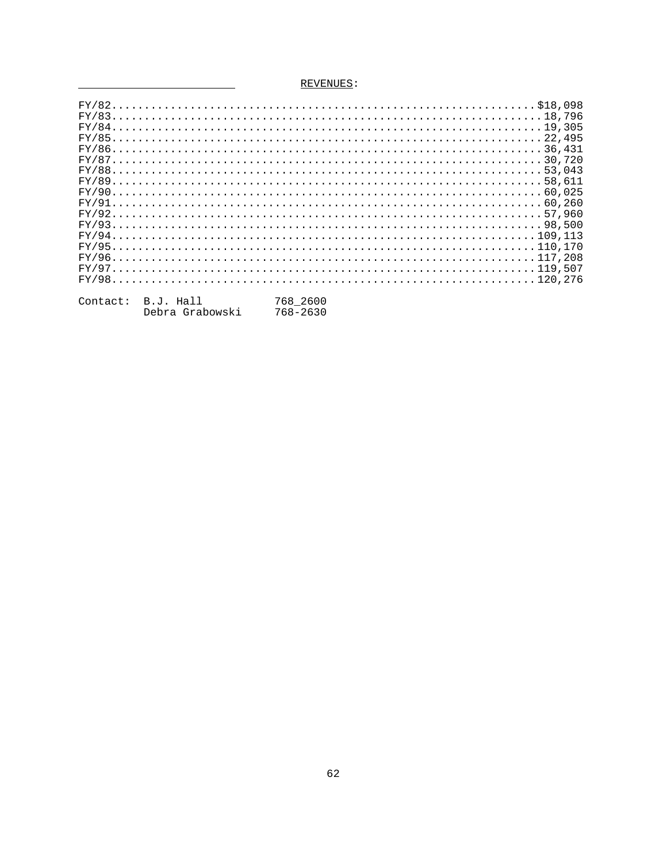# REVENUES:

<u> a shekara t</u>

| Contact: | B.J. Hall       | 768 2600 |
|----------|-----------------|----------|
|          | Debra Grabowski | 768-2630 |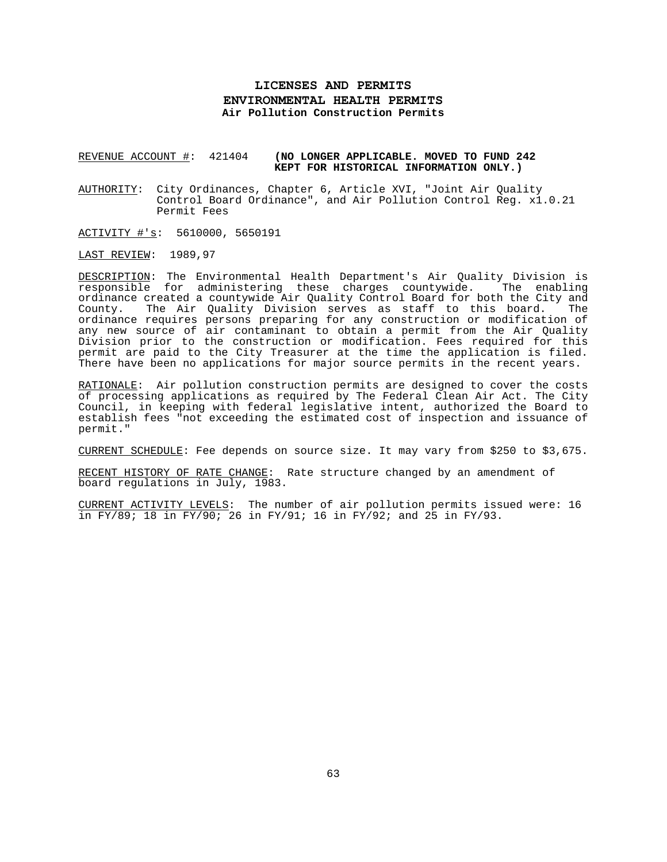# **LICENSES AND PERMITS ENVIRONMENTAL HEALTH PERMITS Air Pollution Construction Permits**

### REVENUE ACCOUNT #: 421404 **(NO LONGER APPLICABLE. MOVED TO FUND 242 KEPT FOR HISTORICAL INFORMATION ONLY.)**

AUTHORITY: City Ordinances, Chapter 6, Article XVI, "Joint Air Quality Control Board Ordinance", and Air Pollution Control Reg. x1.0.21 Permit Fees

ACTIVITY #'s: 5610000, 5650191

LAST REVIEW: 1989,97

DESCRIPTION: The Environmental Health Department's Air Quality Division is responsible for administering these charges countywide. The enabling ordinance created a countywide Air Quality Control Board for both the City and County. The Air Quality Division serves as staff to this board. The ordinance requires persons preparing for any construction or modification of any new source of air contaminant to obtain a permit from the Air Quality Division prior to the construction or modification. Fees required for this permit are paid to the City Treasurer at the time the application is filed. There have been no applications for major source permits in the recent years.

RATIONALE: Air pollution construction permits are designed to cover the costs of processing applications as required by The Federal Clean Air Act. The City Council, in keeping with federal legislative intent, authorized the Board to establish fees "not exceeding the estimated cost of inspection and issuance of permit."

CURRENT SCHEDULE: Fee depends on source size. It may vary from \$250 to \$3,675.

RECENT HISTORY OF RATE CHANGE: Rate structure changed by an amendment of board regulations in July, 1983.

CURRENT ACTIVITY LEVELS: The number of air pollution permits issued were: 16 in FY/89; 18 in FY/90; 26 in FY/91; 16 in FY/92; and 25 in FY/93.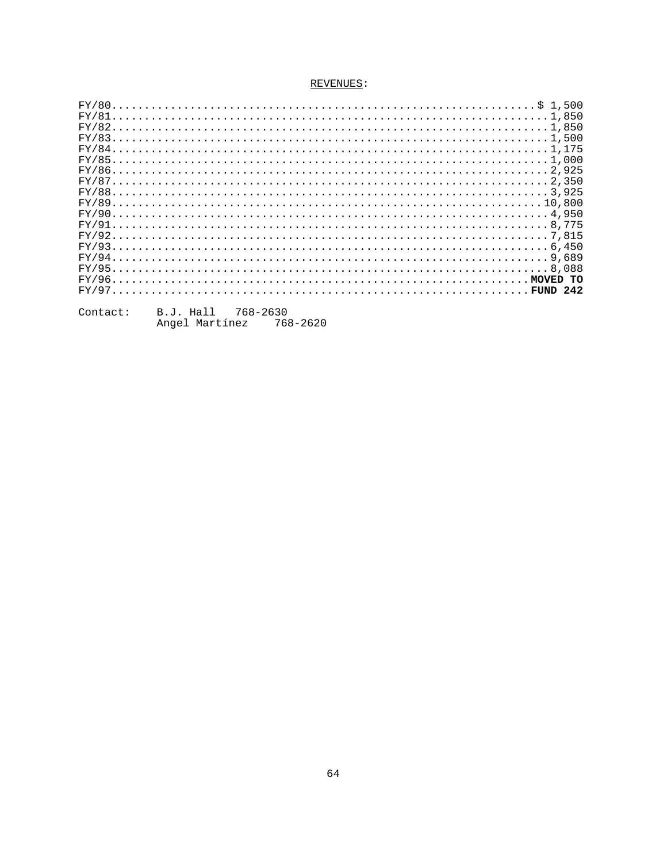|  |  |  |  |  |  |  |  |  |  |  |  |  |  |  |  |  |  |  |  |  |  |  |  |  |  | $FY/831,500$     |
|--|--|--|--|--|--|--|--|--|--|--|--|--|--|--|--|--|--|--|--|--|--|--|--|--|--|------------------|
|  |  |  |  |  |  |  |  |  |  |  |  |  |  |  |  |  |  |  |  |  |  |  |  |  |  |                  |
|  |  |  |  |  |  |  |  |  |  |  |  |  |  |  |  |  |  |  |  |  |  |  |  |  |  |                  |
|  |  |  |  |  |  |  |  |  |  |  |  |  |  |  |  |  |  |  |  |  |  |  |  |  |  |                  |
|  |  |  |  |  |  |  |  |  |  |  |  |  |  |  |  |  |  |  |  |  |  |  |  |  |  | $FY/872,350$     |
|  |  |  |  |  |  |  |  |  |  |  |  |  |  |  |  |  |  |  |  |  |  |  |  |  |  |                  |
|  |  |  |  |  |  |  |  |  |  |  |  |  |  |  |  |  |  |  |  |  |  |  |  |  |  |                  |
|  |  |  |  |  |  |  |  |  |  |  |  |  |  |  |  |  |  |  |  |  |  |  |  |  |  |                  |
|  |  |  |  |  |  |  |  |  |  |  |  |  |  |  |  |  |  |  |  |  |  |  |  |  |  |                  |
|  |  |  |  |  |  |  |  |  |  |  |  |  |  |  |  |  |  |  |  |  |  |  |  |  |  |                  |
|  |  |  |  |  |  |  |  |  |  |  |  |  |  |  |  |  |  |  |  |  |  |  |  |  |  |                  |
|  |  |  |  |  |  |  |  |  |  |  |  |  |  |  |  |  |  |  |  |  |  |  |  |  |  |                  |
|  |  |  |  |  |  |  |  |  |  |  |  |  |  |  |  |  |  |  |  |  |  |  |  |  |  |                  |
|  |  |  |  |  |  |  |  |  |  |  |  |  |  |  |  |  |  |  |  |  |  |  |  |  |  | $FY/96$ MOVED TO |
|  |  |  |  |  |  |  |  |  |  |  |  |  |  |  |  |  |  |  |  |  |  |  |  |  |  | $FY/97$ FUND 242 |
|  |  |  |  |  |  |  |  |  |  |  |  |  |  |  |  |  |  |  |  |  |  |  |  |  |  |                  |

| Contact: | B.J. Hall |                | 768-2630 |          |
|----------|-----------|----------------|----------|----------|
|          |           | Angel Martínez |          | 768-2620 |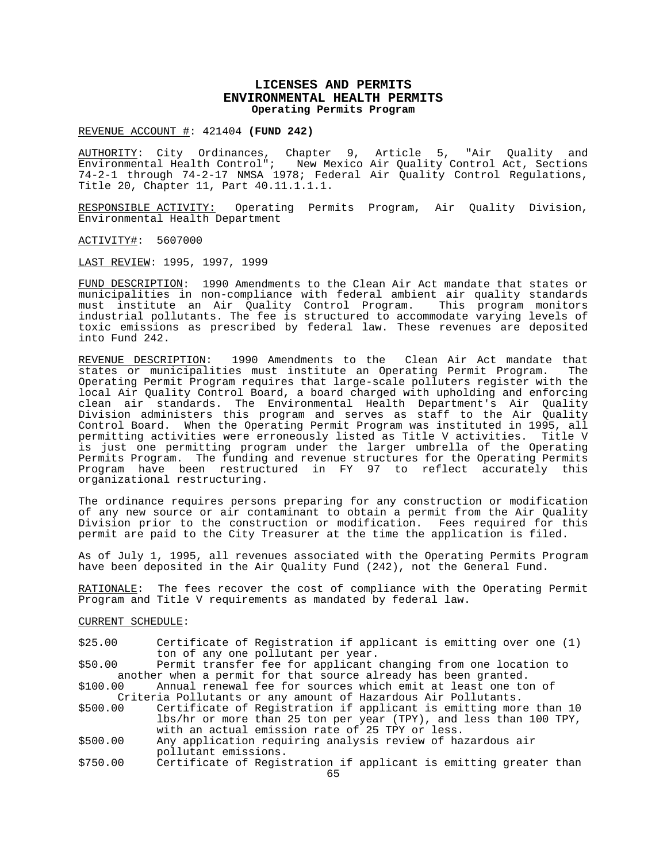## **LICENSES AND PERMITS ENVIRONMENTAL HEALTH PERMITS Operating Permits Program**

REVENUE ACCOUNT #: 421404 **(FUND 242)**

AUTHORITY: City Ordinances, Chapter 9, Article 5, "Air Quality and Environmental Health Control"; New Mexico Air Quality Control Act, Sections 74-2-1 through 74-2-17 NMSA 1978; Federal Air Quality Control Regulations, Title 20, Chapter 11, Part 40.11.1.1.1.

RESPONSIBLE ACTIVITY: Operating Permits Program, Air Quality Division, Environmental Health Department

ACTIVITY#: 5607000

LAST REVIEW: 1995, 1997, 1999

FUND DESCRIPTION: 1990 Amendments to the Clean Air Act mandate that states or municipalities in non-compliance with federal ambient air quality standards must institute an Air Quality Control Program. This program monitors industrial pollutants. The fee is structured to accommodate varying levels of toxic emissions as prescribed by federal law. These revenues are deposited into Fund 242.

REVENUE DESCRIPTION: 1990 Amendments to the Clean Air Act mandate that<br>states or municipalities must institute an Operating Permit Program. The states or municipalities must institute an Operating Permit Program. Operating Permit Program requires that large-scale polluters register with the local Air Quality Control Board, a board charged with upholding and enforcing clean air standards. The Environmental Health Department's Air Quality Division administers this program and serves as staff to the Air Quality Control Board. When the Operating Permit Program was instituted in 1995, all permitting activities were erroneously listed as Title V activities. Title V is just one permitting program under the larger umbrella of the Operating Permits Program. The funding and revenue structures for the Operating Permits Program have been restructured in FY 97 to reflect accurately this organizational restructuring.

The ordinance requires persons preparing for any construction or modification of any new source or air contaminant to obtain a permit from the Air Quality Division prior to the construction or modification. Fees required for this permit are paid to the City Treasurer at the time the application is filed.

As of July 1, 1995, all revenues associated with the Operating Permits Program have been deposited in the Air Quality Fund (242), not the General Fund.

RATIONALE: The fees recover the cost of compliance with the Operating Permit Program and Title V requirements as mandated by federal law.

CURRENT SCHEDULE:

\$25.00 Certificate of Registration if applicant is emitting over one (1) ton of any one pollutant per year.

\$50.00 Permit transfer fee for applicant changing from one location to another when a permit for that source already has been granted.<br>\$100.00 Annual renewal fee for sources which emit at least one to Annual renewal fee for sources which emit at least one ton of

Criteria Pollutants or any amount of Hazardous Air Pollutants.

Certificate of Registration if applicant is emitting more than 10 lbs/hr or more than 25 ton per year (TPY), and less than 100 TPY, with an actual emission rate of 25 TPY or less.

- \$500.00 Any application requiring analysis review of hazardous air pollutant emissions.
- \$750.00 Certificate of Registration if applicant is emitting greater than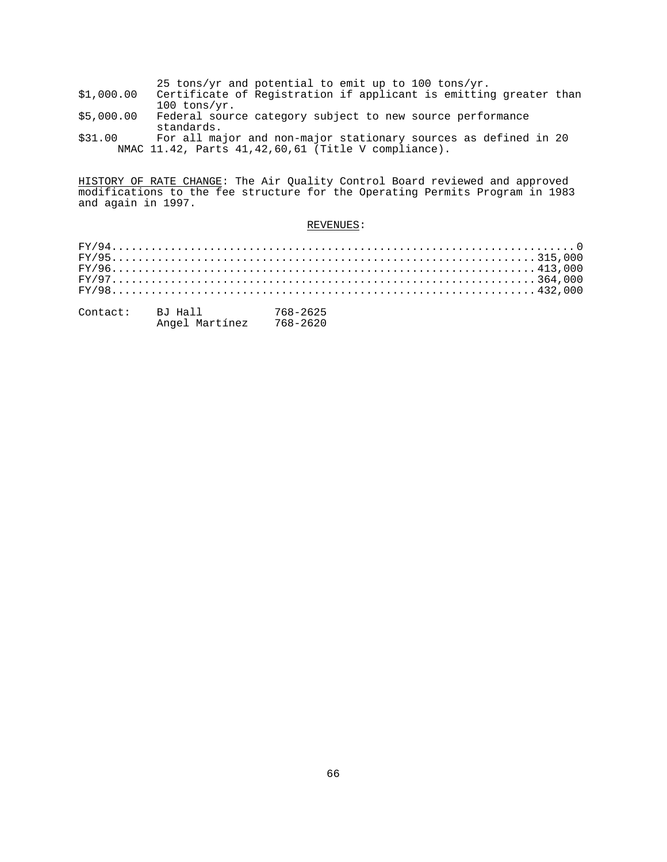|  |  | 25 tons/yr and potential to emit up to 100 tons/yr. |  |  |  |  |
|--|--|-----------------------------------------------------|--|--|--|--|
|  |  |                                                     |  |  |  |  |

- \$1,000.00 Certificate of Registration if applicant is emitting greater than  $100 \t{tons/yr}.$ \$5,000.00 Federal sourc
- Federal source category subject to new source performance standards.<br>\$31.00 For all ma
- For all major and non-major stationary sources as defined in 20 NMAC 11.42, Parts 41,42,60,61 (Title V compliance).

HISTORY OF RATE CHANGE: The Air Quality Control Board reviewed and approved modifications to the fee structure for the Operating Permits Program in 1983 and again in 1997.

| Contact: | BJ Hall        | 768-2625 |
|----------|----------------|----------|
|          | Angel Martínez | 768-2620 |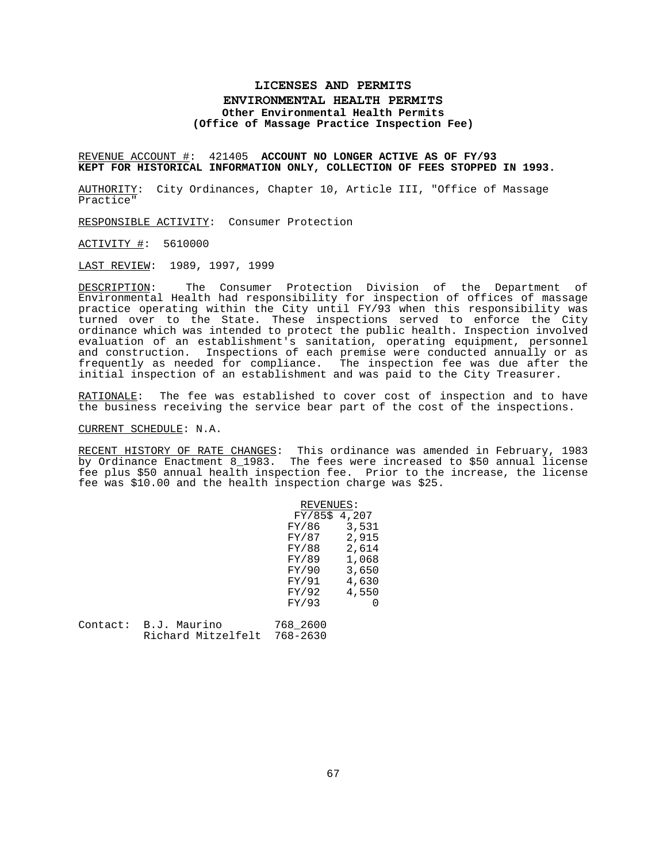## **LICENSES AND PERMITS ENVIRONMENTAL HEALTH PERMITS Other Environmental Health Permits (Office of Massage Practice Inspection Fee)**

REVENUE ACCOUNT #: 421405 **ACCOUNT NO LONGER ACTIVE AS OF FY/93 KEPT FOR HISTORICAL INFORMATION ONLY, COLLECTION OF FEES STOPPED IN 1993.**

AUTHORITY: City Ordinances, Chapter 10, Article III, "Office of Massage Practice"

RESPONSIBLE ACTIVITY: Consumer Protection

ACTIVITY #: 5610000

LAST REVIEW: 1989, 1997, 1999

DESCRIPTION: The Consumer Protection Division of the Department of Environmental Health had responsibility for inspection of offices of massage practice operating within the City until FY/93 when this responsibility was turned over to the State. These inspections served to enforce the City ordinance which was intended to protect the public health. Inspection involved evaluation of an establishment's sanitation, operating equipment, personnel and construction. Inspections of each premise were conducted annually or as frequently as needed for compliance. The inspection fee was due after the initial inspection of an establishment and was paid to the City Treasurer.

RATIONALE: The fee was established to cover cost of inspection and to have the business receiving the service bear part of the cost of the inspections.

### CURRENT SCHEDULE: N.A.

RECENT HISTORY OF RATE CHANGES: This ordinance was amended in February, 1983 by Ordinance Enactment 8\_1983. The fees were increased to \$50 annual license fee plus \$50 annual health inspection fee. Prior to the increase, the license fee was \$10.00 and the health inspection charge was \$25.

|          |                    | REVENUES:      |       |
|----------|--------------------|----------------|-------|
|          |                    | $FY/85$$ 4,207 |       |
|          |                    | FY/86          | 3,531 |
|          |                    | FY/87          | 2,915 |
|          |                    | FY/88          | 2,614 |
|          |                    | FY/89          | 1,068 |
|          |                    | FY/90          | 3,650 |
|          |                    | FY/91          | 4,630 |
|          |                    | FY/92          | 4,550 |
|          |                    | FY/93          |       |
| Contact: | B.J. Maurino       | 768 2600       |       |
|          | Richard Mitzelfelt | $768 - 2630$   |       |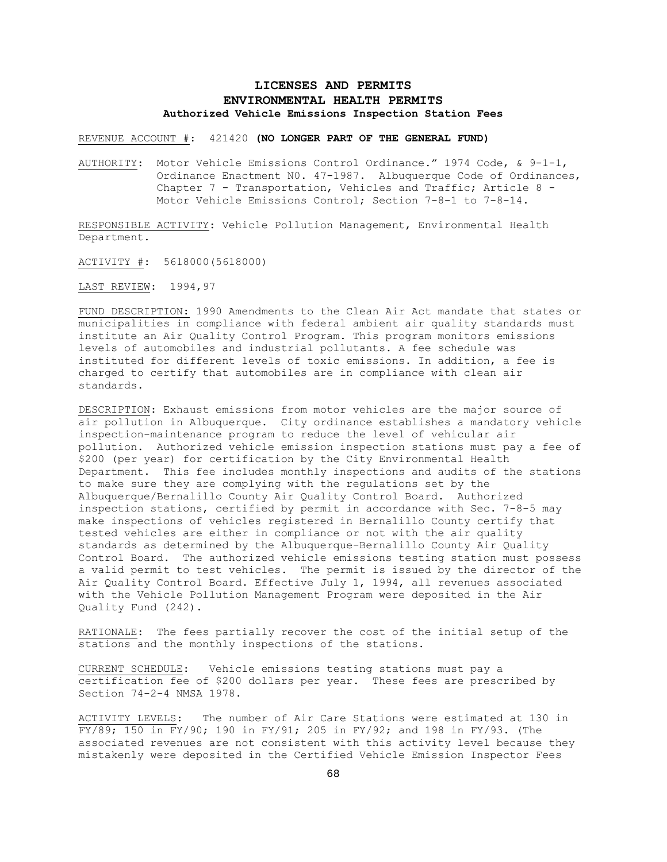# **LICENSES AND PERMITS ENVIRONMENTAL HEALTH PERMITS Authorized Vehicle Emissions Inspection Station Fees**

REVENUE ACCOUNT #: 421420 **(NO LONGER PART OF THE GENERAL FUND)**

AUTHORITY: Motor Vehicle Emissions Control Ordinance." 1974 Code, & 9-1-1, Ordinance Enactment N0. 47-1987. Albuquerque Code of Ordinances, Chapter 7 - Transportation, Vehicles and Traffic; Article 8 - Motor Vehicle Emissions Control; Section 7-8-1 to 7-8-14.

RESPONSIBLE ACTIVITY: Vehicle Pollution Management, Environmental Health Department.

ACTIVITY #: 5618000(5618000)

LAST REVIEW: 1994,97

FUND DESCRIPTION: 1990 Amendments to the Clean Air Act mandate that states or municipalities in compliance with federal ambient air quality standards must institute an Air Quality Control Program. This program monitors emissions levels of automobiles and industrial pollutants. A fee schedule was instituted for different levels of toxic emissions. In addition, a fee is charged to certify that automobiles are in compliance with clean air standards.

DESCRIPTION: Exhaust emissions from motor vehicles are the major source of air pollution in Albuquerque. City ordinance establishes a mandatory vehicle inspection-maintenance program to reduce the level of vehicular air pollution. Authorized vehicle emission inspection stations must pay a fee of \$200 (per year) for certification by the City Environmental Health Department. This fee includes monthly inspections and audits of the stations to make sure they are complying with the regulations set by the Albuquerque/Bernalillo County Air Quality Control Board. Authorized inspection stations, certified by permit in accordance with Sec. 7-8-5 may make inspections of vehicles registered in Bernalillo County certify that tested vehicles are either in compliance or not with the air quality standards as determined by the Albuquerque-Bernalillo County Air Quality Control Board. The authorized vehicle emissions testing station must possess a valid permit to test vehicles. The permit is issued by the director of the Air Quality Control Board. Effective July 1, 1994, all revenues associated with the Vehicle Pollution Management Program were deposited in the Air Quality Fund (242).

RATIONALE: The fees partially recover the cost of the initial setup of the stations and the monthly inspections of the stations.

CURRENT SCHEDULE: Vehicle emissions testing stations must pay a certification fee of \$200 dollars per year. These fees are prescribed by Section 74-2-4 NMSA 1978.

ACTIVITY LEVELS: The number of Air Care Stations were estimated at 130 in FY/89; 150 in FY/90; 190 in FY/91; 205 in FY/92; and 198 in FY/93. (The associated revenues are not consistent with this activity level because they mistakenly were deposited in the Certified Vehicle Emission Inspector Fees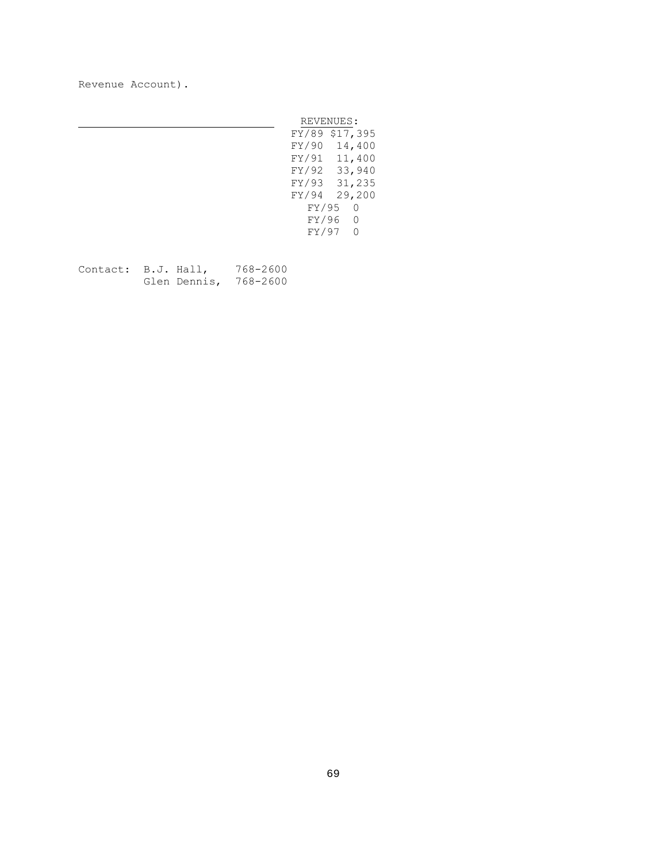Revenue Account).

|       | REVENUES:      |
|-------|----------------|
|       | FY/89 \$17,395 |
|       | FY/90 14,400   |
|       | FY/91 11,400   |
|       | FY/92 33,940   |
|       | FY/93 31,235   |
|       | FY/94 29,200   |
| FY/95 | $\Omega$       |
| FY/96 | $\Omega$       |
| FY/97 | ∩              |

Contact: B.J. Hall, 768-2600 Glen Dennis, 768-2600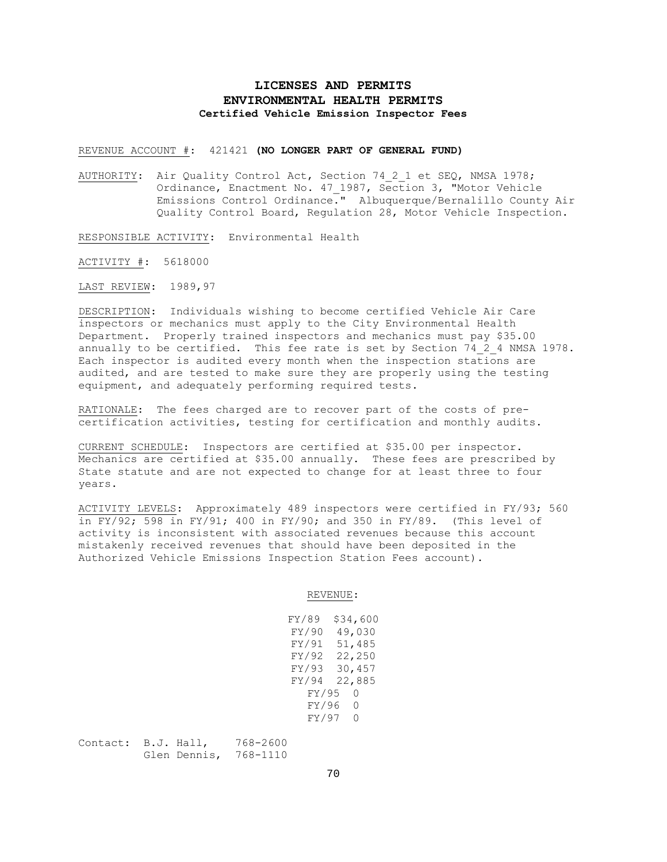# **LICENSES AND PERMITS ENVIRONMENTAL HEALTH PERMITS Certified Vehicle Emission Inspector Fees**

REVENUE ACCOUNT #: 421421 **(NO LONGER PART OF GENERAL FUND)**

AUTHORITY: Air Quality Control Act, Section 74 2 1 et SEQ, NMSA 1978; Ordinance, Enactment No. 47\_1987, Section 3, "Motor Vehicle Emissions Control Ordinance." Albuquerque/Bernalillo County Air Quality Control Board, Regulation 28, Motor Vehicle Inspection.

RESPONSIBLE ACTIVITY: Environmental Health

ACTIVITY #: 5618000

LAST REVIEW: 1989,97

DESCRIPTION: Individuals wishing to become certified Vehicle Air Care inspectors or mechanics must apply to the City Environmental Health Department. Properly trained inspectors and mechanics must pay \$35.00 annually to be certified. This fee rate is set by Section 74 2 4 NMSA 1978. Each inspector is audited every month when the inspection stations are audited, and are tested to make sure they are properly using the testing equipment, and adequately performing required tests.

RATIONALE: The fees charged are to recover part of the costs of precertification activities, testing for certification and monthly audits.

CURRENT SCHEDULE: Inspectors are certified at \$35.00 per inspector. Mechanics are certified at \$35.00 annually. These fees are prescribed by State statute and are not expected to change for at least three to four years.

ACTIVITY LEVELS: Approximately 489 inspectors were certified in FY/93; 560 in FY/92; 598 in FY/91; 400 in FY/90; and 350 in FY/89. (This level of activity is inconsistent with associated revenues because this account mistakenly received revenues that should have been deposited in the Authorized Vehicle Emissions Inspection Station Fees account).

| FY/89 | \$34,600 |
|-------|----------|
| FY/90 | 49,030   |
| FY/91 | 51,485   |
| FY/92 | 22,250   |
| FY/93 | 30,457   |
| FY/94 | 22,885   |
| FY/95 | 0        |
| FY/96 | 0.       |
| FY/97 | 0.       |
|       |          |

| Contact: B.J. Hall, |              | 768-2600 |
|---------------------|--------------|----------|
|                     | Glen Dennis, | 768-1110 |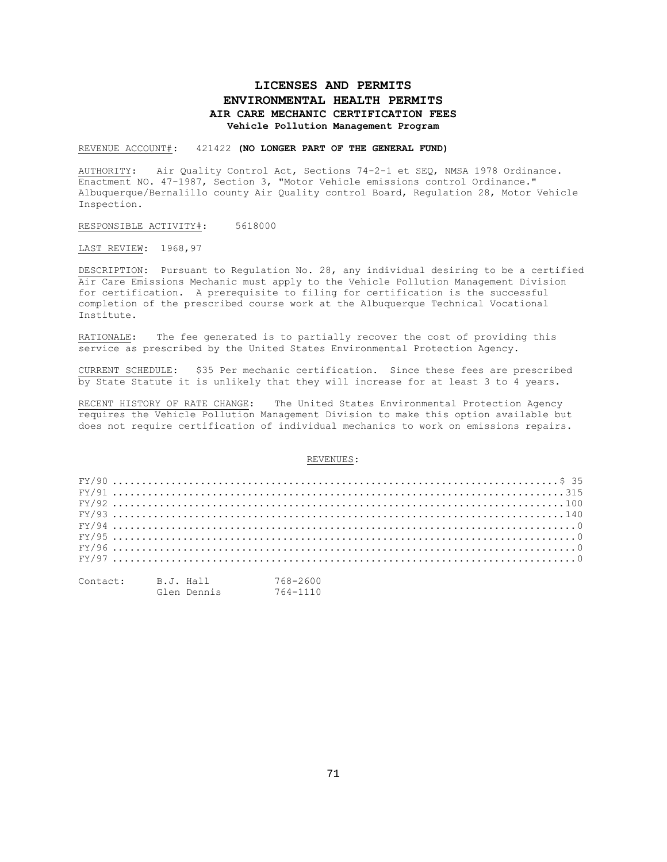# **LICENSES AND PERMITS ENVIRONMENTAL HEALTH PERMITS AIR CARE MECHANIC CERTIFICATION FEES Vehicle Pollution Management Program**

REVENUE ACCOUNT#: 421422 **(NO LONGER PART OF THE GENERAL FUND)**

AUTHORITY: Air Quality Control Act, Sections 74-2-1 et SEQ, NMSA 1978 Ordinance. Enactment NO. 47-1987, Section 3, "Motor Vehicle emissions control Ordinance." Albuquerque/Bernalillo county Air Quality control Board, Regulation 28, Motor Vehicle Inspection.

RESPONSIBLE ACTIVITY#: 5618000

LAST REVIEW: 1968,97

DESCRIPTION: Pursuant to Regulation No. 28, any individual desiring to be a certified Air Care Emissions Mechanic must apply to the Vehicle Pollution Management Division for certification. A prerequisite to filing for certification is the successful completion of the prescribed course work at the Albuquerque Technical Vocational Institute.

RATIONALE: The fee generated is to partially recover the cost of providing this service as prescribed by the United States Environmental Protection Agency.

CURRENT SCHEDULE: \$35 Per mechanic certification. Since these fees are prescribed by State Statute it is unlikely that they will increase for at least 3 to 4 years.

RECENT HISTORY OF RATE CHANGE: The United States Environmental Protection Agency requires the Vehicle Pollution Management Division to make this option available but does not require certification of individual mechanics to work on emissions repairs.

| $FX/96$ |  |  |  |  |  |  |  |  |  |  |  |  |  |  |  |  |  |  |  |  |  |  |  |
|---------|--|--|--|--|--|--|--|--|--|--|--|--|--|--|--|--|--|--|--|--|--|--|--|
| $FX/97$ |  |  |  |  |  |  |  |  |  |  |  |  |  |  |  |  |  |  |  |  |  |  |  |
|         |  |  |  |  |  |  |  |  |  |  |  |  |  |  |  |  |  |  |  |  |  |  |  |

| Contact: | B.J. Hall |             | 768-2600 |
|----------|-----------|-------------|----------|
|          |           | Glen Dennis | 764-1110 |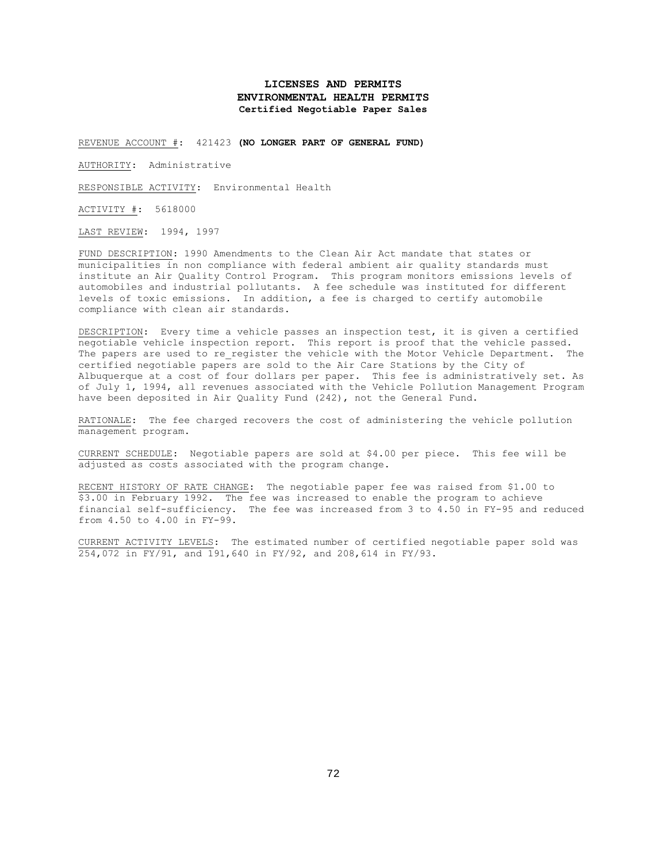## **LICENSES AND PERMITS ENVIRONMENTAL HEALTH PERMITS Certified Negotiable Paper Sales**

REVENUE ACCOUNT #: 421423 **(NO LONGER PART OF GENERAL FUND)**

AUTHORITY: Administrative

RESPONSIBLE ACTIVITY: Environmental Health

ACTIVITY #: 5618000

LAST REVIEW: 1994, 1997

FUND DESCRIPTION: 1990 Amendments to the Clean Air Act mandate that states or municipalities in non compliance with federal ambient air quality standards must institute an Air Quality Control Program. This program monitors emissions levels of automobiles and industrial pollutants. A fee schedule was instituted for different levels of toxic emissions. In addition, a fee is charged to certify automobile compliance with clean air standards.

DESCRIPTION: Every time a vehicle passes an inspection test, it is given a certified negotiable vehicle inspection report. This report is proof that the vehicle passed. The papers are used to re register the vehicle with the Motor Vehicle Department. The certified negotiable papers are sold to the Air Care Stations by the City of Albuquerque at a cost of four dollars per paper. This fee is administratively set. As of July 1, 1994, all revenues associated with the Vehicle Pollution Management Program have been deposited in Air Quality Fund (242), not the General Fund.

RATIONALE: The fee charged recovers the cost of administering the vehicle pollution management program.

CURRENT SCHEDULE: Negotiable papers are sold at \$4.00 per piece. This fee will be adjusted as costs associated with the program change.

RECENT HISTORY OF RATE CHANGE: The negotiable paper fee was raised from \$1.00 to \$3.00 in February 1992. The fee was increased to enable the program to achieve financial self-sufficiency. The fee was increased from 3 to 4.50 in FY-95 and reduced from 4.50 to 4.00 in FY-99.

CURRENT ACTIVITY LEVELS: The estimated number of certified negotiable paper sold was 254,072 in FY/91, and 191,640 in FY/92, and 208,614 in FY/93.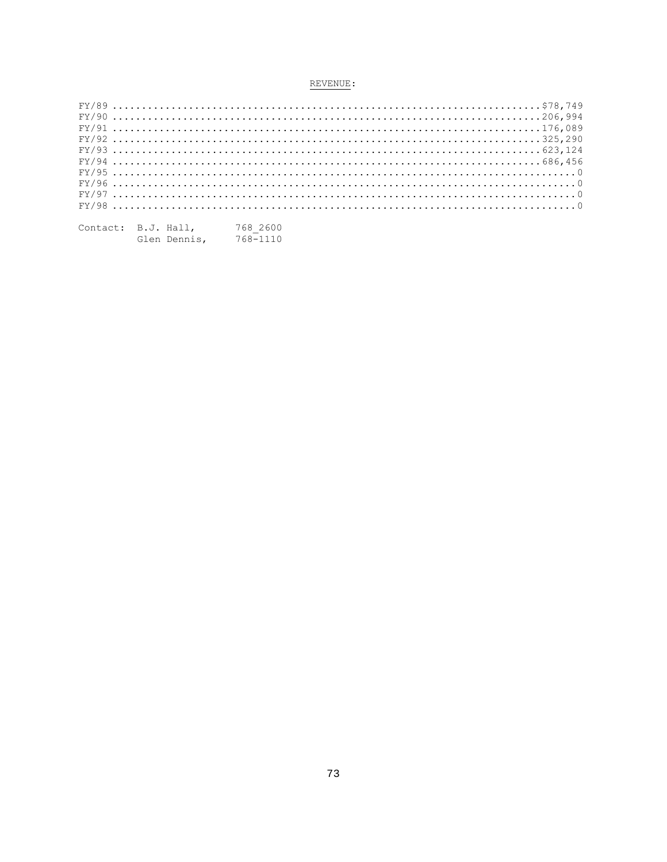| $FY/93623.124$ |  |  |  |  |  |  |  |  |  |  |  |  |  |  |  |  |  |  |  |  |  |  |  |  |  |  |  |
|----------------|--|--|--|--|--|--|--|--|--|--|--|--|--|--|--|--|--|--|--|--|--|--|--|--|--|--|--|
|                |  |  |  |  |  |  |  |  |  |  |  |  |  |  |  |  |  |  |  |  |  |  |  |  |  |  |  |
| $FY/95$        |  |  |  |  |  |  |  |  |  |  |  |  |  |  |  |  |  |  |  |  |  |  |  |  |  |  |  |
| $FX/96$        |  |  |  |  |  |  |  |  |  |  |  |  |  |  |  |  |  |  |  |  |  |  |  |  |  |  |  |
| $FY/97$        |  |  |  |  |  |  |  |  |  |  |  |  |  |  |  |  |  |  |  |  |  |  |  |  |  |  |  |
| $FY/98$        |  |  |  |  |  |  |  |  |  |  |  |  |  |  |  |  |  |  |  |  |  |  |  |  |  |  |  |
|                |  |  |  |  |  |  |  |  |  |  |  |  |  |  |  |  |  |  |  |  |  |  |  |  |  |  |  |

| Contact: B.J. Hall, |              | 768 2600 |
|---------------------|--------------|----------|
|                     | Glen Dennis, | 768-1110 |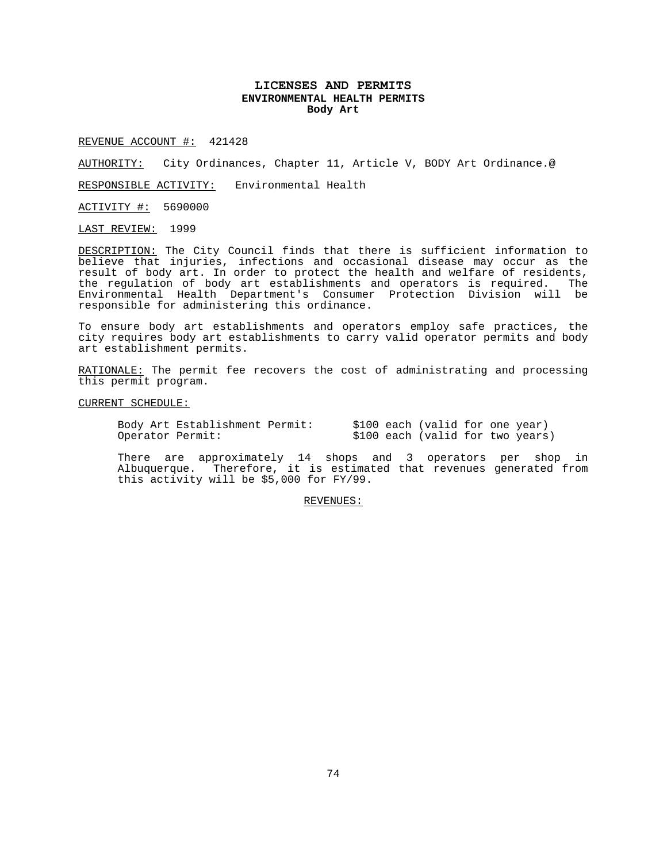## **LICENSES AND PERMITS ENVIRONMENTAL HEALTH PERMITS Body Art**

REVENUE ACCOUNT #: 421428

AUTHORITY: City Ordinances, Chapter 11, Article V, BODY Art Ordinance.@

RESPONSIBLE ACTIVITY: Environmental Health

ACTIVITY #: 5690000

LAST REVIEW: 1999

DESCRIPTION: The City Council finds that there is sufficient information to believe that injuries, infections and occasional disease may occur as the result of body art. In order to protect the health and welfare of residents, the regulation of body art establishments and operators is required. The Environmental Health Department's Consumer Protection Division will be responsible for administering this ordinance.

To ensure body art establishments and operators employ safe practices, the city requires body art establishments to carry valid operator permits and body art establishment permits.

RATIONALE: The permit fee recovers the cost of administrating and processing this permit program.

CURRENT SCHEDULE:

Body Art Establishment Permit: \$100 each (valid for one year)<br>Operator Permit: \$100 each (valid for two years \$100 each (valid for two years)

There are approximately 14 shops and 3 operators per shop in Albuquerque. Therefore, it is estimated that revenues generated from this activity will be \$5,000 for FY/99.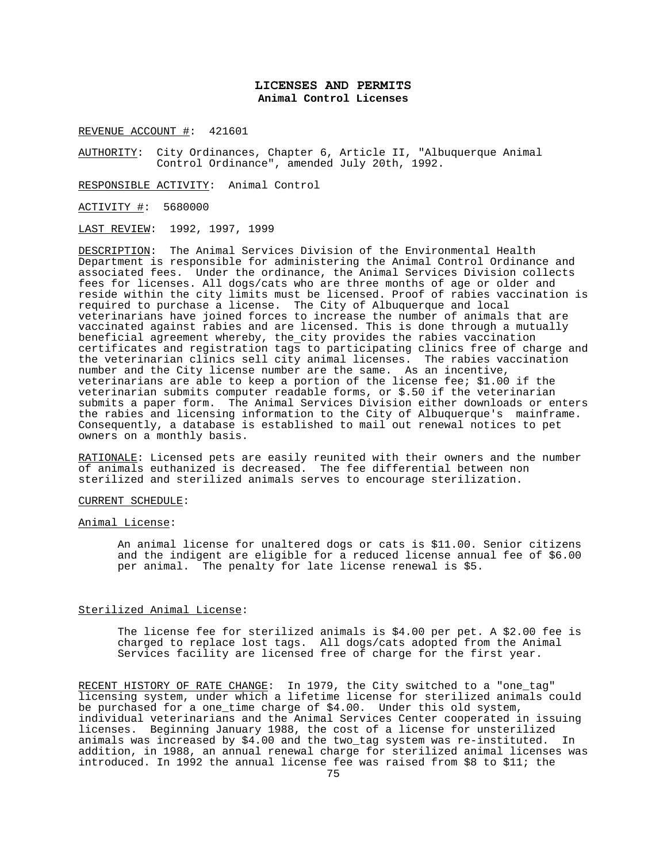## **LICENSES AND PERMITS Animal Control Licenses**

REVENUE ACCOUNT #: 421601

AUTHORITY: City Ordinances, Chapter 6, Article II, "Albuquerque Animal Control Ordinance", amended July 20th, 1992.

RESPONSIBLE ACTIVITY: Animal Control

ACTIVITY #: 5680000

LAST REVIEW: 1992, 1997, 1999

DESCRIPTION: The Animal Services Division of the Environmental Health Department is responsible for administering the Animal Control Ordinance and associated fees. Under the ordinance, the Animal Services Division collects fees for licenses. All dogs/cats who are three months of age or older and reside within the city limits must be licensed. Proof of rabies vaccination is required to purchase a license. The City of Albuquerque and local veterinarians have joined forces to increase the number of animals that are vaccinated against rabies and are licensed. This is done through a mutually beneficial agreement whereby, the city provides the rabies vaccination certificates and registration tags to participating clinics free of charge and the veterinarian clinics sell city animal licenses. The rabies vaccination number and the City license number are the same. As an incentive, veterinarians are able to keep a portion of the license fee; \$1.00 if the veterinarian submits computer readable forms, or \$.50 if the veterinarian submits a paper form. The Animal Services Division either downloads or enters the rabies and licensing information to the City of Albuquerque's mainframe. Consequently, a database is established to mail out renewal notices to pet owners on a monthly basis.

RATIONALE: Licensed pets are easily reunited with their owners and the number of animals euthanized is decreased. The fee differential between non sterilized and sterilized animals serves to encourage sterilization.

#### CURRENT SCHEDULE:

#### Animal License:

An animal license for unaltered dogs or cats is \$11.00. Senior citizens and the indigent are eligible for a reduced license annual fee of \$6.00 per animal. The penalty for late license renewal is \$5.

### Sterilized Animal License:

The license fee for sterilized animals is \$4.00 per pet. A \$2.00 fee is charged to replace lost tags. All dogs/cats adopted from the Animal Services facility are licensed free of charge for the first year.

RECENT HISTORY OF RATE CHANGE: In 1979, the City switched to a "one\_tag" licensing system, under which a lifetime license for sterilized animals could be purchased for a one\_time charge of \$4.00. Under this old system, individual veterinarians and the Animal Services Center cooperated in issuing licenses. Beginning January 1988, the cost of a license for unsterilized animals was increased by \$4.00 and the two\_tag system was re-instituted. In addition, in 1988, an annual renewal charge for sterilized animal licenses was introduced. In 1992 the annual license fee was raised from \$8 to \$11; the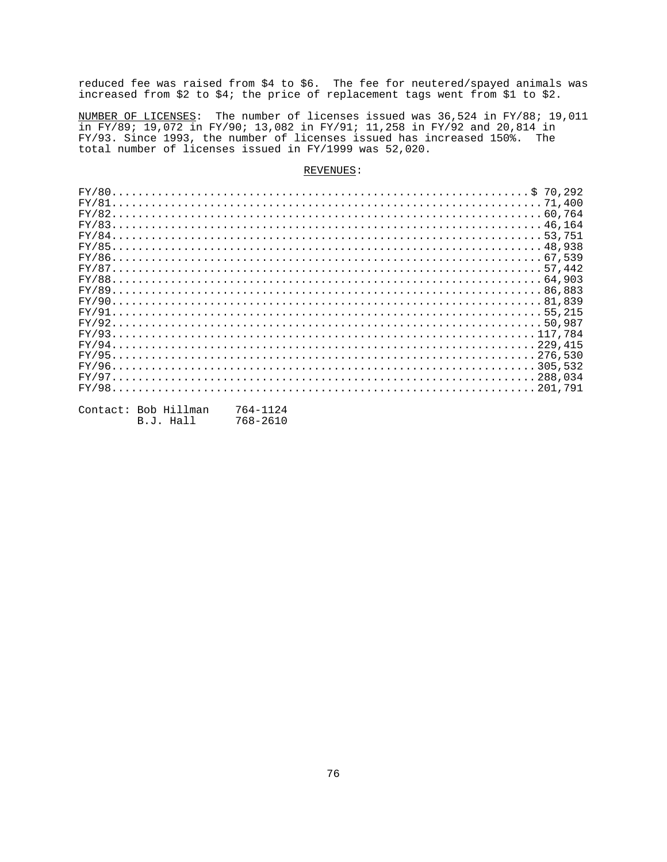reduced fee was raised from \$4 to \$6. The fee for neutered/spayed animals was increased from \$2 to \$4; the price of replacement tags went from \$1 to \$2.

<u>NUMBER OF LICENSES</u>: The number of licenses issued was 36,524 in FY/88; 19,011<br>in FY/89; 19,072 in FY/90; 13,082 in FY/91; 11,258 in FY/92 and 20,814 in<br>FY/93. Since 1993, the number of licenses issued has increased 150% total number of licenses issued in FY/1999 was 52,020.

| $FY/8864,903$ |  |  |  |  |  |  |  |  |  |  |  |  |  |  |  |  |  |  |  |  |  |  |  |  |  |  |  |  |  |  |  |  |
|---------------|--|--|--|--|--|--|--|--|--|--|--|--|--|--|--|--|--|--|--|--|--|--|--|--|--|--|--|--|--|--|--|--|
|               |  |  |  |  |  |  |  |  |  |  |  |  |  |  |  |  |  |  |  |  |  |  |  |  |  |  |  |  |  |  |  |  |
|               |  |  |  |  |  |  |  |  |  |  |  |  |  |  |  |  |  |  |  |  |  |  |  |  |  |  |  |  |  |  |  |  |
|               |  |  |  |  |  |  |  |  |  |  |  |  |  |  |  |  |  |  |  |  |  |  |  |  |  |  |  |  |  |  |  |  |
|               |  |  |  |  |  |  |  |  |  |  |  |  |  |  |  |  |  |  |  |  |  |  |  |  |  |  |  |  |  |  |  |  |
|               |  |  |  |  |  |  |  |  |  |  |  |  |  |  |  |  |  |  |  |  |  |  |  |  |  |  |  |  |  |  |  |  |
|               |  |  |  |  |  |  |  |  |  |  |  |  |  |  |  |  |  |  |  |  |  |  |  |  |  |  |  |  |  |  |  |  |
|               |  |  |  |  |  |  |  |  |  |  |  |  |  |  |  |  |  |  |  |  |  |  |  |  |  |  |  |  |  |  |  |  |
|               |  |  |  |  |  |  |  |  |  |  |  |  |  |  |  |  |  |  |  |  |  |  |  |  |  |  |  |  |  |  |  |  |
|               |  |  |  |  |  |  |  |  |  |  |  |  |  |  |  |  |  |  |  |  |  |  |  |  |  |  |  |  |  |  |  |  |
|               |  |  |  |  |  |  |  |  |  |  |  |  |  |  |  |  |  |  |  |  |  |  |  |  |  |  |  |  |  |  |  |  |
|               |  |  |  |  |  |  |  |  |  |  |  |  |  |  |  |  |  |  |  |  |  |  |  |  |  |  |  |  |  |  |  |  |

| Contact: Bob Hillman | 764-1124 |
|----------------------|----------|
| B.J. Hall            | 768-2610 |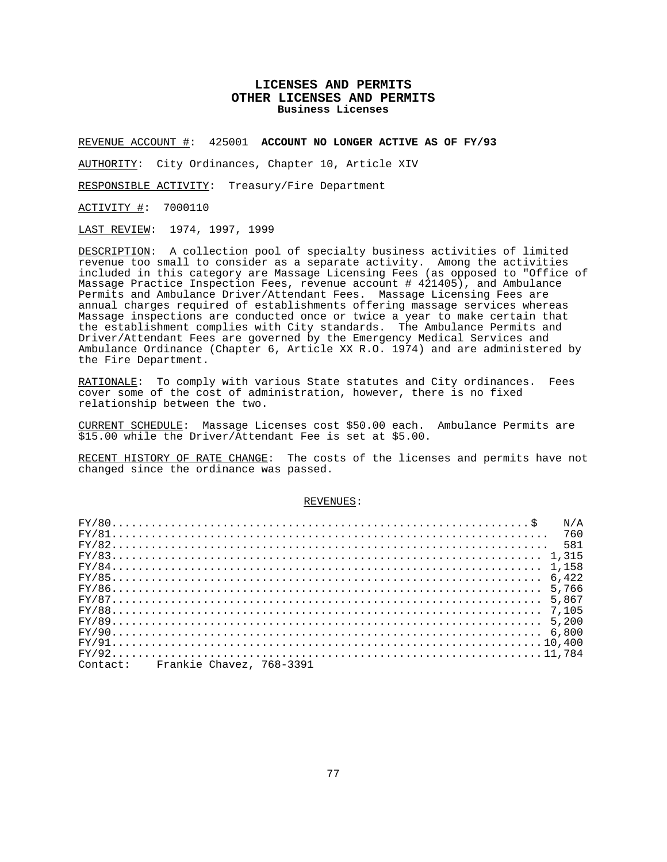## **LICENSES AND PERMITS OTHER LICENSES AND PERMITS Business Licenses**

REVENUE ACCOUNT #: 425001 **ACCOUNT NO LONGER ACTIVE AS OF FY/93**

AUTHORITY: City Ordinances, Chapter 10, Article XIV

RESPONSIBLE ACTIVITY: Treasury/Fire Department

ACTIVITY #: 7000110

LAST REVIEW: 1974, 1997, 1999

DESCRIPTION: A collection pool of specialty business activities of limited revenue too small to consider as a separate activity. Among the activities included in this category are Massage Licensing Fees (as opposed to "Office of Massage Practice Inspection Fees, revenue account # 421405), and Ambulance Permits and Ambulance Driver/Attendant Fees. Massage Licensing Fees are annual charges required of establishments offering massage services whereas Massage inspections are conducted once or twice a year to make certain that the establishment complies with City standards. The Ambulance Permits and Driver/Attendant Fees are governed by the Emergency Medical Services and Ambulance Ordinance (Chapter 6, Article XX R.O. 1974) and are administered by the Fire Department.

RATIONALE: To comply with various State statutes and City ordinances. Fees cover some of the cost of administration, however, there is no fixed relationship between the two.

CURRENT SCHEDULE: Massage Licenses cost \$50.00 each. Ambulance Permits are \$15.00 while the Driver/Attendant Fee is set at \$5.00.

RECENT HISTORY OF RATE CHANGE: The costs of the licenses and permits have not changed since the ordinance was passed.

| $FY/80$<br>N/A                    |
|-----------------------------------|
|                                   |
| $FY/82 581$                       |
|                                   |
| $FY/84$                           |
|                                   |
| 5.766                             |
|                                   |
|                                   |
|                                   |
|                                   |
|                                   |
|                                   |
| Contact: Frankie Chavez, 768-3391 |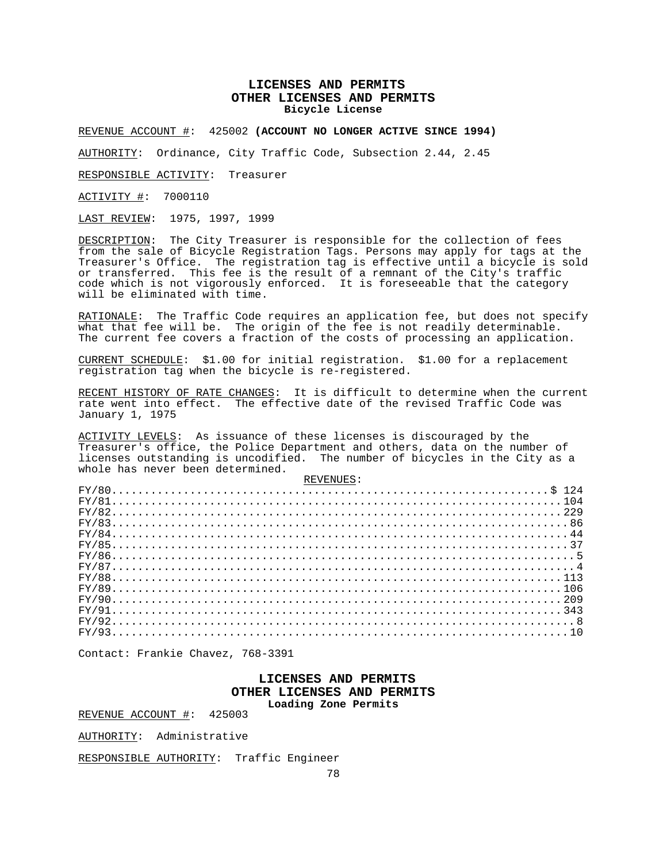## **LICENSES AND PERMITS OTHER LICENSES AND PERMITS Bicycle License**

REVENUE ACCOUNT #: 425002 **(ACCOUNT NO LONGER ACTIVE SINCE 1994)**

AUTHORITY: Ordinance, City Traffic Code, Subsection 2.44, 2.45

RESPONSIBLE ACTIVITY: Treasurer

ACTIVITY #: 7000110

LAST REVIEW: 1975, 1997, 1999

DESCRIPTION: The City Treasurer is responsible for the collection of fees from the sale of Bicycle Registration Tags. Persons may apply for tags at the Treasurer's Office. The registration tag is effective until a bicycle is sold or transferred. This fee is the result of a remnant of the City's traffic code which is not vigorously enforced. It is foreseeable that the category will be eliminated with time.

RATIONALE: The Traffic Code requires an application fee, but does not specify what that fee will be. The origin of the fee is not readily determinable. The current fee covers a fraction of the costs of processing an application.

CURRENT SCHEDULE: \$1.00 for initial registration. \$1.00 for a replacement registration tag when the bicycle is re-registered.

RECENT HISTORY OF RATE CHANGES: It is difficult to determine when the current rate went into effect. The effective date of the revised Traffic Code was January 1, 1975

ACTIVITY LEVELS: As issuance of these licenses is discouraged by the Treasurer's office, the Police Department and others, data on the number of licenses outstanding is uncodified. The number of bicycles in the City as a whole has never been determined.  $PITITITC$ :

| . CHULL A HALL |  |
|----------------|--|
|                |  |
| $FY/81104$     |  |
|                |  |
|                |  |
|                |  |
|                |  |
|                |  |
|                |  |
| $FY/88113$     |  |
|                |  |
|                |  |
|                |  |
| $FY/928$       |  |
| $FX/9310$      |  |
|                |  |

Contact: Frankie Chavez, 768-3391

### **LICENSES AND PERMITS OTHER LICENSES AND PERMITS Loading Zone Permits**

REVENUE ACCOUNT #: 425003

AUTHORITY: Administrative

RESPONSIBLE AUTHORITY: Traffic Engineer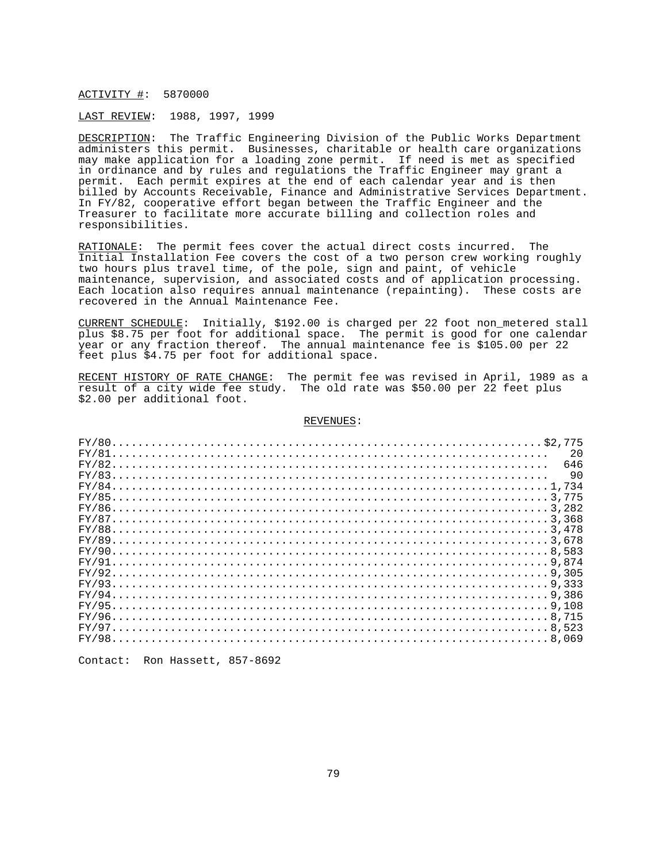#### ACTIVITY #: 5870000

#### LAST REVIEW: 1988, 1997, 1999

DESCRIPTION: The Traffic Engineering Division of the Public Works Department administers this permit. Businesses, charitable or health care organizations may make application for a loading zone permit. If need is met as specified in ordinance and by rules and regulations the Traffic Engineer may grant a permit. Each permit expires at the end of each calendar year and is then billed by Accounts Receivable, Finance and Administrative Services Department. In FY/82, cooperative effort began between the Traffic Engineer and the Treasurer to facilitate more accurate billing and collection roles and responsibilities.

RATIONALE: The permit fees cover the actual direct costs incurred. The Initial Installation Fee covers the cost of a two person crew working roughly two hours plus travel time, of the pole, sign and paint, of vehicle maintenance, supervision, and associated costs and of application processing. Each location also requires annual maintenance (repainting). These costs are recovered in the Annual Maintenance Fee.

CURRENT SCHEDULE: Initially, \$192.00 is charged per 22 foot non\_metered stall plus \$8.75 per foot for additional space. The permit is good for one calendar year or any fraction thereof. The annual maintenance fee is \$105.00 per 22 feet plus \$4.75 per foot for additional space.

RECENT HISTORY OF RATE CHANGE: The permit fee was revised in April, 1989 as a result of a city wide fee study. The old rate was \$50.00 per 22 feet plus \$2.00 per additional foot.

#### REVENUES:

| 2.0 |
|-----|
| 646 |
| -90 |
|     |
|     |
|     |
|     |
|     |
|     |
|     |
|     |
|     |
|     |
|     |
|     |
|     |
|     |
|     |
|     |

Contact: Ron Hassett, 857-8692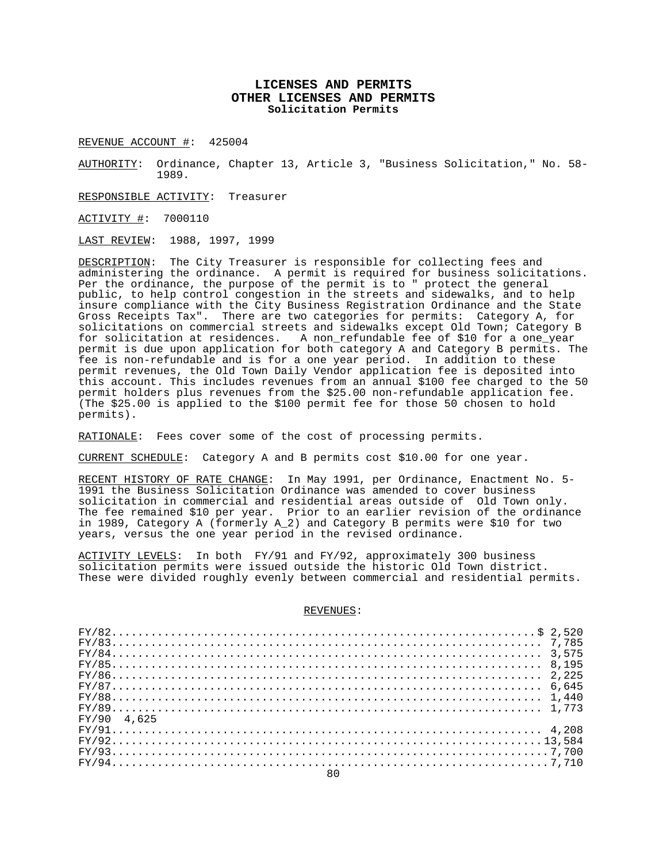## **LICENSES AND PERMITS OTHER LICENSES AND PERMITS Solicitation Permits**

REVENUE ACCOUNT #: 425004

AUTHORITY: Ordinance, Chapter 13, Article 3, "Business Solicitation," No. 58- 1989.

RESPONSIBLE ACTIVITY: Treasurer

ACTIVITY #: 7000110

LAST REVIEW: 1988, 1997, 1999

DESCRIPTION: The City Treasurer is responsible for collecting fees and administering the ordinance. A permit is required for business solicitations. Per the ordinance, the purpose of the permit is to " protect the general public, to help control congestion in the streets and sidewalks, and to help insure compliance with the City Business Registration Ordinance and the State Gross Receipts Tax". There are two categories for permits: Category A, for solicitations on commercial streets and sidewalks except Old Town; Category B for solicitation at residences. A non\_refundable fee of \$10 for a one\_year permit is due upon application for both category A and Category B permits. The fee is non-refundable and is for a one year period. In addition to these permit revenues, the Old Town Daily Vendor application fee is deposited into this account. This includes revenues from an annual \$100 fee charged to the 50 permit holders plus revenues from the \$25.00 non-refundable application fee. (The \$25.00 is applied to the \$100 permit fee for those 50 chosen to hold permits).

RATIONALE: Fees cover some of the cost of processing permits.

CURRENT SCHEDULE: Category A and B permits cost \$10.00 for one year.

RECENT HISTORY OF RATE CHANGE: In May 1991, per Ordinance, Enactment No. 5- 1991 the Business Solicitation Ordinance was amended to cover business solicitation in commercial and residential areas outside of Old Town only. The fee remained \$10 per year. Prior to an earlier revision of the ordinance in 1989, Category A (formerly A\_2) and Category B permits were \$10 for two years, versus the one year period in the revised ordinance.

ACTIVITY LEVELS: In both FY/91 and FY/92, approximately 300 business solicitation permits were issued outside the historic Old Town district. These were divided roughly evenly between commercial and residential permits.

| $FY/87 6,645$ |  |
|---------------|--|
| $FY/88$       |  |
|               |  |
| FY/90 4.625   |  |
|               |  |
|               |  |
|               |  |
|               |  |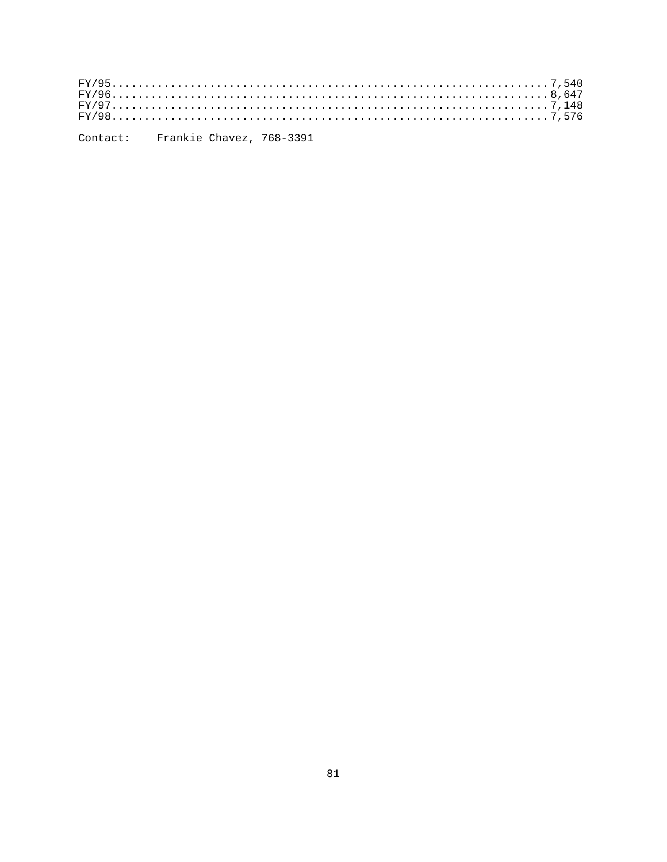Contact: Frankie Chavez, 768-3391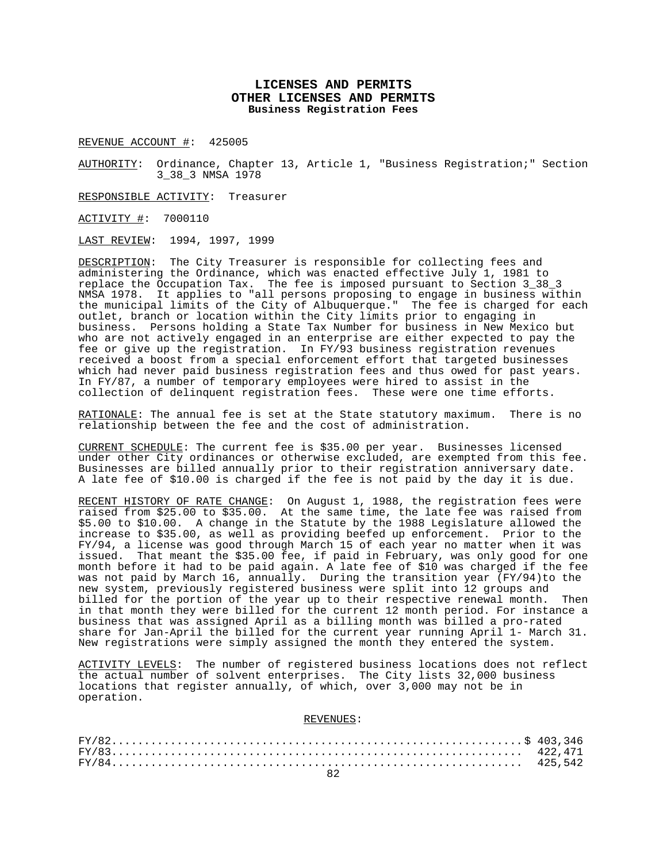# **LICENSES AND PERMITS OTHER LICENSES AND PERMITS Business Registration Fees**

REVENUE ACCOUNT #: 425005

AUTHORITY: Ordinance, Chapter 13, Article 1, "Business Registration;" Section 3\_38\_3 NMSA 1978

RESPONSIBLE ACTIVITY: Treasurer

ACTIVITY #: 7000110

LAST REVIEW: 1994, 1997, 1999

DESCRIPTION: The City Treasurer is responsible for collecting fees and administering the Ordinance, which was enacted effective July 1, 1981 to replace the Occupation Tax. The fee is imposed pursuant to Section 3\_38\_3 NMSA 1978. It applies to "all persons proposing to engage in business within the municipal limits of the City of Albuquerque." The fee is charged for each outlet, branch or location within the City limits prior to engaging in business. Persons holding a State Tax Number for business in New Mexico but who are not actively engaged in an enterprise are either expected to pay the fee or give up the registration. In FY/93 business registration revenues received a boost from a special enforcement effort that targeted businesses which had never paid business registration fees and thus owed for past years. In FY/87, a number of temporary employees were hired to assist in the collection of delinquent registration fees. These were one time efforts.

RATIONALE: The annual fee is set at the State statutory maximum. There is no relationship between the fee and the cost of administration.

CURRENT SCHEDULE: The current fee is \$35.00 per year. Businesses licensed under other City ordinances or otherwise excluded, are exempted from this fee. Businesses are billed annually prior to their registration anniversary date. A late fee of \$10.00 is charged if the fee is not paid by the day it is due.

RECENT HISTORY OF RATE CHANGE: On August 1, 1988, the registration fees were raised from \$25.00 to \$35.00. At the same time, the late fee was raised from \$5.00 to \$10.00. A change in the Statute by the 1988 Legislature allowed the increase to \$35.00, as well as providing beefed up enforcement. Prior to the FY/94, a license was good through March 15 of each year no matter when it was issued. That meant the \$35.00 fee, if paid in February, was only good for one month before it had to be paid again. A late fee of \$10 was charged if the fee was not paid by March 16, annually. During the transition year (FY/94)to the new system, previously registered business were split into 12 groups and billed for the portion of the year up to their respective renewal month. Then in that month they were billed for the current 12 month period. For instance a business that was assigned April as a billing month was billed a pro-rated share for Jan-April the billed for the current year running April 1- March 31. New registrations were simply assigned the month they entered the system.

ACTIVITY LEVELS: The number of registered business locations does not reflect the actual number of solvent enterprises. The City lists 32,000 business locations that register annually, of which, over 3,000 may not be in operation.

REVENUES: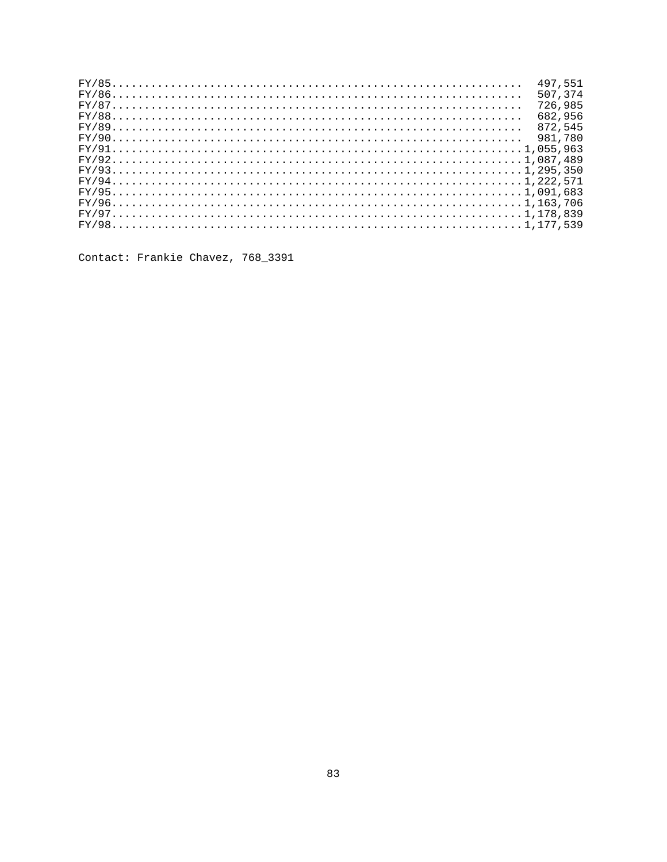|  |  |  |  |  |  |  |  |  |  |  |  |  |  |  |  |  |  |  |  |  |  |  |  |  |  | 497.551<br>507.374 |
|--|--|--|--|--|--|--|--|--|--|--|--|--|--|--|--|--|--|--|--|--|--|--|--|--|--|--------------------|
|  |  |  |  |  |  |  |  |  |  |  |  |  |  |  |  |  |  |  |  |  |  |  |  |  |  | 726,985            |
|  |  |  |  |  |  |  |  |  |  |  |  |  |  |  |  |  |  |  |  |  |  |  |  |  |  | 682.956            |
|  |  |  |  |  |  |  |  |  |  |  |  |  |  |  |  |  |  |  |  |  |  |  |  |  |  | 872.545            |
|  |  |  |  |  |  |  |  |  |  |  |  |  |  |  |  |  |  |  |  |  |  |  |  |  |  | 981.780            |
|  |  |  |  |  |  |  |  |  |  |  |  |  |  |  |  |  |  |  |  |  |  |  |  |  |  | $FY/911,055,963$   |
|  |  |  |  |  |  |  |  |  |  |  |  |  |  |  |  |  |  |  |  |  |  |  |  |  |  | $FY/921,087,489$   |
|  |  |  |  |  |  |  |  |  |  |  |  |  |  |  |  |  |  |  |  |  |  |  |  |  |  |                    |
|  |  |  |  |  |  |  |  |  |  |  |  |  |  |  |  |  |  |  |  |  |  |  |  |  |  |                    |
|  |  |  |  |  |  |  |  |  |  |  |  |  |  |  |  |  |  |  |  |  |  |  |  |  |  |                    |
|  |  |  |  |  |  |  |  |  |  |  |  |  |  |  |  |  |  |  |  |  |  |  |  |  |  |                    |
|  |  |  |  |  |  |  |  |  |  |  |  |  |  |  |  |  |  |  |  |  |  |  |  |  |  |                    |
|  |  |  |  |  |  |  |  |  |  |  |  |  |  |  |  |  |  |  |  |  |  |  |  |  |  | $FY/981,177,539$   |
|  |  |  |  |  |  |  |  |  |  |  |  |  |  |  |  |  |  |  |  |  |  |  |  |  |  |                    |

Contact: Frankie Chavez, 768\_3391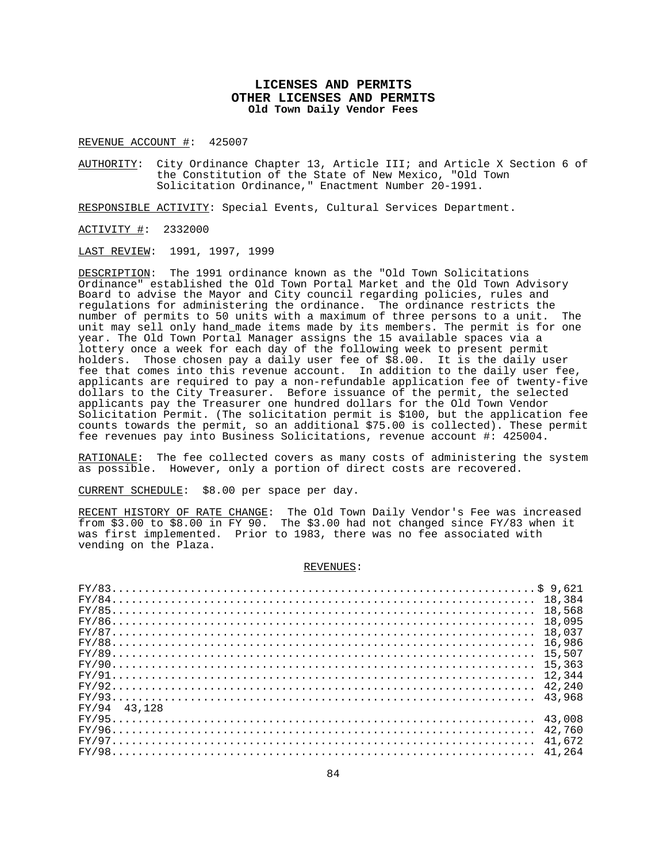# **LICENSES AND PERMITS OTHER LICENSES AND PERMITS Old Town Daily Vendor Fees**

REVENUE ACCOUNT #: 425007

AUTHORITY: City Ordinance Chapter 13, Article III; and Article X Section 6 of the Constitution of the State of New Mexico, "Old Town Solicitation Ordinance," Enactment Number 20-1991.

RESPONSIBLE ACTIVITY: Special Events, Cultural Services Department.

ACTIVITY #: 2332000

LAST REVIEW: 1991, 1997, 1999

DESCRIPTION: The 1991 ordinance known as the "Old Town Solicitations Ordinance" established the Old Town Portal Market and the Old Town Advisory Board to advise the Mayor and City council regarding policies, rules and regulations for administering the ordinance. The ordinance restricts the number of permits to 50 units with a maximum of three persons to a unit. The unit may sell only hand\_made items made by its members. The permit is for one year. The Old Town Portal Manager assigns the 15 available spaces via a lottery once a week for each day of the following week to present permit holders. Those chosen pay a daily user fee of \$8.00. It is the daily user fee that comes into this revenue account. In addition to the daily user fee, applicants are required to pay a non-refundable application fee of twenty-five dollars to the City Treasurer. Before issuance of the permit, the selected applicants pay the Treasurer one hundred dollars for the Old Town Vendor Solicitation Permit. (The solicitation permit is \$100, but the application fee counts towards the permit, so an additional \$75.00 is collected). These permit fee revenues pay into Business Solicitations, revenue account #: 425004.

RATIONALE: The fee collected covers as many costs of administering the system as possible. However, only a portion of direct costs are recovered.

CURRENT SCHEDULE: \$8.00 per space per day.

RECENT HISTORY OF RATE CHANGE: The Old Town Daily Vendor's Fee was increased from \$3.00 to \$8.00 in FY 90. The \$3.00 had not changed since FY/83 when it was first implemented. Prior to 1983, there was no fee associated with vending on the Plaza.

#### REVENUES:

|                | 16,986 |
|----------------|--------|
|                |        |
|                |        |
|                |        |
| $FY/92$ 42,240 |        |
|                |        |
| FY/94 43.128   |        |
|                |        |
|                |        |
| $FY/97$ 41,672 |        |
| $FY/98$ 41,264 |        |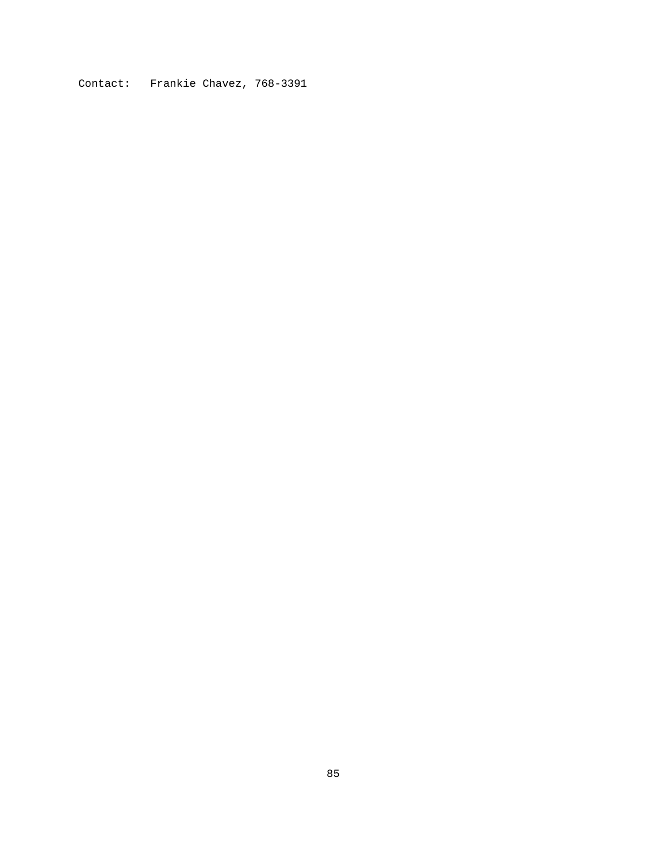Contact: Frankie Chavez, 768-3391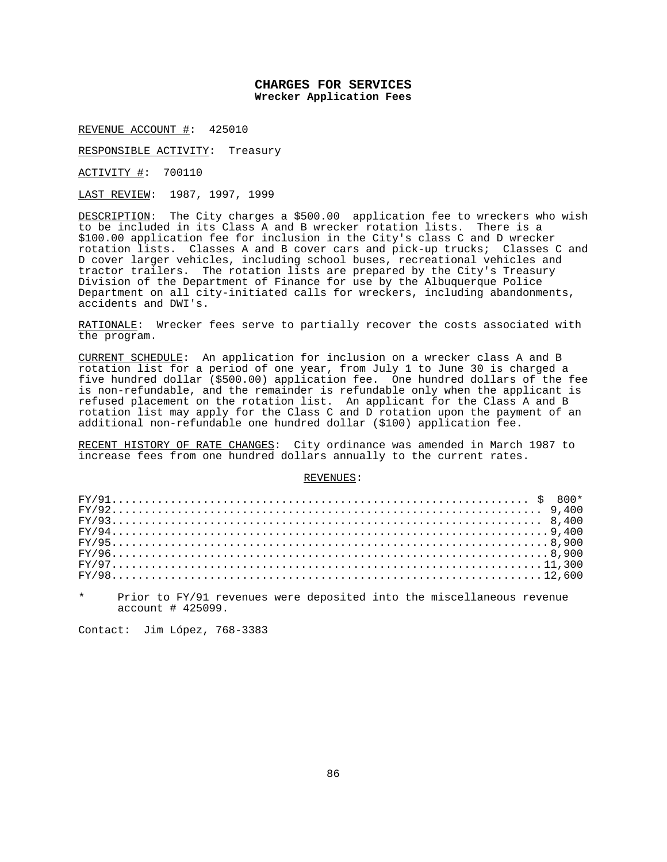# **CHARGES FOR SERVICES Wrecker Application Fees**

REVENUE ACCOUNT #: 425010

RESPONSIBLE ACTIVITY: Treasury

ACTIVITY #: 700110

LAST REVIEW: 1987, 1997, 1999

DESCRIPTION: The City charges a \$500.00 application fee to wreckers who wish to be included in its Class A and B wrecker rotation lists. There is a \$100.00 application fee for inclusion in the City's class C and D wrecker rotation lists. Classes A and B cover cars and pick-up trucks; Classes C and D cover larger vehicles, including school buses, recreational vehicles and tractor trailers. The rotation lists are prepared by the City's Treasury Division of the Department of Finance for use by the Albuquerque Police Department on all city-initiated calls for wreckers, including abandonments, accidents and DWI's.

RATIONALE: Wrecker fees serve to partially recover the costs associated with the program.

CURRENT SCHEDULE: An application for inclusion on a wrecker class A and B rotation list for a period of one year, from July 1 to June 30 is charged a five hundred dollar (\$500.00) application fee. One hundred dollars of the fee is non-refundable, and the remainder is refundable only when the applicant is refused placement on the rotation list. An applicant for the Class A and B rotation list may apply for the Class C and D rotation upon the payment of an additional non-refundable one hundred dollar (\$100) application fee.

RECENT HISTORY OF RATE CHANGES: City ordinance was amended in March 1987 to increase fees from one hundred dollars annually to the current rates.

#### REVENUES:

| $FY/929,400$ |  |  |  |  |  |  |  |  |  |  |  |  |  |  |  |  |  |  |  |  |  |  |  |  |  |  |  |  |
|--------------|--|--|--|--|--|--|--|--|--|--|--|--|--|--|--|--|--|--|--|--|--|--|--|--|--|--|--|--|
|              |  |  |  |  |  |  |  |  |  |  |  |  |  |  |  |  |  |  |  |  |  |  |  |  |  |  |  |  |
|              |  |  |  |  |  |  |  |  |  |  |  |  |  |  |  |  |  |  |  |  |  |  |  |  |  |  |  |  |
|              |  |  |  |  |  |  |  |  |  |  |  |  |  |  |  |  |  |  |  |  |  |  |  |  |  |  |  |  |
|              |  |  |  |  |  |  |  |  |  |  |  |  |  |  |  |  |  |  |  |  |  |  |  |  |  |  |  |  |
|              |  |  |  |  |  |  |  |  |  |  |  |  |  |  |  |  |  |  |  |  |  |  |  |  |  |  |  |  |
|              |  |  |  |  |  |  |  |  |  |  |  |  |  |  |  |  |  |  |  |  |  |  |  |  |  |  |  |  |
|              |  |  |  |  |  |  |  |  |  |  |  |  |  |  |  |  |  |  |  |  |  |  |  |  |  |  |  |  |

Prior to FY/91 revenues were deposited into the miscellaneous revenue account # 425099.

Contact: Jim López, 768-3383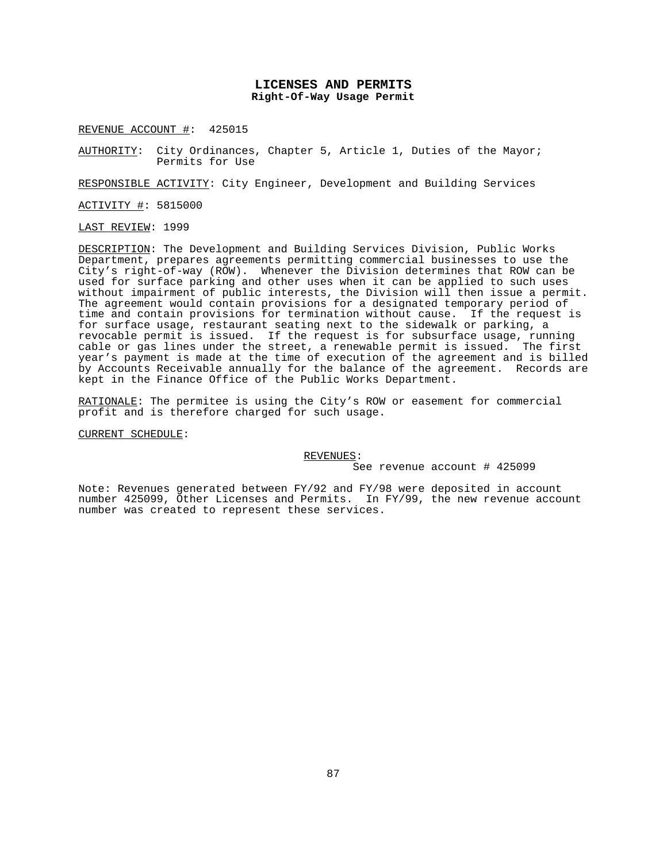## **LICENSES AND PERMITS Right-Of-Way Usage Permit**

REVENUE ACCOUNT #: 425015

AUTHORITY: City Ordinances, Chapter 5, Article 1, Duties of the Mayor; Permits for Use

RESPONSIBLE ACTIVITY: City Engineer, Development and Building Services

ACTIVITY #: 5815000

LAST REVIEW: 1999

DESCRIPTION: The Development and Building Services Division, Public Works Department, prepares agreements permitting commercial businesses to use the City's right-of-way (ROW). Whenever the Division determines that ROW can be used for surface parking and other uses when it can be applied to such uses without impairment of public interests, the Division will then issue a permit. The agreement would contain provisions for a designated temporary period of time and contain provisions for termination without cause. If the request is for surface usage, restaurant seating next to the sidewalk or parking, a revocable permit is issued. If the request is for subsurface usage, running cable or gas lines under the street, a renewable permit is issued. The first year's payment is made at the time of execution of the agreement and is billed by Accounts Receivable annually for the balance of the agreement. Records are kept in the Finance Office of the Public Works Department.

RATIONALE: The permitee is using the City's ROW or easement for commercial profit and is therefore charged for such usage.

CURRENT SCHEDULE:

REVENUES:

See revenue account # 425099

Note: Revenues generated between FY/92 and FY/98 were deposited in account number 425099, Other Licenses and Permits. In FY/99, the new revenue account number was created to represent these services.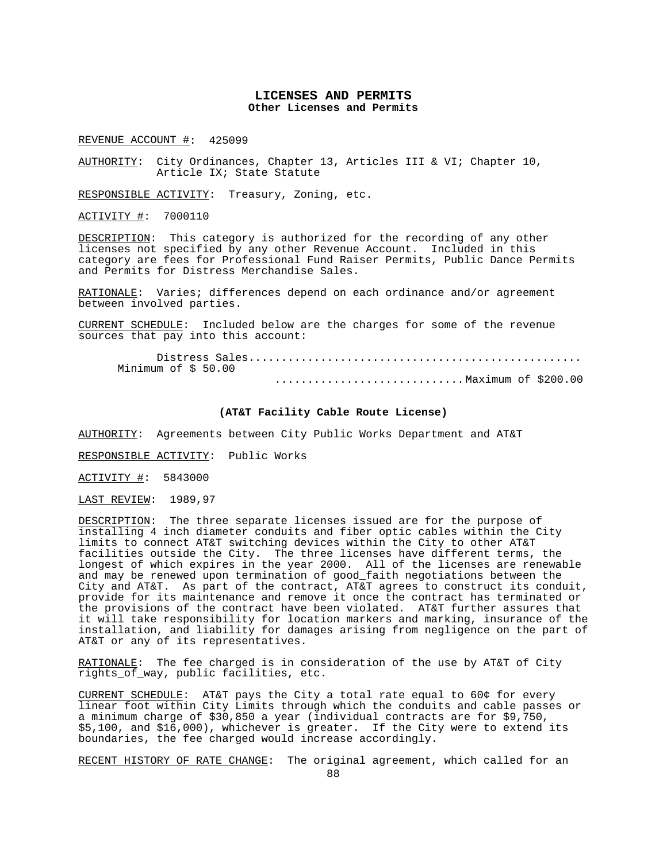### **LICENSES AND PERMITS Other Licenses and Permits**

REVENUE ACCOUNT #: 425099

AUTHORITY: City Ordinances, Chapter 13, Articles III & VI; Chapter 10, Article IX; State Statute

RESPONSIBLE ACTIVITY: Treasury, Zoning, etc.

ACTIVITY #: 7000110

DESCRIPTION: This category is authorized for the recording of any other licenses not specified by any other Revenue Account. Included in this category are fees for Professional Fund Raiser Permits, Public Dance Permits and Permits for Distress Merchandise Sales.

RATIONALE: Varies; differences depend on each ordinance and/or agreement between involved parties.

CURRENT SCHEDULE: Included below are the charges for some of the revenue sources that pay into this account:

 Distress Sales................................................... Minimum of \$ 50.00 ............................. Maximum of \$200.00

### **(AT&T Facility Cable Route License)**

AUTHORITY: Agreements between City Public Works Department and AT&T

RESPONSIBLE ACTIVITY: Public Works

ACTIVITY #: 5843000

LAST REVIEW: 1989,97

DESCRIPTION: The three separate licenses issued are for the purpose of installing 4 inch diameter conduits and fiber optic cables within the City limits to connect AT&T switching devices within the City to other AT&T facilities outside the City. The three licenses have different terms, the longest of which expires in the year 2000. All of the licenses are renewable and may be renewed upon termination of good\_faith negotiations between the City and AT&T. As part of the contract, AT&T agrees to construct its conduit, provide for its maintenance and remove it once the contract has terminated or the provisions of the contract have been violated. AT&T further assures that it will take responsibility for location markers and marking, insurance of the installation, and liability for damages arising from negligence on the part of AT&T or any of its representatives.

RATIONALE: The fee charged is in consideration of the use by AT&T of City rights\_of\_way, public facilities, etc.

CURRENT SCHEDULE: AT&T pays the City a total rate equal to 60¢ for every linear foot within City Limits through which the conduits and cable passes or a minimum charge of \$30,850 a year (individual contracts are for \$9,750, \$5,100, and \$16,000), whichever is greater. If the City were to extend its boundaries, the fee charged would increase accordingly.

RECENT HISTORY OF RATE CHANGE: The original agreement, which called for an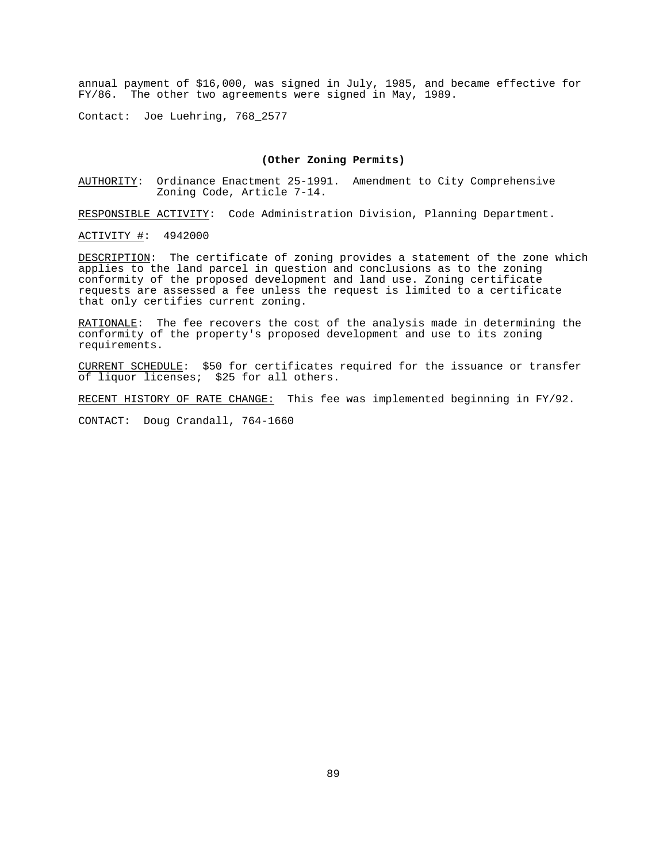annual payment of \$16,000, was signed in July, 1985, and became effective for FY/86. The other two agreements were signed in May, 1989.

Contact: Joe Luehring, 768\_2577

**(Other Zoning Permits)**<br>AUTHORITY: Ordinance Enactment 25-1991. Amendmen Ordinance Enactment 25-1991. Amendment to City Comprehensive Zoning Code, Article 7-14.

RESPONSIBLE ACTIVITY: Code Administration Division, Planning Department.

ACTIVITY #: 4942000

DESCRIPTION: The certificate of zoning provides a statement of the zone which applies to the land parcel in question and conclusions as to the zoning conformity of the proposed development and land use. Zoning certificate requests are assessed a fee unless the request is limited to a certificate that only certifies current zoning.

RATIONALE: The fee recovers the cost of the analysis made in determining the conformity of the property's proposed development and use to its zoning requirements.

CURRENT SCHEDULE: \$50 for certificates required for the issuance or transfer of liquor licenses; \$25 for all others.

RECENT HISTORY OF RATE CHANGE: This fee was implemented beginning in FY/92.

CONTACT: Doug Crandall, 764-1660